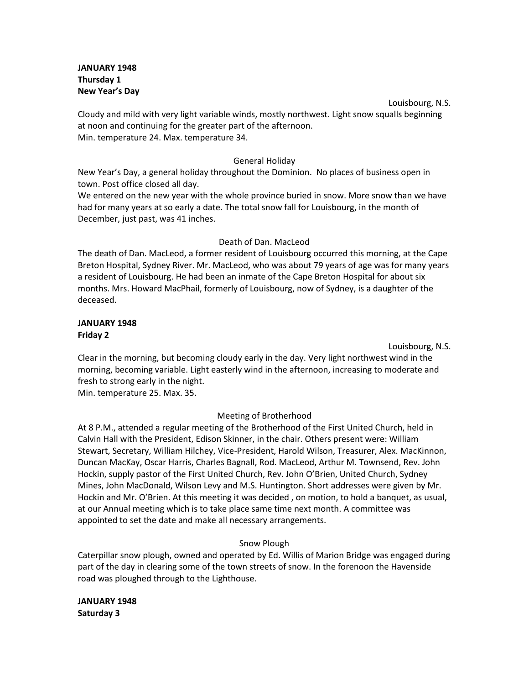**JANUARY 1948 Thursday 1 New Year's Day**

Louisbourg, N.S. Cloudy and mild with very light variable winds, mostly northwest. Light snow squalls beginning at noon and continuing for the greater part of the afternoon. Min. temperature 24. Max. temperature 34.

### General Holiday

New Year's Day, a general holiday throughout the Dominion. No places of business open in town. Post office closed all day.

We entered on the new year with the whole province buried in snow. More snow than we have had for many years at so early a date. The total snow fall for Louisbourg, in the month of December, just past, was 41 inches.

#### Death of Dan. MacLeod

The death of Dan. MacLeod, a former resident of Louisbourg occurred this morning, at the Cape Breton Hospital, Sydney River. Mr. MacLeod, who was about 79 years of age was for many years a resident of Louisbourg. He had been an inmate of the Cape Breton Hospital for about six months. Mrs. Howard MacPhail, formerly of Louisbourg, now of Sydney, is a daughter of the deceased.

### **JANUARY 1948 Friday 2**

Louisbourg, N.S.

Clear in the morning, but becoming cloudy early in the day. Very light northwest wind in the morning, becoming variable. Light easterly wind in the afternoon, increasing to moderate and fresh to strong early in the night.

Min. temperature 25. Max. 35.

## Meeting of Brotherhood

At 8 P.M., attended a regular meeting of the Brotherhood of the First United Church, held in Calvin Hall with the President, Edison Skinner, in the chair. Others present were: William Stewart, Secretary, William Hilchey, Vice-President, Harold Wilson, Treasurer, Alex. MacKinnon, Duncan MacKay, Oscar Harris, Charles Bagnall, Rod. MacLeod, Arthur M. Townsend, Rev. John Hockin, supply pastor of the First United Church, Rev. John O'Brien, United Church, Sydney Mines, John MacDonald, Wilson Levy and M.S. Huntington. Short addresses were given by Mr. Hockin and Mr. O'Brien. At this meeting it was decided , on motion, to hold a banquet, as usual, at our Annual meeting which is to take place same time next month. A committee was appointed to set the date and make all necessary arrangements.

## Snow Plough

Caterpillar snow plough, owned and operated by Ed. Willis of Marion Bridge was engaged during part of the day in clearing some of the town streets of snow. In the forenoon the Havenside road was ploughed through to the Lighthouse.

**JANUARY 1948 Saturday 3**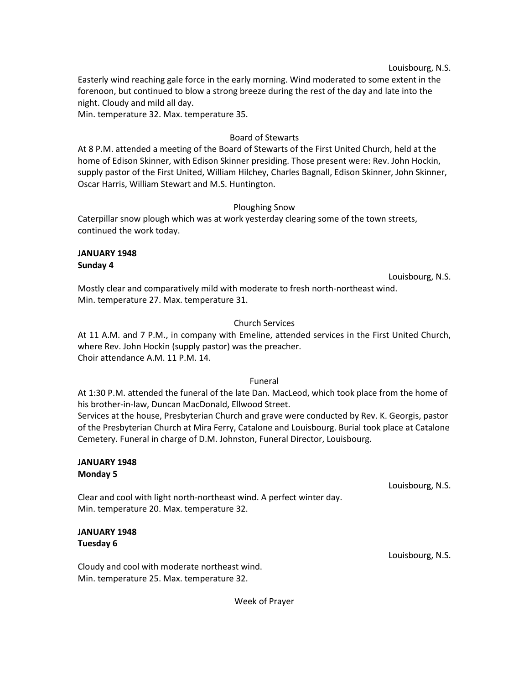#### Louisbourg, N.S.

Easterly wind reaching gale force in the early morning. Wind moderated to some extent in the forenoon, but continued to blow a strong breeze during the rest of the day and late into the night. Cloudy and mild all day.

Min. temperature 32. Max. temperature 35.

# Board of Stewarts

At 8 P.M. attended a meeting of the Board of Stewarts of the First United Church, held at the home of Edison Skinner, with Edison Skinner presiding. Those present were: Rev. John Hockin, supply pastor of the First United, William Hilchey, Charles Bagnall, Edison Skinner, John Skinner, Oscar Harris, William Stewart and M.S. Huntington.

## Ploughing Snow

Caterpillar snow plough which was at work yesterday clearing some of the town streets, continued the work today.

#### **JANUARY 1948 Sunday 4**

Louisbourg, N.S.

Mostly clear and comparatively mild with moderate to fresh north-northeast wind. Min. temperature 27. Max. temperature 31.

## Church Services

At 11 A.M. and 7 P.M., in company with Emeline, attended services in the First United Church, where Rev. John Hockin (supply pastor) was the preacher. Choir attendance A.M. 11 P.M. 14.

#### Funeral

At 1:30 P.M. attended the funeral of the late Dan. MacLeod, which took place from the home of his brother-in-law, Duncan MacDonald, Ellwood Street.

Services at the house, Presbyterian Church and grave were conducted by Rev. K. Georgis, pastor of the Presbyterian Church at Mira Ferry, Catalone and Louisbourg. Burial took place at Catalone Cemetery. Funeral in charge of D.M. Johnston, Funeral Director, Louisbourg.

#### **JANUARY 1948 Monday 5**

Clear and cool with light north-northeast wind. A perfect winter day. Min. temperature 20. Max. temperature 32.

# **JANUARY 1948 Tuesday 6**

Cloudy and cool with moderate northeast wind. Min. temperature 25. Max. temperature 32.

Louisbourg, N.S.

Louisbourg, N.S.

Week of Prayer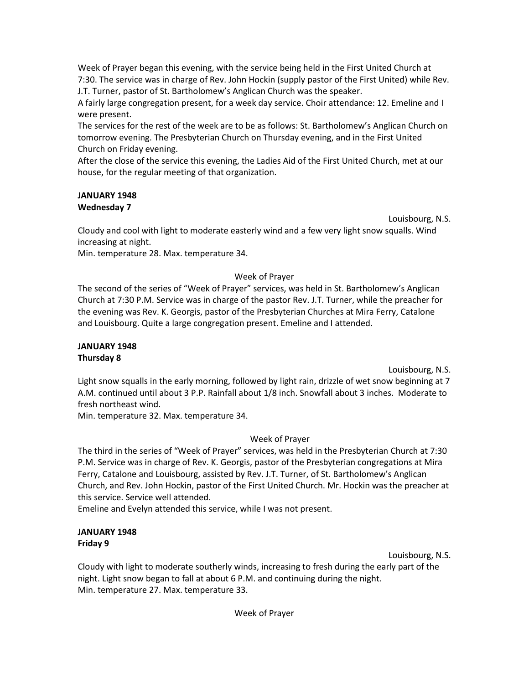Week of Prayer began this evening, with the service being held in the First United Church at 7:30. The service was in charge of Rev. John Hockin (supply pastor of the First United) while Rev. J.T. Turner, pastor of St. Bartholomew's Anglican Church was the speaker.

A fairly large congregation present, for a week day service. Choir attendance: 12. Emeline and I were present.

The services for the rest of the week are to be as follows: St. Bartholomew's Anglican Church on tomorrow evening. The Presbyterian Church on Thursday evening, and in the First United Church on Friday evening.

After the close of the service this evening, the Ladies Aid of the First United Church, met at our house, for the regular meeting of that organization.

# **JANUARY 1948 Wednesday 7**

Louisbourg, N.S.

Cloudy and cool with light to moderate easterly wind and a few very light snow squalls. Wind increasing at night.

Min. temperature 28. Max. temperature 34.

# Week of Prayer

The second of the series of "Week of Prayer" services, was held in St. Bartholomew's Anglican Church at 7:30 P.M. Service was in charge of the pastor Rev. J.T. Turner, while the preacher for the evening was Rev. K. Georgis, pastor of the Presbyterian Churches at Mira Ferry, Catalone and Louisbourg. Quite a large congregation present. Emeline and I attended.

## **JANUARY 1948 Thursday 8**

Louisbourg, N.S.

Light snow squalls in the early morning, followed by light rain, drizzle of wet snow beginning at 7 A.M. continued until about 3 P.P. Rainfall about 1/8 inch. Snowfall about 3 inches. Moderate to fresh northeast wind.

Min. temperature 32. Max. temperature 34.

# Week of Prayer

The third in the series of "Week of Prayer" services, was held in the Presbyterian Church at 7:30 P.M. Service was in charge of Rev. K. Georgis, pastor of the Presbyterian congregations at Mira Ferry, Catalone and Louisbourg, assisted by Rev. J.T. Turner, of St. Bartholomew's Anglican Church, and Rev. John Hockin, pastor of the First United Church. Mr. Hockin was the preacher at this service. Service well attended.

Emeline and Evelyn attended this service, while I was not present.

# **JANUARY 1948 Friday 9**

Louisbourg, N.S.

Cloudy with light to moderate southerly winds, increasing to fresh during the early part of the night. Light snow began to fall at about 6 P.M. and continuing during the night. Min. temperature 27. Max. temperature 33.

Week of Prayer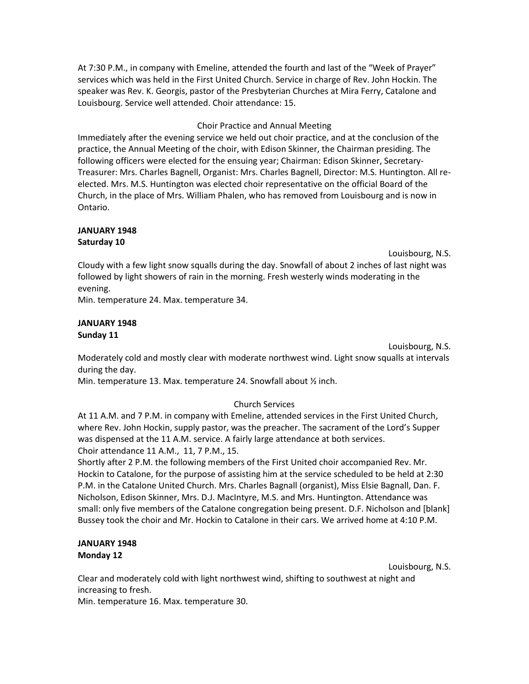At 7:30 P.M., in company with Emeline, attended the fourth and last of the "Week of Prayer" services which was held in the First United Church. Service in charge of Rev. John Hockin. The speaker was Rev. K. Georgis, pastor of the Presbyterian Churches at Mira Ferry, Catalone and Louisbourg. Service well attended. Choir attendance: 15.

### Choir Practice and Annual Meeting

Immediately after the evening service we held out choir practice, and at the conclusion of the practice, the Annual Meeting of the choir, with Edison Skinner, the Chairman presiding. The following officers were elected for the ensuing year; Chairman: Edison Skinner, Secretary-Treasurer: Mrs. Charles Bagnell, Organist: Mrs. Charles Bagnell, Director: M.S. Huntington. All reelected. Mrs. M.S. Huntington was elected choir representative on the official Board of the Church, in the place of Mrs. William Phalen, who has removed from Louisbourg and is now in Ontario.

### **JANUARY 1948 Saturday 10**

Louisbourg, N.S.

Cloudy with a few light snow squalls during the day. Snowfall of about 2 inches of last night was followed by light showers of rain in the morning. Fresh westerly winds moderating in the evening.

Min. temperature 24. Max. temperature 34.

#### **JANUARY 1948 Sunday 11**

Louisbourg, N.S.

Moderately cold and mostly clear with moderate northwest wind. Light snow squalls at intervals during the day.

Min. temperature 13. Max. temperature 24. Snowfall about ½ inch.

## Church Services

At 11 A.M. and 7 P.M. in company with Emeline, attended services in the First United Church, where Rev. John Hockin, supply pastor, was the preacher. The sacrament of the Lord's Supper was dispensed at the 11 A.M. service. A fairly large attendance at both services. Choir attendance 11 A.M., 11, 7 P.M., 15.

Shortly after 2 P.M. the following members of the First United choir accompanied Rev. Mr. Hockin to Catalone, for the purpose of assisting him at the service scheduled to be held at 2:30 P.M. in the Catalone United Church. Mrs. Charles Bagnall (organist), Miss Elsie Bagnall, Dan. F. Nicholson, Edison Skinner, Mrs. D.J. MacIntyre, M.S. and Mrs. Huntington. Attendance was small: only five members of the Catalone congregation being present. D.F. Nicholson and [blank] Bussey took the choir and Mr. Hockin to Catalone in their cars. We arrived home at 4:10 P.M.

# **JANUARY 1948 Monday 12**

Louisbourg, N.S.

Clear and moderately cold with light northwest wind, shifting to southwest at night and increasing to fresh.

Min. temperature 16. Max. temperature 30.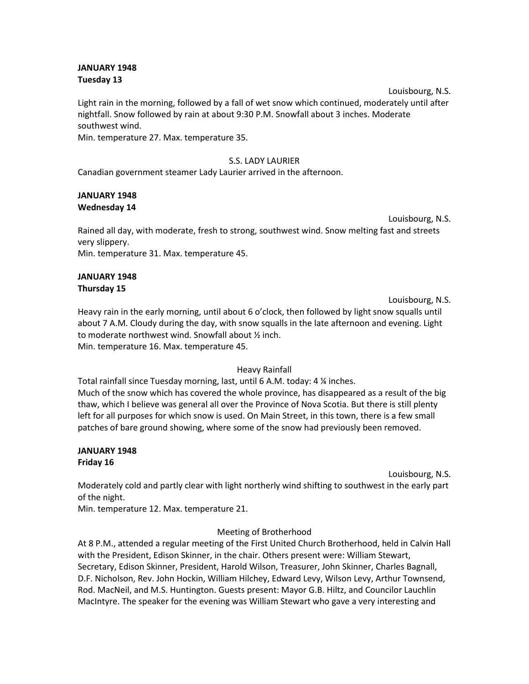## **JANUARY 1948 Tuesday 13**

Louisbourg, N.S. Light rain in the morning, followed by a fall of wet snow which continued, moderately until after nightfall. Snow followed by rain at about 9:30 P.M. Snowfall about 3 inches. Moderate southwest wind.

Min. temperature 27. Max. temperature 35.

# S.S. LADY LAURIER

Canadian government steamer Lady Laurier arrived in the afternoon.

## **JANUARY 1948 Wednesday 14**

Louisbourg, N.S.

Rained all day, with moderate, fresh to strong, southwest wind. Snow melting fast and streets very slippery.

Min. temperature 31. Max. temperature 45.

# **JANUARY 1948 Thursday 15**

Louisbourg, N.S.

Heavy rain in the early morning, until about 6 o'clock, then followed by light snow squalls until about 7 A.M. Cloudy during the day, with snow squalls in the late afternoon and evening. Light to moderate northwest wind. Snowfall about ½ inch. Min. temperature 16. Max. temperature 45.

# Heavy Rainfall

Total rainfall since Tuesday morning, last, until 6 A.M. today: 4 ¼ inches. Much of the snow which has covered the whole province, has disappeared as a result of the big thaw, which I believe was general all over the Province of Nova Scotia. But there is still plenty left for all purposes for which snow is used. On Main Street, in this town, there is a few small patches of bare ground showing, where some of the snow had previously been removed.

# **JANUARY 1948 Friday 16**

Louisbourg, N.S.

Moderately cold and partly clear with light northerly wind shifting to southwest in the early part of the night.

Min. temperature 12. Max. temperature 21.

Meeting of Brotherhood

At 8 P.M., attended a regular meeting of the First United Church Brotherhood, held in Calvin Hall with the President, Edison Skinner, in the chair. Others present were: William Stewart, Secretary, Edison Skinner, President, Harold Wilson, Treasurer, John Skinner, Charles Bagnall, D.F. Nicholson, Rev. John Hockin, William Hilchey, Edward Levy, Wilson Levy, Arthur Townsend, Rod. MacNeil, and M.S. Huntington. Guests present: Mayor G.B. Hiltz, and Councilor Lauchlin MacIntyre. The speaker for the evening was William Stewart who gave a very interesting and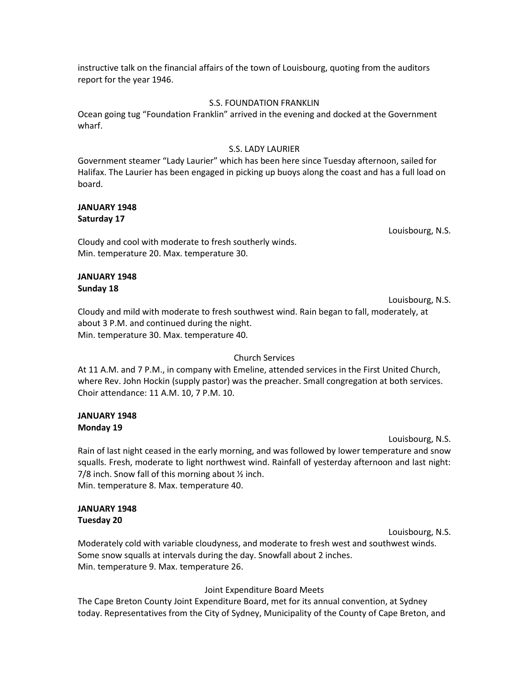instructive talk on the financial affairs of the town of Louisbourg, quoting from the auditors report for the year 1946.

#### S.S. FOUNDATION FRANKLIN

Ocean going tug "Foundation Franklin" arrived in the evening and docked at the Government wharf.

## S.S. LADY LAURIER

Government steamer "Lady Laurier" which has been here since Tuesday afternoon, sailed for Halifax. The Laurier has been engaged in picking up buoys along the coast and has a full load on board.

#### **JANUARY 1948 Saturday 17**

Louisbourg, N.S.

Cloudy and cool with moderate to fresh southerly winds. Min. temperature 20. Max. temperature 30.

## **JANUARY 1948 Sunday 18**

Louisbourg, N.S. Cloudy and mild with moderate to fresh southwest wind. Rain began to fall, moderately, at about 3 P.M. and continued during the night. Min. temperature 30. Max. temperature 40.

## Church Services

At 11 A.M. and 7 P.M., in company with Emeline, attended services in the First United Church, where Rev. John Hockin (supply pastor) was the preacher. Small congregation at both services. Choir attendance: 11 A.M. 10, 7 P.M. 10.

# **JANUARY 1948 Monday 19**

Louisbourg, N.S.

Rain of last night ceased in the early morning, and was followed by lower temperature and snow squalls. Fresh, moderate to light northwest wind. Rainfall of yesterday afternoon and last night: 7/8 inch. Snow fall of this morning about ½ inch. Min. temperature 8. Max. temperature 40.

#### **JANUARY 1948 Tuesday 20**

Louisbourg, N.S.

Moderately cold with variable cloudyness, and moderate to fresh west and southwest winds. Some snow squalls at intervals during the day. Snowfall about 2 inches. Min. temperature 9. Max. temperature 26.

## Joint Expenditure Board Meets

The Cape Breton County Joint Expenditure Board, met for its annual convention, at Sydney today. Representatives from the City of Sydney, Municipality of the County of Cape Breton, and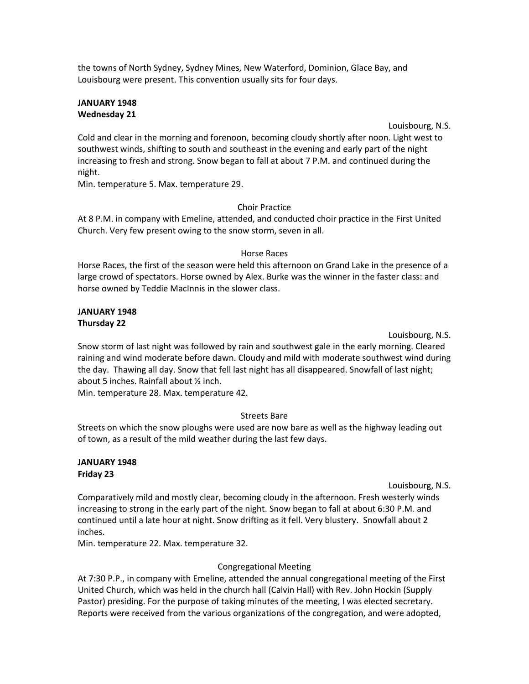the towns of North Sydney, Sydney Mines, New Waterford, Dominion, Glace Bay, and Louisbourg were present. This convention usually sits for four days.

#### **JANUARY 1948 Wednesday 21**

Louisbourg, N.S.

Cold and clear in the morning and forenoon, becoming cloudy shortly after noon. Light west to southwest winds, shifting to south and southeast in the evening and early part of the night increasing to fresh and strong. Snow began to fall at about 7 P.M. and continued during the night.

Min. temperature 5. Max. temperature 29.

## Choir Practice

At 8 P.M. in company with Emeline, attended, and conducted choir practice in the First United Church. Very few present owing to the snow storm, seven in all.

#### Horse Races

Horse Races, the first of the season were held this afternoon on Grand Lake in the presence of a large crowd of spectators. Horse owned by Alex. Burke was the winner in the faster class: and horse owned by Teddie MacInnis in the slower class.

## **JANUARY 1948 Thursday 22**

Louisbourg, N.S.

Snow storm of last night was followed by rain and southwest gale in the early morning. Cleared raining and wind moderate before dawn. Cloudy and mild with moderate southwest wind during the day. Thawing all day. Snow that fell last night has all disappeared. Snowfall of last night; about 5 inches. Rainfall about ½ inch.

Min. temperature 28. Max. temperature 42.

# Streets Bare

Streets on which the snow ploughs were used are now bare as well as the highway leading out of town, as a result of the mild weather during the last few days.

### **JANUARY 1948 Friday 23**

Louisbourg, N.S.

Comparatively mild and mostly clear, becoming cloudy in the afternoon. Fresh westerly winds increasing to strong in the early part of the night. Snow began to fall at about 6:30 P.M. and continued until a late hour at night. Snow drifting as it fell. Very blustery. Snowfall about 2 inches.

Min. temperature 22. Max. temperature 32.

## Congregational Meeting

At 7:30 P.P., in company with Emeline, attended the annual congregational meeting of the First United Church, which was held in the church hall (Calvin Hall) with Rev. John Hockin (Supply Pastor) presiding. For the purpose of taking minutes of the meeting, I was elected secretary. Reports were received from the various organizations of the congregation, and were adopted,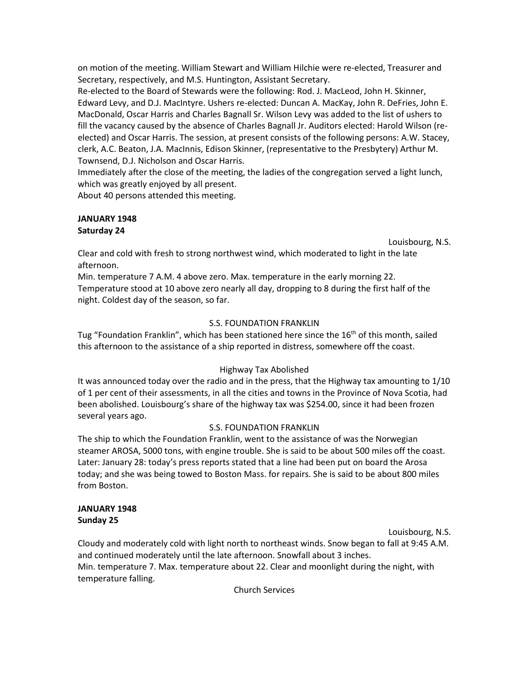on motion of the meeting. William Stewart and William Hilchie were re-elected, Treasurer and Secretary, respectively, and M.S. Huntington, Assistant Secretary.

Re-elected to the Board of Stewards were the following: Rod. J. MacLeod, John H. Skinner, Edward Levy, and D.J. MacIntyre. Ushers re-elected: Duncan A. MacKay, John R. DeFries, John E. MacDonald, Oscar Harris and Charles Bagnall Sr. Wilson Levy was added to the list of ushers to fill the vacancy caused by the absence of Charles Bagnall Jr. Auditors elected: Harold Wilson (reelected) and Oscar Harris. The session, at present consists of the following persons: A.W. Stacey, clerk, A.C. Beaton, J.A. MacInnis, Edison Skinner, (representative to the Presbytery) Arthur M. Townsend, D.J. Nicholson and Oscar Harris.

Immediately after the close of the meeting, the ladies of the congregation served a light lunch, which was greatly enjoyed by all present.

About 40 persons attended this meeting.

# **JANUARY 1948 Saturday 24**

Louisbourg, N.S.

Clear and cold with fresh to strong northwest wind, which moderated to light in the late afternoon.

Min. temperature 7 A.M. 4 above zero. Max. temperature in the early morning 22. Temperature stood at 10 above zero nearly all day, dropping to 8 during the first half of the night. Coldest day of the season, so far.

# S.S. FOUNDATION FRANKLIN

Tug "Foundation Franklin", which has been stationed here since the  $16<sup>th</sup>$  of this month, sailed this afternoon to the assistance of a ship reported in distress, somewhere off the coast.

# Highway Tax Abolished

It was announced today over the radio and in the press, that the Highway tax amounting to 1/10 of 1 per cent of their assessments, in all the cities and towns in the Province of Nova Scotia, had been abolished. Louisbourg's share of the highway tax was \$254.00, since it had been frozen several years ago.

# S.S. FOUNDATION FRANKLIN

The ship to which the Foundation Franklin, went to the assistance of was the Norwegian steamer AROSA, 5000 tons, with engine trouble. She is said to be about 500 miles off the coast. Later: January 28: today's press reports stated that a line had been put on board the Arosa today; and she was being towed to Boston Mass. for repairs. She is said to be about 800 miles from Boston.

## **JANUARY 1948 Sunday 25**

Louisbourg, N.S.

Cloudy and moderately cold with light north to northeast winds. Snow began to fall at 9:45 A.M. and continued moderately until the late afternoon. Snowfall about 3 inches. Min. temperature 7. Max. temperature about 22. Clear and moonlight during the night, with temperature falling.

Church Services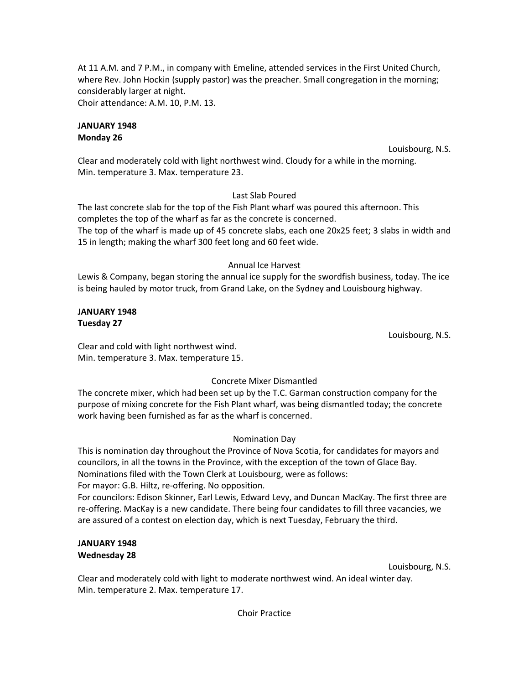At 11 A.M. and 7 P.M., in company with Emeline, attended services in the First United Church, where Rev. John Hockin (supply pastor) was the preacher. Small congregation in the morning; considerably larger at night.

Choir attendance: A.M. 10, P.M. 13.

## **JANUARY 1948 Monday 26**

Louisbourg, N.S.

Clear and moderately cold with light northwest wind. Cloudy for a while in the morning. Min. temperature 3. Max. temperature 23.

# Last Slab Poured

The last concrete slab for the top of the Fish Plant wharf was poured this afternoon. This completes the top of the wharf as far as the concrete is concerned. The top of the wharf is made up of 45 concrete slabs, each one 20x25 feet; 3 slabs in width and 15 in length; making the wharf 300 feet long and 60 feet wide.

# Annual Ice Harvest

Lewis & Company, began storing the annual ice supply for the swordfish business, today. The ice is being hauled by motor truck, from Grand Lake, on the Sydney and Louisbourg highway.

## **JANUARY 1948 Tuesday 27**

Louisbourg, N.S.

Clear and cold with light northwest wind. Min. temperature 3. Max. temperature 15.

# Concrete Mixer Dismantled

The concrete mixer, which had been set up by the T.C. Garman construction company for the purpose of mixing concrete for the Fish Plant wharf, was being dismantled today; the concrete work having been furnished as far as the wharf is concerned.

# Nomination Day

This is nomination day throughout the Province of Nova Scotia, for candidates for mayors and councilors, in all the towns in the Province, with the exception of the town of Glace Bay. Nominations filed with the Town Clerk at Louisbourg, were as follows:

For mayor: G.B. Hiltz, re-offering. No opposition.

For councilors: Edison Skinner, Earl Lewis, Edward Levy, and Duncan MacKay. The first three are re-offering. MacKay is a new candidate. There being four candidates to fill three vacancies, we are assured of a contest on election day, which is next Tuesday, February the third.

# **JANUARY 1948 Wednesday 28**

Louisbourg, N.S.

Clear and moderately cold with light to moderate northwest wind. An ideal winter day. Min. temperature 2. Max. temperature 17.

Choir Practice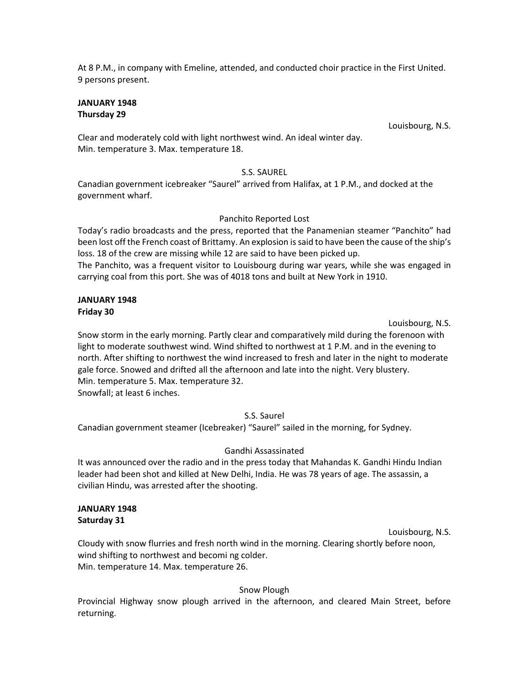At 8 P.M., in company with Emeline, attended, and conducted choir practice in the First United. 9 persons present.

### **JANUARY 1948 Thursday 29**

Louisbourg, N.S.

Clear and moderately cold with light northwest wind. An ideal winter day. Min. temperature 3. Max. temperature 18.

# S.S. SAUREL

Canadian government icebreaker "Saurel" arrived from Halifax, at 1 P.M., and docked at the government wharf.

# Panchito Reported Lost

Today's radio broadcasts and the press, reported that the Panamenian steamer "Panchito" had been lost off the French coast of Brittamy. An explosion is said to have been the cause of the ship's loss. 18 of the crew are missing while 12 are said to have been picked up.

The Panchito, was a frequent visitor to Louisbourg during war years, while she was engaged in carrying coal from this port. She was of 4018 tons and built at New York in 1910.

# **JANUARY 1948 Friday 30**

Louisbourg, N.S.

Snow storm in the early morning. Partly clear and comparatively mild during the forenoon with light to moderate southwest wind. Wind shifted to northwest at 1 P.M. and in the evening to north. After shifting to northwest the wind increased to fresh and later in the night to moderate gale force. Snowed and drifted all the afternoon and late into the night. Very blustery. Min. temperature 5. Max. temperature 32. Snowfall; at least 6 inches.

# S.S. Saurel

Canadian government steamer (Icebreaker) "Saurel" sailed in the morning, for Sydney.

# Gandhi Assassinated

It was announced over the radio and in the press today that Mahandas K. Gandhi Hindu Indian leader had been shot and killed at New Delhi, India. He was 78 years of age. The assassin, a civilian Hindu, was arrested after the shooting.

## **JANUARY 1948 Saturday 31**

Louisbourg, N.S.

Cloudy with snow flurries and fresh north wind in the morning. Clearing shortly before noon, wind shifting to northwest and becomi ng colder. Min. temperature 14. Max. temperature 26.

# Snow Plough

Provincial Highway snow plough arrived in the afternoon, and cleared Main Street, before returning.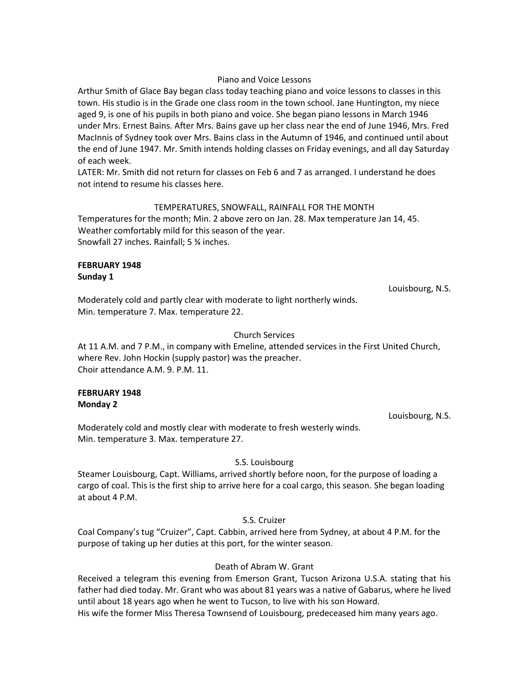#### Piano and Voice Lessons

Arthur Smith of Glace Bay began class today teaching piano and voice lessons to classes in this town. His studio is in the Grade one class room in the town school. Jane Huntington, my niece aged 9, is one of his pupils in both piano and voice. She began piano lessons in March 1946 under Mrs. Ernest Bains. After Mrs. Bains gave up her class near the end of June 1946, Mrs. Fred MacInnis of Sydney took over Mrs. Bains class in the Autumn of 1946, and continued until about the end of June 1947. Mr. Smith intends holding classes on Friday evenings, and all day Saturday of each week.

LATER: Mr. Smith did not return for classes on Feb 6 and 7 as arranged. I understand he does not intend to resume his classes here.

#### TEMPERATURES, SNOWFALL, RAINFALL FOR THE MONTH

Temperatures for the month; Min. 2 above zero on Jan. 28. Max temperature Jan 14, 45. Weather comfortably mild for this season of the year. Snowfall 27 inches. Rainfall; 5 ¾ inches.

#### **FEBRUARY 1948 Sunday 1**

Louisbourg, N.S.

Moderately cold and partly clear with moderate to light northerly winds. Min. temperature 7. Max. temperature 22.

#### Church Services

At 11 A.M. and 7 P.M., in company with Emeline, attended services in the First United Church, where Rev. John Hockin (supply pastor) was the preacher. Choir attendance A.M. 9. P.M. 11.

#### **FEBRUARY 1948 Monday 2**

Louisbourg, N.S.

Moderately cold and mostly clear with moderate to fresh westerly winds. Min. temperature 3. Max. temperature 27.

## S.S. Louisbourg

Steamer Louisbourg, Capt. Williams, arrived shortly before noon, for the purpose of loading a cargo of coal. This is the first ship to arrive here for a coal cargo, this season. She began loading at about 4 P.M.

S.S. Cruizer

Coal Company's tug "Cruizer", Capt. Cabbin, arrived here from Sydney, at about 4 P.M. for the purpose of taking up her duties at this port, for the winter season.

## Death of Abram W. Grant

Received a telegram this evening from Emerson Grant, Tucson Arizona U.S.A. stating that his father had died today. Mr. Grant who was about 81 years was a native of Gabarus, where he lived until about 18 years ago when he went to Tucson, to live with his son Howard.

His wife the former Miss Theresa Townsend of Louisbourg, predeceased him many years ago.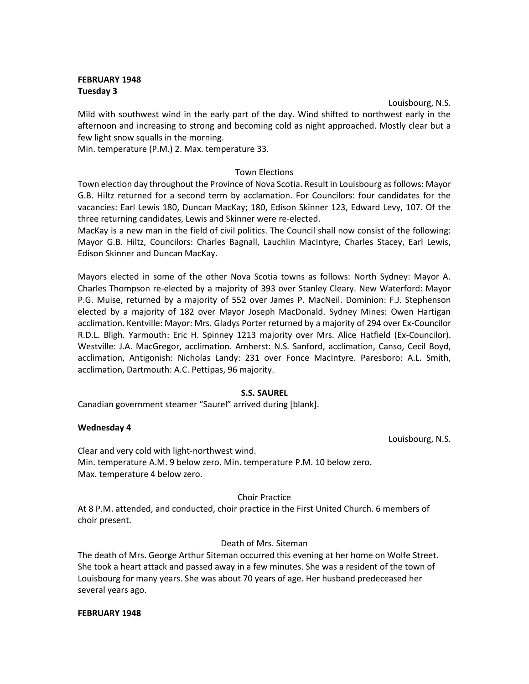# **FEBRUARY 1948 Tuesday 3**

Louisbourg, N.S. Mild with southwest wind in the early part of the day. Wind shifted to northwest early in the afternoon and increasing to strong and becoming cold as night approached. Mostly clear but a few light snow squalls in the morning.

Min. temperature (P.M.) 2. Max. temperature 33.

## Town Elections

Town election day throughout the Province of Nova Scotia. Result in Louisbourg as follows: Mayor G.B. Hiltz returned for a second term by acclamation. For Councilors: four candidates for the vacancies: Earl Lewis 180, Duncan MacKay; 180, Edison Skinner 123, Edward Levy, 107. Of the three returning candidates, Lewis and Skinner were re-elected.

MacKay is a new man in the field of civil politics. The Council shall now consist of the following: Mayor G.B. Hiltz, Councilors: Charles Bagnall, Lauchlin MacIntyre, Charles Stacey, Earl Lewis, Edison Skinner and Duncan MacKay.

Mayors elected in some of the other Nova Scotia towns as follows: North Sydney: Mayor A. Charles Thompson re-elected by a majority of 393 over Stanley Cleary. New Waterford: Mayor P.G. Muise, returned by a majority of 552 over James P. MacNeil. Dominion: F.J. Stephenson elected by a majority of 182 over Mayor Joseph MacDonald. Sydney Mines: Owen Hartigan acclimation. Kentville: Mayor: Mrs. Gladys Porter returned by a majority of 294 over Ex-Councilor R.D.L. Bligh. Yarmouth: Eric H. Spinney 1213 majority over Mrs. Alice Hatfield (Ex-Councilor). Westville: J.A. MacGregor, acclimation. Amherst: N.S. Sanford, acclimation, Canso, Cecil Boyd, acclimation, Antigonish: Nicholas Landy: 231 over Fonce MacIntyre. Paresboro: A.L. Smith, acclimation, Dartmouth: A.C. Pettipas, 96 majority.

## **S.S. SAUREL**

Canadian government steamer "Saurel" arrived during [blank].

## **Wednesday 4**

Louisbourg, N.S.

Clear and very cold with light-northwest wind. Min. temperature A.M. 9 below zero. Min. temperature P.M. 10 below zero. Max. temperature 4 below zero.

#### Choir Practice

At 8 P.M. attended, and conducted, choir practice in the First United Church. 6 members of choir present.

## Death of Mrs. Siteman

The death of Mrs. George Arthur Siteman occurred this evening at her home on Wolfe Street. She took a heart attack and passed away in a few minutes. She was a resident of the town of Louisbourg for many years. She was about 70 years of age. Her husband predeceased her several years ago.

#### **FEBRUARY 1948**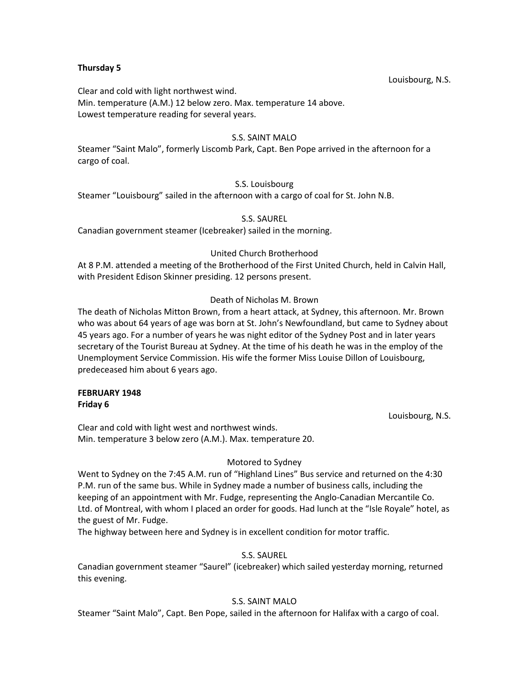### **Thursday 5**

Louisbourg, N.S.

Clear and cold with light northwest wind. Min. temperature (A.M.) 12 below zero. Max. temperature 14 above. Lowest temperature reading for several years.

## S.S. SAINT MALO

Steamer "Saint Malo", formerly Liscomb Park, Capt. Ben Pope arrived in the afternoon for a cargo of coal.

# S.S. Louisbourg

Steamer "Louisbourg" sailed in the afternoon with a cargo of coal for St. John N.B.

## S.S. SAUREL

Canadian government steamer (Icebreaker) sailed in the morning.

# United Church Brotherhood

At 8 P.M. attended a meeting of the Brotherhood of the First United Church, held in Calvin Hall, with President Edison Skinner presiding. 12 persons present.

# Death of Nicholas M. Brown

The death of Nicholas Mitton Brown, from a heart attack, at Sydney, this afternoon. Mr. Brown who was about 64 years of age was born at St. John's Newfoundland, but came to Sydney about 45 years ago. For a number of years he was night editor of the Sydney Post and in later years secretary of the Tourist Bureau at Sydney. At the time of his death he was in the employ of the Unemployment Service Commission. His wife the former Miss Louise Dillon of Louisbourg, predeceased him about 6 years ago.

#### **FEBRUARY 1948 Friday 6**

Louisbourg, N.S.

Clear and cold with light west and northwest winds. Min. temperature 3 below zero (A.M.). Max. temperature 20.

# Motored to Sydney

Went to Sydney on the 7:45 A.M. run of "Highland Lines" Bus service and returned on the 4:30 P.M. run of the same bus. While in Sydney made a number of business calls, including the keeping of an appointment with Mr. Fudge, representing the Anglo-Canadian Mercantile Co. Ltd. of Montreal, with whom I placed an order for goods. Had lunch at the "Isle Royale" hotel, as the guest of Mr. Fudge.

The highway between here and Sydney is in excellent condition for motor traffic.

# S.S. SAUREL

Canadian government steamer "Saurel" (icebreaker) which sailed yesterday morning, returned this evening.

# S.S. SAINT MALO

Steamer "Saint Malo", Capt. Ben Pope, sailed in the afternoon for Halifax with a cargo of coal.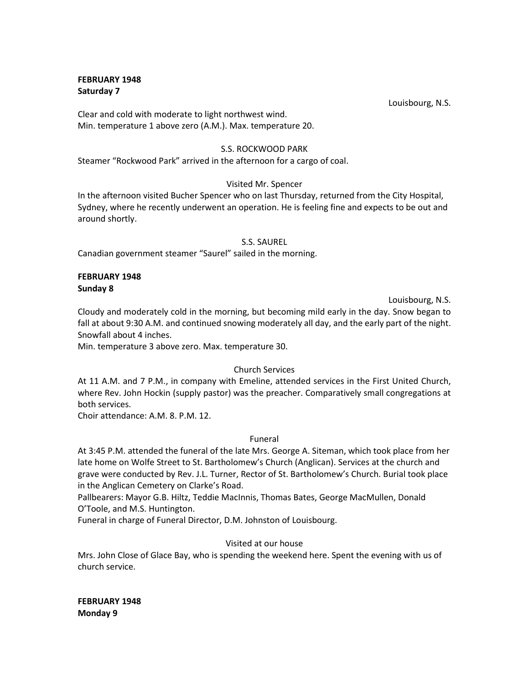## **FEBRUARY 1948 Saturday 7**

Louisbourg, N.S.

Clear and cold with moderate to light northwest wind. Min. temperature 1 above zero (A.M.). Max. temperature 20.

## S.S. ROCKWOOD PARK

Steamer "Rockwood Park" arrived in the afternoon for a cargo of coal.

# Visited Mr. Spencer

In the afternoon visited Bucher Spencer who on last Thursday, returned from the City Hospital, Sydney, where he recently underwent an operation. He is feeling fine and expects to be out and around shortly.

## S.S. SAUREL

Canadian government steamer "Saurel" sailed in the morning.

## **FEBRUARY 1948 Sunday 8**

Louisbourg, N.S.

Cloudy and moderately cold in the morning, but becoming mild early in the day. Snow began to fall at about 9:30 A.M. and continued snowing moderately all day, and the early part of the night. Snowfall about 4 inches.

Min. temperature 3 above zero. Max. temperature 30.

## Church Services

At 11 A.M. and 7 P.M., in company with Emeline, attended services in the First United Church, where Rev. John Hockin (supply pastor) was the preacher. Comparatively small congregations at both services.

Choir attendance: A.M. 8. P.M. 12.

## Funeral

At 3:45 P.M. attended the funeral of the late Mrs. George A. Siteman, which took place from her late home on Wolfe Street to St. Bartholomew's Church (Anglican). Services at the church and grave were conducted by Rev. J.L. Turner, Rector of St. Bartholomew's Church. Burial took place in the Anglican Cemetery on Clarke's Road.

Pallbearers: Mayor G.B. Hiltz, Teddie MacInnis, Thomas Bates, George MacMullen, Donald O'Toole, and M.S. Huntington.

Funeral in charge of Funeral Director, D.M. Johnston of Louisbourg.

# Visited at our house

Mrs. John Close of Glace Bay, who is spending the weekend here. Spent the evening with us of church service.

**FEBRUARY 1948 Monday 9**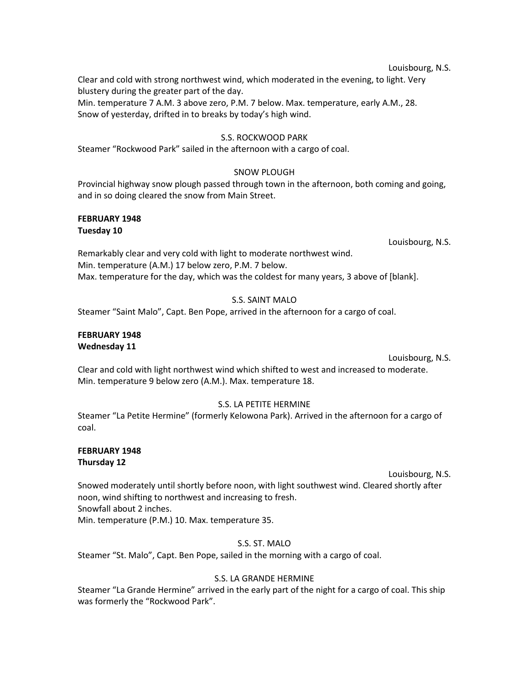#### Louisbourg, N.S.

Clear and cold with strong northwest wind, which moderated in the evening, to light. Very blustery during the greater part of the day.

Min. temperature 7 A.M. 3 above zero, P.M. 7 below. Max. temperature, early A.M., 28. Snow of yesterday, drifted in to breaks by today's high wind.

#### S.S. ROCKWOOD PARK

Steamer "Rockwood Park" sailed in the afternoon with a cargo of coal.

## SNOW PLOUGH

Provincial highway snow plough passed through town in the afternoon, both coming and going, and in so doing cleared the snow from Main Street.

#### **FEBRUARY 1948 Tuesday 10**

Louisbourg, N.S.

Remarkably clear and very cold with light to moderate northwest wind. Min. temperature (A.M.) 17 below zero, P.M. 7 below. Max. temperature for the day, which was the coldest for many years, 3 above of [blank].

# S.S. SAINT MALO

Steamer "Saint Malo", Capt. Ben Pope, arrived in the afternoon for a cargo of coal.

## **FEBRUARY 1948 Wednesday 11**

#### Louisbourg, N.S.

Clear and cold with light northwest wind which shifted to west and increased to moderate. Min. temperature 9 below zero (A.M.). Max. temperature 18.

## S.S. LA PETITE HERMINE

Steamer "La Petite Hermine" (formerly Kelowona Park). Arrived in the afternoon for a cargo of coal.

### **FEBRUARY 1948 Thursday 12**

Louisbourg, N.S.

Snowed moderately until shortly before noon, with light southwest wind. Cleared shortly after noon, wind shifting to northwest and increasing to fresh. Snowfall about 2 inches. Min. temperature (P.M.) 10. Max. temperature 35.

## S.S. ST. MALO

Steamer "St. Malo", Capt. Ben Pope, sailed in the morning with a cargo of coal.

## S.S. LA GRANDE HERMINE

Steamer "La Grande Hermine" arrived in the early part of the night for a cargo of coal. This ship was formerly the "Rockwood Park".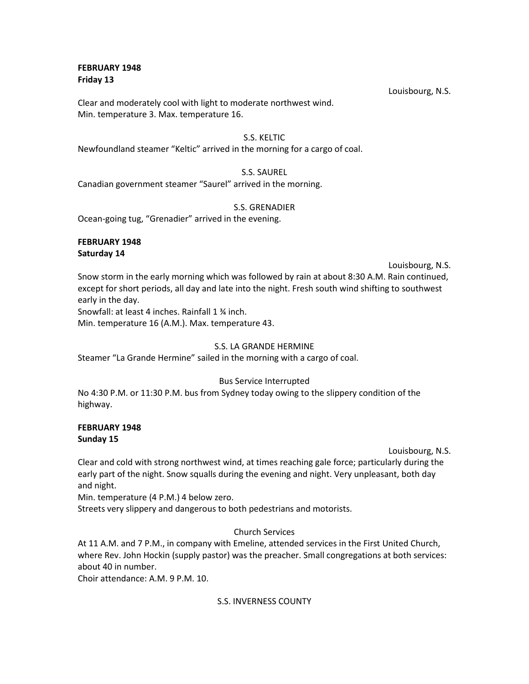## **FEBRUARY 1948 Friday 13**

Clear and moderately cool with light to moderate northwest wind. Min. temperature 3. Max. temperature 16.

## S.S. KELTIC

Newfoundland steamer "Keltic" arrived in the morning for a cargo of coal.

# S.S. SAUREL

Canadian government steamer "Saurel" arrived in the morning.

# S.S. GRENADIER

Ocean-going tug, "Grenadier" arrived in the evening.

# **FEBRUARY 1948 Saturday 14**

Louisbourg, N.S.

Snow storm in the early morning which was followed by rain at about 8:30 A.M. Rain continued, except for short periods, all day and late into the night. Fresh south wind shifting to southwest early in the day.

Snowfall: at least 4 inches. Rainfall 1 ¾ inch.

Min. temperature 16 (A.M.). Max. temperature 43.

# S.S. LA GRANDE HERMINE

Steamer "La Grande Hermine" sailed in the morning with a cargo of coal.

## Bus Service Interrupted

No 4:30 P.M. or 11:30 P.M. bus from Sydney today owing to the slippery condition of the highway.

# **FEBRUARY 1948 Sunday 15**

Louisbourg, N.S.

Clear and cold with strong northwest wind, at times reaching gale force; particularly during the early part of the night. Snow squalls during the evening and night. Very unpleasant, both day and night.

Min. temperature (4 P.M.) 4 below zero.

Streets very slippery and dangerous to both pedestrians and motorists.

# Church Services

At 11 A.M. and 7 P.M., in company with Emeline, attended services in the First United Church, where Rev. John Hockin (supply pastor) was the preacher. Small congregations at both services: about 40 in number.

Choir attendance: A.M. 9 P.M. 10.

## S.S. INVERNESS COUNTY

Louisbourg, N.S.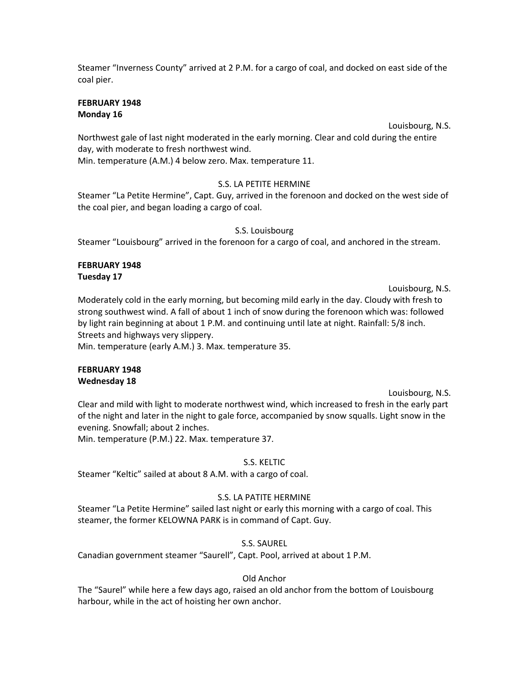Steamer "Inverness County" arrived at 2 P.M. for a cargo of coal, and docked on east side of the coal pier.

#### **FEBRUARY 1948 Monday 16**

Louisbourg, N.S.

Northwest gale of last night moderated in the early morning. Clear and cold during the entire day, with moderate to fresh northwest wind.

Min. temperature (A.M.) 4 below zero. Max. temperature 11.

# S.S. LA PETITE HERMINE

Steamer "La Petite Hermine", Capt. Guy, arrived in the forenoon and docked on the west side of the coal pier, and began loading a cargo of coal.

# S.S. Louisbourg

Steamer "Louisbourg" arrived in the forenoon for a cargo of coal, and anchored in the stream.

#### **FEBRUARY 1948 Tuesday 17**

Louisbourg, N.S.

Moderately cold in the early morning, but becoming mild early in the day. Cloudy with fresh to strong southwest wind. A fall of about 1 inch of snow during the forenoon which was: followed by light rain beginning at about 1 P.M. and continuing until late at night. Rainfall: 5/8 inch. Streets and highways very slippery.

Min. temperature (early A.M.) 3. Max. temperature 35.

## **FEBRUARY 1948 Wednesday 18**

Louisbourg, N.S. Clear and mild with light to moderate northwest wind, which increased to fresh in the early part of the night and later in the night to gale force, accompanied by snow squalls. Light snow in the evening. Snowfall; about 2 inches.

Min. temperature (P.M.) 22. Max. temperature 37.

# S.S. KELTIC

Steamer "Keltic" sailed at about 8 A.M. with a cargo of coal.

# S.S. LA PATITE HERMINE

Steamer "La Petite Hermine" sailed last night or early this morning with a cargo of coal. This steamer, the former KELOWNA PARK is in command of Capt. Guy.

S.S. SAUREL

Canadian government steamer "Saurell", Capt. Pool, arrived at about 1 P.M.

# Old Anchor

The "Saurel" while here a few days ago, raised an old anchor from the bottom of Louisbourg harbour, while in the act of hoisting her own anchor.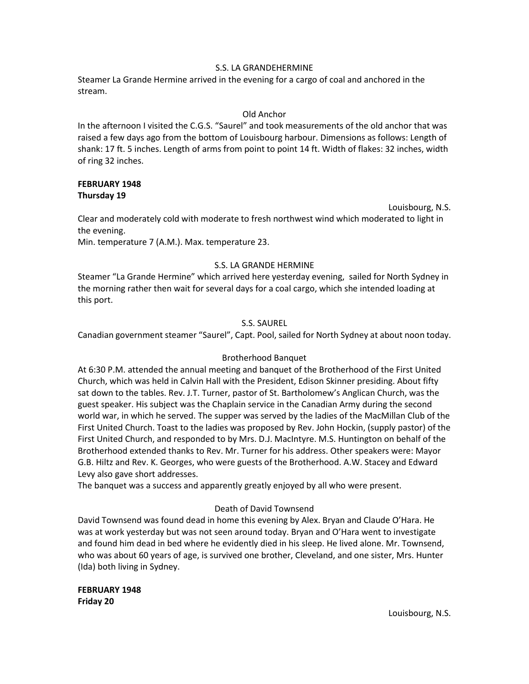## S.S. LA GRANDEHERMINE

Steamer La Grande Hermine arrived in the evening for a cargo of coal and anchored in the stream.

## Old Anchor

In the afternoon I visited the C.G.S. "Saurel" and took measurements of the old anchor that was raised a few days ago from the bottom of Louisbourg harbour. Dimensions as follows: Length of shank: 17 ft. 5 inches. Length of arms from point to point 14 ft. Width of flakes: 32 inches, width of ring 32 inches.

## **FEBRUARY 1948 Thursday 19**

Louisbourg, N.S.

Clear and moderately cold with moderate to fresh northwest wind which moderated to light in the evening.

Min. temperature 7 (A.M.). Max. temperature 23.

# S.S. LA GRANDE HERMINE

Steamer "La Grande Hermine" which arrived here yesterday evening, sailed for North Sydney in the morning rather then wait for several days for a coal cargo, which she intended loading at this port.

# S.S. SAUREL

Canadian government steamer "Saurel", Capt. Pool, sailed for North Sydney at about noon today.

# Brotherhood Banquet

At 6:30 P.M. attended the annual meeting and banquet of the Brotherhood of the First United Church, which was held in Calvin Hall with the President, Edison Skinner presiding. About fifty sat down to the tables. Rev. J.T. Turner, pastor of St. Bartholomew's Anglican Church, was the guest speaker. His subject was the Chaplain service in the Canadian Army during the second world war, in which he served. The supper was served by the ladies of the MacMillan Club of the First United Church. Toast to the ladies was proposed by Rev. John Hockin, (supply pastor) of the First United Church, and responded to by Mrs. D.J. MacIntyre. M.S. Huntington on behalf of the Brotherhood extended thanks to Rev. Mr. Turner for his address. Other speakers were: Mayor G.B. Hiltz and Rev. K. Georges, who were guests of the Brotherhood. A.W. Stacey and Edward Levy also gave short addresses.

The banquet was a success and apparently greatly enjoyed by all who were present.

# Death of David Townsend

David Townsend was found dead in home this evening by Alex. Bryan and Claude O'Hara. He was at work yesterday but was not seen around today. Bryan and O'Hara went to investigate and found him dead in bed where he evidently died in his sleep. He lived alone. Mr. Townsend, who was about 60 years of age, is survived one brother, Cleveland, and one sister, Mrs. Hunter (Ida) both living in Sydney.

**FEBRUARY 1948 Friday 20**

Louisbourg, N.S.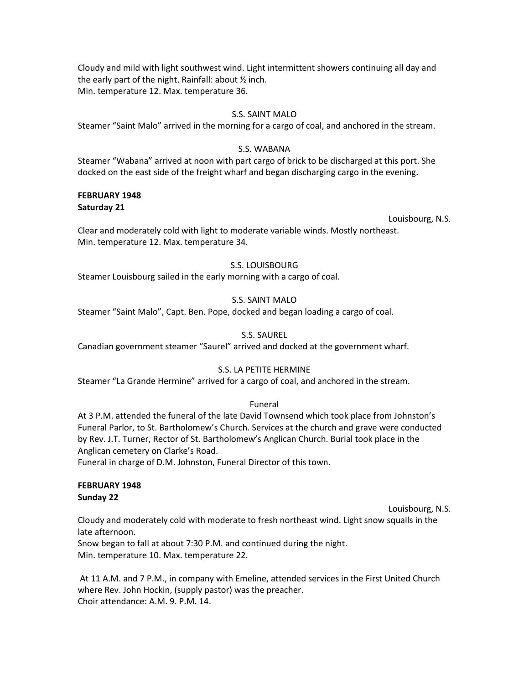Cloudy and mild with light southwest wind. Light intermittent showers continuing all day and the early part of the night. Rainfall: about ½ inch. Min. temperature 12. Max. temperature 36.

## S.S. SAINT MALO

Steamer "Saint Malo" arrived in the morning for a cargo of coal, and anchored in the stream.

## S.S. WABANA

Steamer "Wabana" arrived at noon with part cargo of brick to be discharged at this port. She docked on the east side of the freight wharf and began discharging cargo in the evening.

#### **FEBRUARY 1948 Saturday 21**

Louisbourg, N.S.

Clear and moderately cold with light to moderate variable winds. Mostly northeast. Min. temperature 12. Max. temperature 34.

## S.S. LOUISBOURG

Steamer Louisbourg sailed in the early morning with a cargo of coal.

# S.S. SAINT MALO

Steamer "Saint Malo", Capt. Ben. Pope, docked and began loading a cargo of coal.

## S.S. SAUREL

Canadian government steamer "Saurel" arrived and docked at the government wharf.

## S.S. LA PETITE HERMINE

Steamer "La Grande Hermine" arrived for a cargo of coal, and anchored in the stream.

## Funeral

At 3 P.M. attended the funeral of the late David Townsend which took place from Johnston's Funeral Parlor, to St. Bartholomew's Church. Services at the church and grave were conducted by Rev. J.T. Turner, Rector of St. Bartholomew's Anglican Church. Burial took place in the Anglican cemetery on Clarke's Road.

Funeral in charge of D.M. Johnston, Funeral Director of this town.

## **FEBRUARY 1948 Sunday 22**

Louisbourg, N.S.

Cloudy and moderately cold with moderate to fresh northeast wind. Light snow squalls in the late afternoon.

Snow began to fall at about 7:30 P.M. and continued during the night. Min. temperature 10. Max. temperature 22.

At 11 A.M. and 7 P.M., in company with Emeline, attended services in the First United Church where Rev. John Hockin, (supply pastor) was the preacher. Choir attendance: A.M. 9. P.M. 14.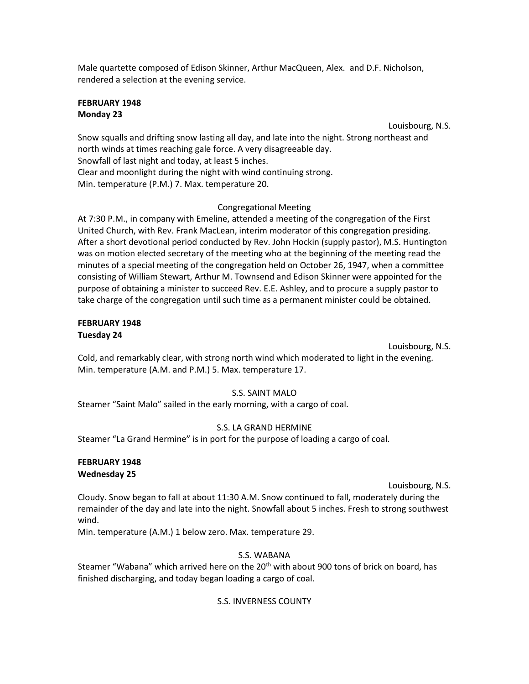Male quartette composed of Edison Skinner, Arthur MacQueen, Alex. and D.F. Nicholson, rendered a selection at the evening service.

### **FEBRUARY 1948 Monday 23**

Louisbourg, N.S.

Snow squalls and drifting snow lasting all day, and late into the night. Strong northeast and north winds at times reaching gale force. A very disagreeable day. Snowfall of last night and today, at least 5 inches. Clear and moonlight during the night with wind continuing strong. Min. temperature (P.M.) 7. Max. temperature 20.

# Congregational Meeting

At 7:30 P.M., in company with Emeline, attended a meeting of the congregation of the First United Church, with Rev. Frank MacLean, interim moderator of this congregation presiding. After a short devotional period conducted by Rev. John Hockin (supply pastor), M.S. Huntington was on motion elected secretary of the meeting who at the beginning of the meeting read the minutes of a special meeting of the congregation held on October 26, 1947, when a committee consisting of William Stewart, Arthur M. Townsend and Edison Skinner were appointed for the purpose of obtaining a minister to succeed Rev. E.E. Ashley, and to procure a supply pastor to take charge of the congregation until such time as a permanent minister could be obtained.

## **FEBRUARY 1948 Tuesday 24**

Louisbourg, N.S.

Cold, and remarkably clear, with strong north wind which moderated to light in the evening. Min. temperature (A.M. and P.M.) 5. Max. temperature 17.

# S.S. SAINT MALO

Steamer "Saint Malo" sailed in the early morning, with a cargo of coal.

# S.S. LA GRAND HERMINE

Steamer "La Grand Hermine" is in port for the purpose of loading a cargo of coal.

#### **FEBRUARY 1948 Wednesday 25**

Louisbourg, N.S.

Cloudy. Snow began to fall at about 11:30 A.M. Snow continued to fall, moderately during the remainder of the day and late into the night. Snowfall about 5 inches. Fresh to strong southwest wind.

Min. temperature (A.M.) 1 below zero. Max. temperature 29.

# S.S. WABANA

Steamer "Wabana" which arrived here on the 20<sup>th</sup> with about 900 tons of brick on board, has finished discharging, and today began loading a cargo of coal.

# S.S. INVERNESS COUNTY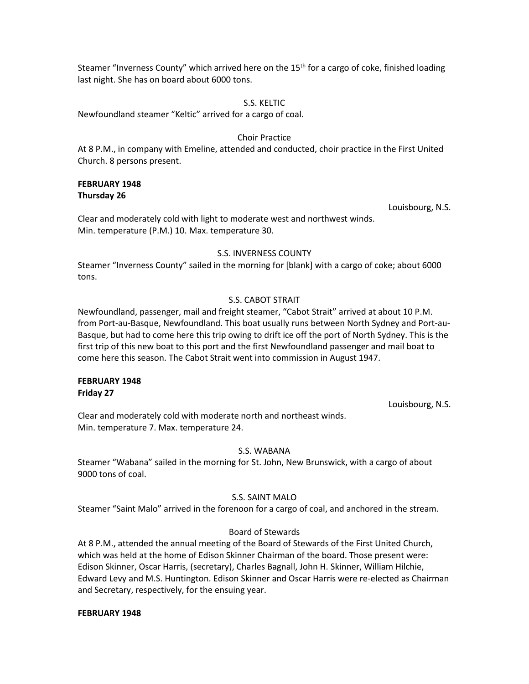Steamer "Inverness County" which arrived here on the  $15<sup>th</sup>$  for a cargo of coke, finished loading last night. She has on board about 6000 tons.

### S.S. KELTIC

Newfoundland steamer "Keltic" arrived for a cargo of coal.

#### Choir Practice

At 8 P.M., in company with Emeline, attended and conducted, choir practice in the First United Church. 8 persons present.

### **FEBRUARY 1948 Thursday 26**

Louisbourg, N.S.

Clear and moderately cold with light to moderate west and northwest winds. Min. temperature (P.M.) 10. Max. temperature 30.

#### S.S. INVERNESS COUNTY

Steamer "Inverness County" sailed in the morning for [blank] with a cargo of coke; about 6000 tons.

#### S.S. CABOT STRAIT

Newfoundland, passenger, mail and freight steamer, "Cabot Strait" arrived at about 10 P.M. from Port-au-Basque, Newfoundland. This boat usually runs between North Sydney and Port-au-Basque, but had to come here this trip owing to drift ice off the port of North Sydney. This is the first trip of this new boat to this port and the first Newfoundland passenger and mail boat to come here this season. The Cabot Strait went into commission in August 1947.

#### **FEBRUARY 1948 Friday 27**

Louisbourg, N.S.

Clear and moderately cold with moderate north and northeast winds. Min. temperature 7. Max. temperature 24.

#### S.S. WABANA

Steamer "Wabana" sailed in the morning for St. John, New Brunswick, with a cargo of about 9000 tons of coal.

## S.S. SAINT MALO

Steamer "Saint Malo" arrived in the forenoon for a cargo of coal, and anchored in the stream.

## Board of Stewards

At 8 P.M., attended the annual meeting of the Board of Stewards of the First United Church, which was held at the home of Edison Skinner Chairman of the board. Those present were: Edison Skinner, Oscar Harris, (secretary), Charles Bagnall, John H. Skinner, William Hilchie, Edward Levy and M.S. Huntington. Edison Skinner and Oscar Harris were re-elected as Chairman and Secretary, respectively, for the ensuing year.

#### **FEBRUARY 1948**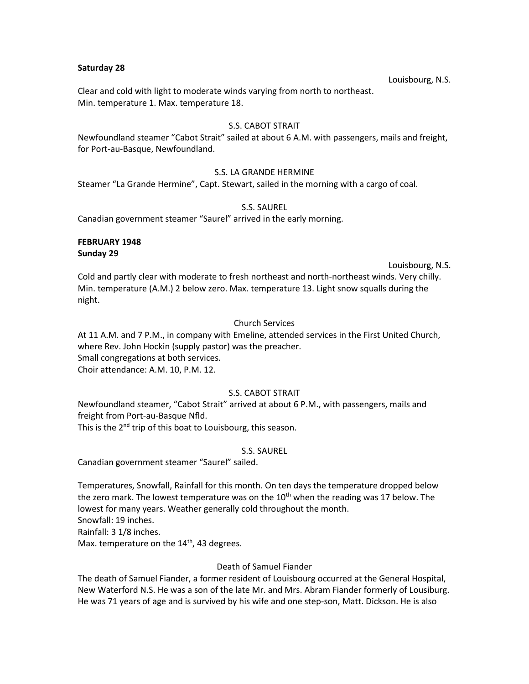#### **Saturday 28**

Louisbourg, N.S.

Clear and cold with light to moderate winds varying from north to northeast. Min. temperature 1. Max. temperature 18.

# S.S. CABOT STRAIT

Newfoundland steamer "Cabot Strait" sailed at about 6 A.M. with passengers, mails and freight, for Port-au-Basque, Newfoundland.

## S.S. LA GRANDE HERMINE

Steamer "La Grande Hermine", Capt. Stewart, sailed in the morning with a cargo of coal.

#### S.S. SAUREL

Canadian government steamer "Saurel" arrived in the early morning.

## **FEBRUARY 1948 Sunday 29**

#### Louisbourg, N.S.

Cold and partly clear with moderate to fresh northeast and north-northeast winds. Very chilly. Min. temperature (A.M.) 2 below zero. Max. temperature 13. Light snow squalls during the night.

## Church Services

At 11 A.M. and 7 P.M., in company with Emeline, attended services in the First United Church, where Rev. John Hockin (supply pastor) was the preacher. Small congregations at both services. Choir attendance: A.M. 10, P.M. 12.

## S.S. CABOT STRAIT

Newfoundland steamer, "Cabot Strait" arrived at about 6 P.M., with passengers, mails and freight from Port-au-Basque Nfld.

This is the 2<sup>nd</sup> trip of this boat to Louisbourg, this season.

## S.S. SAUREL

Canadian government steamer "Saurel" sailed.

Temperatures, Snowfall, Rainfall for this month. On ten days the temperature dropped below the zero mark. The lowest temperature was on the  $10<sup>th</sup>$  when the reading was 17 below. The lowest for many years. Weather generally cold throughout the month.

Snowfall: 19 inches.

Rainfall: 3 1/8 inches. Max. temperature on the  $14<sup>th</sup>$ , 43 degrees.

## Death of Samuel Fiander

The death of Samuel Fiander, a former resident of Louisbourg occurred at the General Hospital, New Waterford N.S. He was a son of the late Mr. and Mrs. Abram Fiander formerly of Lousiburg. He was 71 years of age and is survived by his wife and one step-son, Matt. Dickson. He is also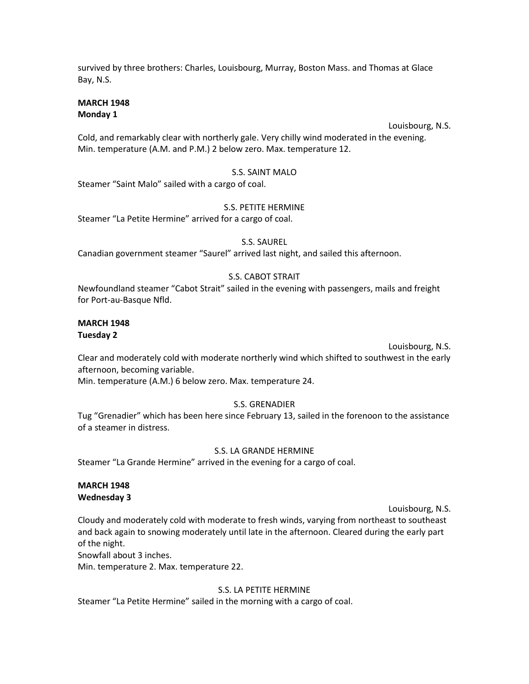survived by three brothers: Charles, Louisbourg, Murray, Boston Mass. and Thomas at Glace Bay, N.S.

## **MARCH 1948 Monday 1**

Louisbourg, N.S.

Cold, and remarkably clear with northerly gale. Very chilly wind moderated in the evening. Min. temperature (A.M. and P.M.) 2 below zero. Max. temperature 12.

# S.S. SAINT MALO

Steamer "Saint Malo" sailed with a cargo of coal.

## S.S. PETITE HERMINE

Steamer "La Petite Hermine" arrived for a cargo of coal.

## S.S. SAUREL

Canadian government steamer "Saurel" arrived last night, and sailed this afternoon.

# S.S. CABOT STRAIT

Newfoundland steamer "Cabot Strait" sailed in the evening with passengers, mails and freight for Port-au-Basque Nfld.

#### **MARCH 1948 Tuesday 2**

Louisbourg, N.S.

Clear and moderately cold with moderate northerly wind which shifted to southwest in the early afternoon, becoming variable.

Min. temperature (A.M.) 6 below zero. Max. temperature 24.

## S.S. GRENADIER

Tug "Grenadier" which has been here since February 13, sailed in the forenoon to the assistance of a steamer in distress.

## S.S. LA GRANDE HERMINE

Steamer "La Grande Hermine" arrived in the evening for a cargo of coal.

# **MARCH 1948 Wednesday 3**

Louisbourg, N.S.

Cloudy and moderately cold with moderate to fresh winds, varying from northeast to southeast and back again to snowing moderately until late in the afternoon. Cleared during the early part of the night.

Snowfall about 3 inches.

Min. temperature 2. Max. temperature 22.

# S.S. LA PETITE HERMINE

Steamer "La Petite Hermine" sailed in the morning with a cargo of coal.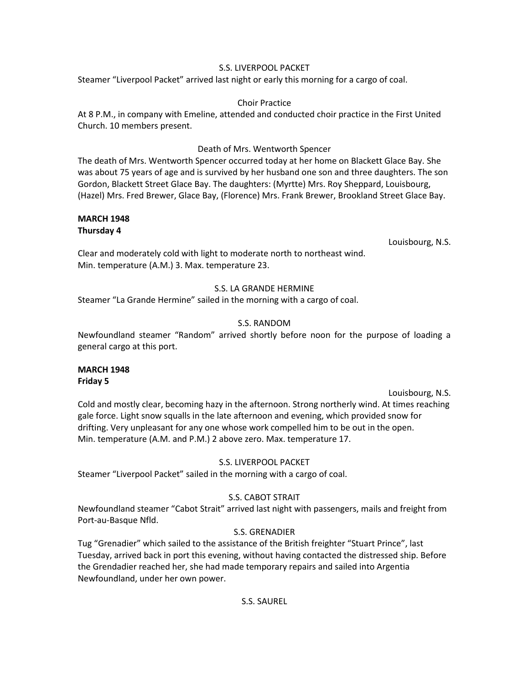### S.S. LIVERPOOL PACKET

Steamer "Liverpool Packet" arrived last night or early this morning for a cargo of coal.

## Choir Practice

At 8 P.M., in company with Emeline, attended and conducted choir practice in the First United Church. 10 members present.

## Death of Mrs. Wentworth Spencer

The death of Mrs. Wentworth Spencer occurred today at her home on Blackett Glace Bay. She was about 75 years of age and is survived by her husband one son and three daughters. The son Gordon, Blackett Street Glace Bay. The daughters: (Myrtte) Mrs. Roy Sheppard, Louisbourg, (Hazel) Mrs. Fred Brewer, Glace Bay, (Florence) Mrs. Frank Brewer, Brookland Street Glace Bay.

## **MARCH 1948 Thursday 4**

Louisbourg, N.S.

Clear and moderately cold with light to moderate north to northeast wind. Min. temperature (A.M.) 3. Max. temperature 23.

# S.S. LA GRANDE HERMINE

Steamer "La Grande Hermine" sailed in the morning with a cargo of coal.

# S.S. RANDOM

Newfoundland steamer "Random" arrived shortly before noon for the purpose of loading a general cargo at this port.

#### **MARCH 1948 Friday 5**

#### Louisbourg, N.S.

Cold and mostly clear, becoming hazy in the afternoon. Strong northerly wind. At times reaching gale force. Light snow squalls in the late afternoon and evening, which provided snow for drifting. Very unpleasant for any one whose work compelled him to be out in the open. Min. temperature (A.M. and P.M.) 2 above zero. Max. temperature 17.

# S.S. LIVERPOOL PACKET

Steamer "Liverpool Packet" sailed in the morning with a cargo of coal.

# S.S. CABOT STRAIT

Newfoundland steamer "Cabot Strait" arrived last night with passengers, mails and freight from Port-au-Basque Nfld.

# S.S. GRENADIER

Tug "Grenadier" which sailed to the assistance of the British freighter "Stuart Prince", last Tuesday, arrived back in port this evening, without having contacted the distressed ship. Before the Grendadier reached her, she had made temporary repairs and sailed into Argentia Newfoundland, under her own power.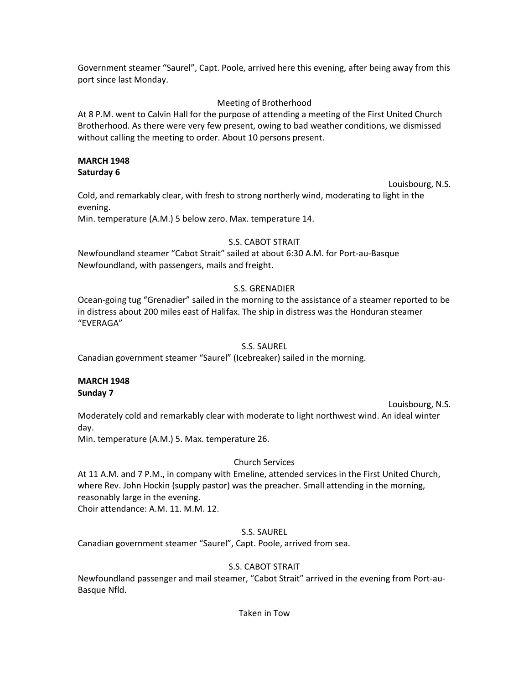Government steamer "Saurel", Capt. Poole, arrived here this evening, after being away from this port since last Monday.

# Meeting of Brotherhood

At 8 P.M. went to Calvin Hall for the purpose of attending a meeting of the First United Church Brotherhood. As there were very few present, owing to bad weather conditions, we dismissed without calling the meeting to order. About 10 persons present.

## **MARCH 1948 Saturday 6**

Louisbourg, N.S.

Cold, and remarkably clear, with fresh to strong northerly wind, moderating to light in the evening.

Min. temperature (A.M.) 5 below zero. Max. temperature 14.

# S.S. CABOT STRAIT

Newfoundland steamer "Cabot Strait" sailed at about 6:30 A.M. for Port-au-Basque Newfoundland, with passengers, mails and freight.

# S.S. GRENADIER

Ocean-going tug "Grenadier" sailed in the morning to the assistance of a steamer reported to be in distress about 200 miles east of Halifax. The ship in distress was the Honduran steamer "EVERAGA"

# S.S. SAUREL

Canadian government steamer "Saurel" (Icebreaker) sailed in the morning.

### **MARCH 1948 Sunday 7**

Louisbourg, N.S. Moderately cold and remarkably clear with moderate to light northwest wind. An ideal winter day.

Min. temperature (A.M.) 5. Max. temperature 26.

# Church Services

At 11 A.M. and 7 P.M., in company with Emeline, attended services in the First United Church, where Rev. John Hockin (supply pastor) was the preacher. Small attending in the morning, reasonably large in the evening.

Choir attendance: A.M. 11. M.M. 12.

## S.S. SAUREL

Canadian government steamer "Saurel", Capt. Poole, arrived from sea.

# S.S. CABOT STRAIT

Newfoundland passenger and mail steamer, "Cabot Strait" arrived in the evening from Port-au-Basque Nfld.

Taken in Tow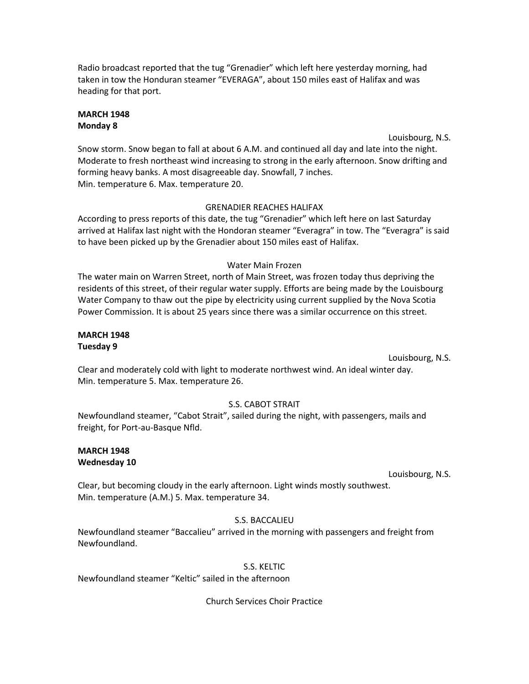Radio broadcast reported that the tug "Grenadier" which left here yesterday morning, had taken in tow the Honduran steamer "EVERAGA", about 150 miles east of Halifax and was heading for that port.

# **MARCH 1948 Monday 8**

Louisbourg, N.S.

Snow storm. Snow began to fall at about 6 A.M. and continued all day and late into the night. Moderate to fresh northeast wind increasing to strong in the early afternoon. Snow drifting and forming heavy banks. A most disagreeable day. Snowfall, 7 inches. Min. temperature 6. Max. temperature 20.

# GRENADIER REACHES HALIFAX

According to press reports of this date, the tug "Grenadier" which left here on last Saturday arrived at Halifax last night with the Hondoran steamer "Everagra" in tow. The "Everagra" is said to have been picked up by the Grenadier about 150 miles east of Halifax.

# Water Main Frozen

The water main on Warren Street, north of Main Street, was frozen today thus depriving the residents of this street, of their regular water supply. Efforts are being made by the Louisbourg Water Company to thaw out the pipe by electricity using current supplied by the Nova Scotia Power Commission. It is about 25 years since there was a similar occurrence on this street.

# **MARCH 1948 Tuesday 9**

Louisbourg, N.S.

Clear and moderately cold with light to moderate northwest wind. An ideal winter day. Min. temperature 5. Max. temperature 26.

# S.S. CABOT STRAIT

Newfoundland steamer, "Cabot Strait", sailed during the night, with passengers, mails and freight, for Port-au-Basque Nfld.

# **MARCH 1948 Wednesday 10**

Louisbourg, N.S.

Clear, but becoming cloudy in the early afternoon. Light winds mostly southwest. Min. temperature (A.M.) 5. Max. temperature 34.

# S.S. BACCALIEU

Newfoundland steamer "Baccalieu" arrived in the morning with passengers and freight from Newfoundland.

# S.S. KELTIC

Newfoundland steamer "Keltic" sailed in the afternoon

Church Services Choir Practice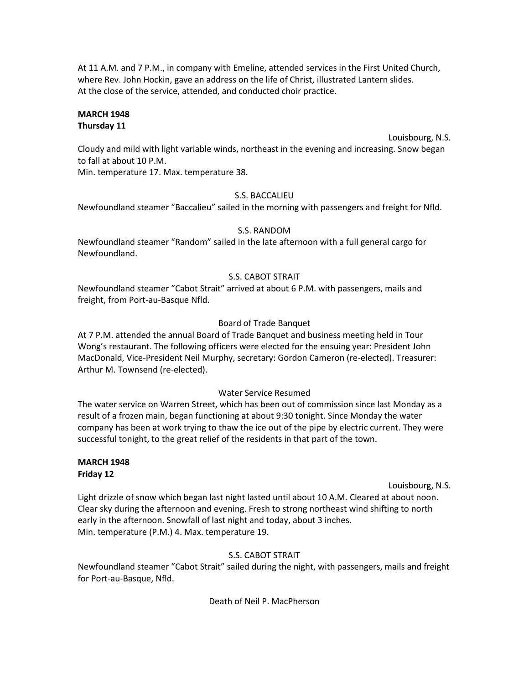At 11 A.M. and 7 P.M., in company with Emeline, attended services in the First United Church, where Rev. John Hockin, gave an address on the life of Christ, illustrated Lantern slides. At the close of the service, attended, and conducted choir practice.

# **MARCH 1948 Thursday 11**

Louisbourg, N.S.

Cloudy and mild with light variable winds, northeast in the evening and increasing. Snow began to fall at about 10 P.M.

Min. temperature 17. Max. temperature 38.

# S.S. BACCALIEU

Newfoundland steamer "Baccalieu" sailed in the morning with passengers and freight for Nfld.

# S.S. RANDOM

Newfoundland steamer "Random" sailed in the late afternoon with a full general cargo for Newfoundland.

# S.S. CABOT STRAIT

Newfoundland steamer "Cabot Strait" arrived at about 6 P.M. with passengers, mails and freight, from Port-au-Basque Nfld.

# Board of Trade Banquet

At 7 P.M. attended the annual Board of Trade Banquet and business meeting held in Tour Wong's restaurant. The following officers were elected for the ensuing year: President John MacDonald, Vice-President Neil Murphy, secretary: Gordon Cameron (re-elected). Treasurer: Arthur M. Townsend (re-elected).

# Water Service Resumed

The water service on Warren Street, which has been out of commission since last Monday as a result of a frozen main, began functioning at about 9:30 tonight. Since Monday the water company has been at work trying to thaw the ice out of the pipe by electric current. They were successful tonight, to the great relief of the residents in that part of the town.

### **MARCH 1948 Friday 12**

Louisbourg, N.S.

Light drizzle of snow which began last night lasted until about 10 A.M. Cleared at about noon. Clear sky during the afternoon and evening. Fresh to strong northeast wind shifting to north early in the afternoon. Snowfall of last night and today, about 3 inches. Min. temperature (P.M.) 4. Max. temperature 19.

# S.S. CABOT STRAIT

Newfoundland steamer "Cabot Strait" sailed during the night, with passengers, mails and freight for Port-au-Basque, Nfld.

# Death of Neil P. MacPherson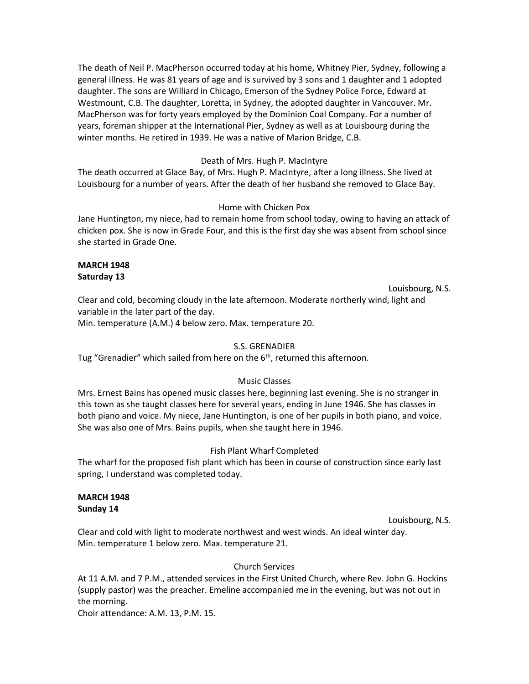The death of Neil P. MacPherson occurred today at his home, Whitney Pier, Sydney, following a general illness. He was 81 years of age and is survived by 3 sons and 1 daughter and 1 adopted daughter. The sons are Williard in Chicago, Emerson of the Sydney Police Force, Edward at Westmount, C.B. The daughter, Loretta, in Sydney, the adopted daughter in Vancouver. Mr. MacPherson was for forty years employed by the Dominion Coal Company. For a number of years, foreman shipper at the International Pier, Sydney as well as at Louisbourg during the winter months. He retired in 1939. He was a native of Marion Bridge, C.B.

### Death of Mrs. Hugh P. MacIntyre

The death occurred at Glace Bay, of Mrs. Hugh P. MacIntyre, after a long illness. She lived at Louisbourg for a number of years. After the death of her husband she removed to Glace Bay.

#### Home with Chicken Pox

Jane Huntington, my niece, had to remain home from school today, owing to having an attack of chicken pox. She is now in Grade Four, and this is the first day she was absent from school since she started in Grade One.

### **MARCH 1948 Saturday 13**

Louisbourg, N.S.

Clear and cold, becoming cloudy in the late afternoon. Moderate northerly wind, light and variable in the later part of the day.

Min. temperature (A.M.) 4 below zero. Max. temperature 20.

## S.S. GRENADIER

Tug "Grenadier" which sailed from here on the  $6<sup>th</sup>$ , returned this afternoon.

## Music Classes

Mrs. Ernest Bains has opened music classes here, beginning last evening. She is no stranger in this town as she taught classes here for several years, ending in June 1946. She has classes in both piano and voice. My niece, Jane Huntington, is one of her pupils in both piano, and voice. She was also one of Mrs. Bains pupils, when she taught here in 1946.

## Fish Plant Wharf Completed

The wharf for the proposed fish plant which has been in course of construction since early last spring, I understand was completed today.

#### **MARCH 1948 Sunday 14**

Louisbourg, N.S.

Clear and cold with light to moderate northwest and west winds. An ideal winter day. Min. temperature 1 below zero. Max. temperature 21.

#### Church Services

At 11 A.M. and 7 P.M., attended services in the First United Church, where Rev. John G. Hockins (supply pastor) was the preacher. Emeline accompanied me in the evening, but was not out in the morning.

Choir attendance: A.M. 13, P.M. 15.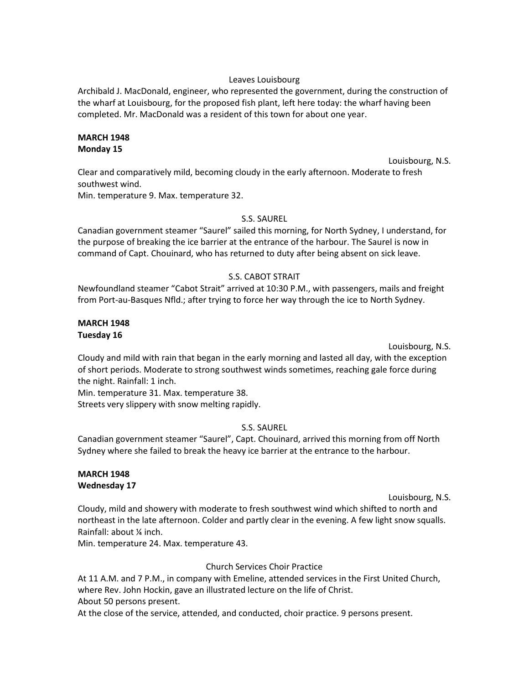### Leaves Louisbourg

Archibald J. MacDonald, engineer, who represented the government, during the construction of the wharf at Louisbourg, for the proposed fish plant, left here today: the wharf having been completed. Mr. MacDonald was a resident of this town for about one year.

#### **MARCH 1948 Monday 15**

Louisbourg, N.S. Clear and comparatively mild, becoming cloudy in the early afternoon. Moderate to fresh southwest wind.

Min. temperature 9. Max. temperature 32.

## S.S. SAUREL

Canadian government steamer "Saurel" sailed this morning, for North Sydney, I understand, for the purpose of breaking the ice barrier at the entrance of the harbour. The Saurel is now in command of Capt. Chouinard, who has returned to duty after being absent on sick leave.

## S.S. CABOT STRAIT

Newfoundland steamer "Cabot Strait" arrived at 10:30 P.M., with passengers, mails and freight from Port-au-Basques Nfld.; after trying to force her way through the ice to North Sydney.

## **MARCH 1948 Tuesday 16**

Louisbourg, N.S.

Cloudy and mild with rain that began in the early morning and lasted all day, with the exception of short periods. Moderate to strong southwest winds sometimes, reaching gale force during the night. Rainfall: 1 inch.

Min. temperature 31. Max. temperature 38. Streets very slippery with snow melting rapidly.

## S.S. SAUREL

Canadian government steamer "Saurel", Capt. Chouinard, arrived this morning from off North Sydney where she failed to break the heavy ice barrier at the entrance to the harbour.

# **MARCH 1948 Wednesday 17**

Louisbourg, N.S.

Cloudy, mild and showery with moderate to fresh southwest wind which shifted to north and northeast in the late afternoon. Colder and partly clear in the evening. A few light snow squalls. Rainfall: about ¼ inch.

Min. temperature 24. Max. temperature 43.

## Church Services Choir Practice

At 11 A.M. and 7 P.M., in company with Emeline, attended services in the First United Church, where Rev. John Hockin, gave an illustrated lecture on the life of Christ. About 50 persons present.

At the close of the service, attended, and conducted, choir practice. 9 persons present.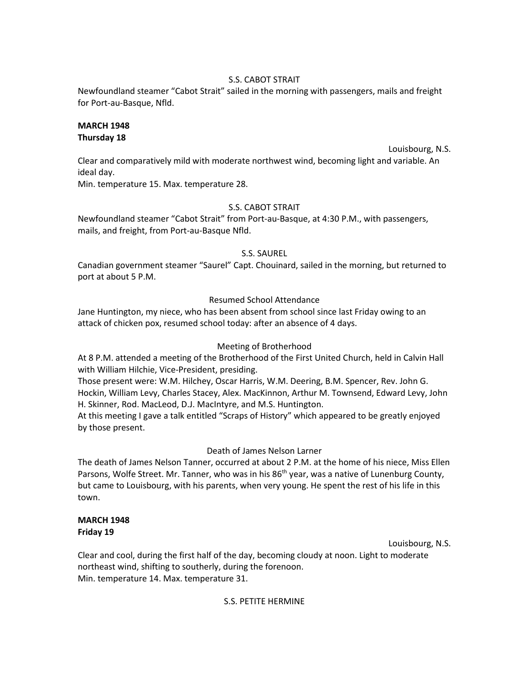## S.S. CABOT STRAIT

Newfoundland steamer "Cabot Strait" sailed in the morning with passengers, mails and freight for Port-au-Basque, Nfld.

# **MARCH 1948 Thursday 18**

Louisbourg, N.S.

Clear and comparatively mild with moderate northwest wind, becoming light and variable. An ideal day.

Min. temperature 15. Max. temperature 28.

# S.S. CABOT STRAIT

Newfoundland steamer "Cabot Strait" from Port-au-Basque, at 4:30 P.M., with passengers, mails, and freight, from Port-au-Basque Nfld.

# S.S. SAUREL

Canadian government steamer "Saurel" Capt. Chouinard, sailed in the morning, but returned to port at about 5 P.M.

# Resumed School Attendance

Jane Huntington, my niece, who has been absent from school since last Friday owing to an attack of chicken pox, resumed school today: after an absence of 4 days.

# Meeting of Brotherhood

At 8 P.M. attended a meeting of the Brotherhood of the First United Church, held in Calvin Hall with William Hilchie, Vice-President, presiding.

Those present were: W.M. Hilchey, Oscar Harris, W.M. Deering, B.M. Spencer, Rev. John G. Hockin, William Levy, Charles Stacey, Alex. MacKinnon, Arthur M. Townsend, Edward Levy, John H. Skinner, Rod. MacLeod, D.J. MacIntyre, and M.S. Huntington.

At this meeting I gave a talk entitled "Scraps of History" which appeared to be greatly enjoyed by those present.

# Death of James Nelson Larner

The death of James Nelson Tanner, occurred at about 2 P.M. at the home of his niece, Miss Ellen Parsons, Wolfe Street. Mr. Tanner, who was in his  $86<sup>th</sup>$  year, was a native of Lunenburg County, but came to Louisbourg, with his parents, when very young. He spent the rest of his life in this town.

# **MARCH 1948 Friday 19**

Louisbourg, N.S.

Clear and cool, during the first half of the day, becoming cloudy at noon. Light to moderate northeast wind, shifting to southerly, during the forenoon. Min. temperature 14. Max. temperature 31.

S.S. PETITE HERMINE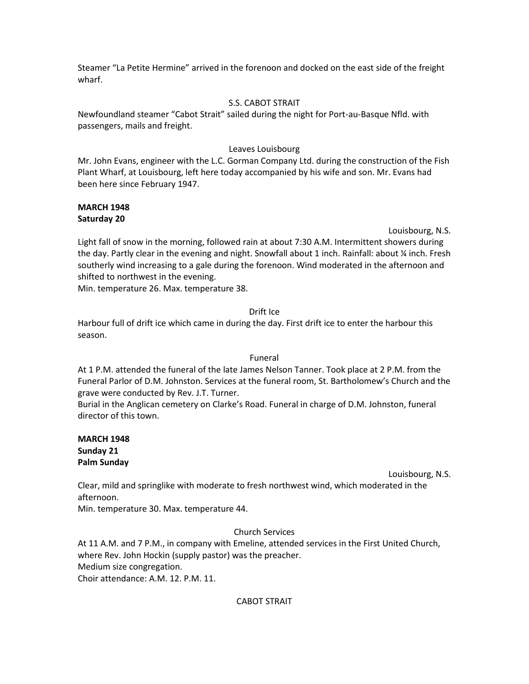Steamer "La Petite Hermine" arrived in the forenoon and docked on the east side of the freight wharf.

## S.S. CABOT STRAIT

Newfoundland steamer "Cabot Strait" sailed during the night for Port-au-Basque Nfld. with passengers, mails and freight.

# Leaves Louisbourg

Mr. John Evans, engineer with the L.C. Gorman Company Ltd. during the construction of the Fish Plant Wharf, at Louisbourg, left here today accompanied by his wife and son. Mr. Evans had been here since February 1947.

## **MARCH 1948 Saturday 20**

Louisbourg, N.S.

Light fall of snow in the morning, followed rain at about 7:30 A.M. Intermittent showers during the day. Partly clear in the evening and night. Snowfall about 1 inch. Rainfall: about ¼ inch. Fresh southerly wind increasing to a gale during the forenoon. Wind moderated in the afternoon and shifted to northwest in the evening.

Min. temperature 26. Max. temperature 38.

# Drift Ice

Harbour full of drift ice which came in during the day. First drift ice to enter the harbour this season.

## Funeral

At 1 P.M. attended the funeral of the late James Nelson Tanner. Took place at 2 P.M. from the Funeral Parlor of D.M. Johnston. Services at the funeral room, St. Bartholomew's Church and the grave were conducted by Rev. J.T. Turner.

Burial in the Anglican cemetery on Clarke's Road. Funeral in charge of D.M. Johnston, funeral director of this town.

## **MARCH 1948 Sunday 21 Palm Sunday**

Louisbourg, N.S.

Clear, mild and springlike with moderate to fresh northwest wind, which moderated in the afternoon.

Min. temperature 30. Max. temperature 44.

# Church Services

At 11 A.M. and 7 P.M., in company with Emeline, attended services in the First United Church, where Rev. John Hockin (supply pastor) was the preacher. Medium size congregation. Choir attendance: A.M. 12. P.M. 11.

# CABOT STRAIT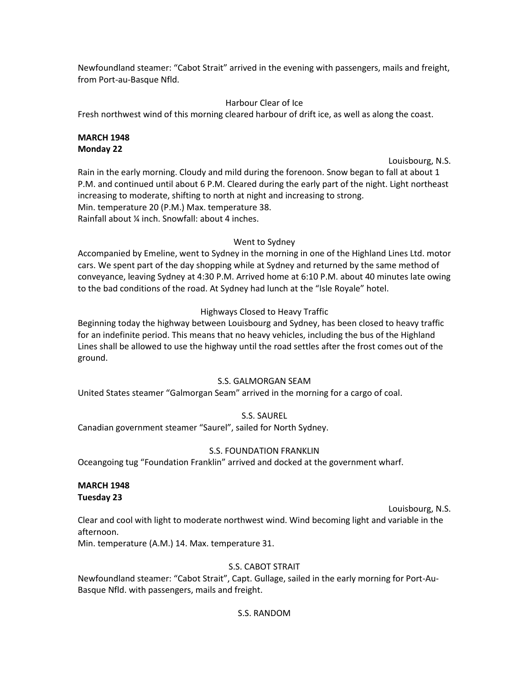Newfoundland steamer: "Cabot Strait" arrived in the evening with passengers, mails and freight, from Port-au-Basque Nfld.

# Harbour Clear of Ice

Fresh northwest wind of this morning cleared harbour of drift ice, as well as along the coast.

# **MARCH 1948 Monday 22**

Louisbourg, N.S.

Rain in the early morning. Cloudy and mild during the forenoon. Snow began to fall at about 1 P.M. and continued until about 6 P.M. Cleared during the early part of the night. Light northeast increasing to moderate, shifting to north at night and increasing to strong. Min. temperature 20 (P.M.) Max. temperature 38. Rainfall about ¼ inch. Snowfall: about 4 inches.

# Went to Sydney

Accompanied by Emeline, went to Sydney in the morning in one of the Highland Lines Ltd. motor cars. We spent part of the day shopping while at Sydney and returned by the same method of conveyance, leaving Sydney at 4:30 P.M. Arrived home at 6:10 P.M. about 40 minutes late owing to the bad conditions of the road. At Sydney had lunch at the "Isle Royale" hotel.

# Highways Closed to Heavy Traffic

Beginning today the highway between Louisbourg and Sydney, has been closed to heavy traffic for an indefinite period. This means that no heavy vehicles, including the bus of the Highland Lines shall be allowed to use the highway until the road settles after the frost comes out of the ground.

# S.S. GALMORGAN SEAM

United States steamer "Galmorgan Seam" arrived in the morning for a cargo of coal.

# S.S. SAUREL

Canadian government steamer "Saurel", sailed for North Sydney.

# S.S. FOUNDATION FRANKLIN

Oceangoing tug "Foundation Franklin" arrived and docked at the government wharf.

# **MARCH 1948 Tuesday 23**

Louisbourg, N.S.

Clear and cool with light to moderate northwest wind. Wind becoming light and variable in the afternoon.

Min. temperature (A.M.) 14. Max. temperature 31.

# S.S. CABOT STRAIT

Newfoundland steamer: "Cabot Strait", Capt. Gullage, sailed in the early morning for Port-Au-Basque Nfld. with passengers, mails and freight.

## S.S. RANDOM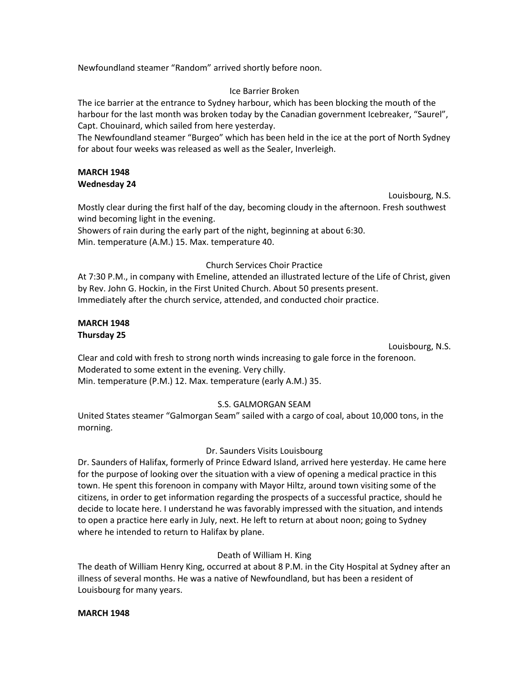Newfoundland steamer "Random" arrived shortly before noon.

### Ice Barrier Broken

The ice barrier at the entrance to Sydney harbour, which has been blocking the mouth of the harbour for the last month was broken today by the Canadian government Icebreaker, "Saurel", Capt. Chouinard, which sailed from here yesterday.

The Newfoundland steamer "Burgeo" which has been held in the ice at the port of North Sydney for about four weeks was released as well as the Sealer, Inverleigh.

## **MARCH 1948 Wednesday 24**

Louisbourg, N.S.

Mostly clear during the first half of the day, becoming cloudy in the afternoon. Fresh southwest wind becoming light in the evening.

Showers of rain during the early part of the night, beginning at about 6:30. Min. temperature (A.M.) 15. Max. temperature 40.

## Church Services Choir Practice

At 7:30 P.M., in company with Emeline, attended an illustrated lecture of the Life of Christ, given by Rev. John G. Hockin, in the First United Church. About 50 presents present. Immediately after the church service, attended, and conducted choir practice.

### **MARCH 1948 Thursday 25**

Louisbourg, N.S.

Clear and cold with fresh to strong north winds increasing to gale force in the forenoon. Moderated to some extent in the evening. Very chilly. Min. temperature (P.M.) 12. Max. temperature (early A.M.) 35.

# S.S. GALMORGAN SEAM

United States steamer "Galmorgan Seam" sailed with a cargo of coal, about 10,000 tons, in the morning.

## Dr. Saunders Visits Louisbourg

Dr. Saunders of Halifax, formerly of Prince Edward Island, arrived here yesterday. He came here for the purpose of looking over the situation with a view of opening a medical practice in this town. He spent this forenoon in company with Mayor Hiltz, around town visiting some of the citizens, in order to get information regarding the prospects of a successful practice, should he decide to locate here. I understand he was favorably impressed with the situation, and intends to open a practice here early in July, next. He left to return at about noon; going to Sydney where he intended to return to Halifax by plane.

# Death of William H. King

The death of William Henry King, occurred at about 8 P.M. in the City Hospital at Sydney after an illness of several months. He was a native of Newfoundland, but has been a resident of Louisbourg for many years.

## **MARCH 1948**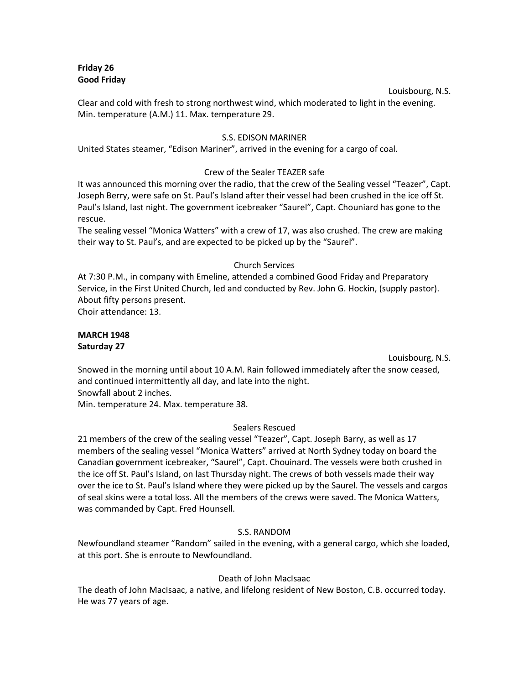## **Friday 26 Good Friday**

#### Louisbourg, N.S.

Clear and cold with fresh to strong northwest wind, which moderated to light in the evening. Min. temperature (A.M.) 11. Max. temperature 29.

### S.S. EDISON MARINER

United States steamer, "Edison Mariner", arrived in the evening for a cargo of coal.

## Crew of the Sealer TEAZER safe

It was announced this morning over the radio, that the crew of the Sealing vessel "Teazer", Capt. Joseph Berry, were safe on St. Paul's Island after their vessel had been crushed in the ice off St. Paul's Island, last night. The government icebreaker "Saurel", Capt. Chouniard has gone to the rescue.

The sealing vessel "Monica Watters" with a crew of 17, was also crushed. The crew are making their way to St. Paul's, and are expected to be picked up by the "Saurel".

## Church Services

At 7:30 P.M., in company with Emeline, attended a combined Good Friday and Preparatory Service, in the First United Church, led and conducted by Rev. John G. Hockin, (supply pastor). About fifty persons present.

Choir attendance: 13.

# **MARCH 1948 Saturday 27**

Louisbourg, N.S.

Snowed in the morning until about 10 A.M. Rain followed immediately after the snow ceased, and continued intermittently all day, and late into the night. Snowfall about 2 inches.

Min. temperature 24. Max. temperature 38.

## Sealers Rescued

21 members of the crew of the sealing vessel "Teazer", Capt. Joseph Barry, as well as 17 members of the sealing vessel "Monica Watters" arrived at North Sydney today on board the Canadian government icebreaker, "Saurel", Capt. Chouinard. The vessels were both crushed in the ice off St. Paul's Island, on last Thursday night. The crews of both vessels made their way over the ice to St. Paul's Island where they were picked up by the Saurel. The vessels and cargos of seal skins were a total loss. All the members of the crews were saved. The Monica Watters, was commanded by Capt. Fred Hounsell.

## S.S. RANDOM

Newfoundland steamer "Random" sailed in the evening, with a general cargo, which she loaded, at this port. She is enroute to Newfoundland.

## Death of John MacIsaac

The death of John MacIsaac, a native, and lifelong resident of New Boston, C.B. occurred today. He was 77 years of age.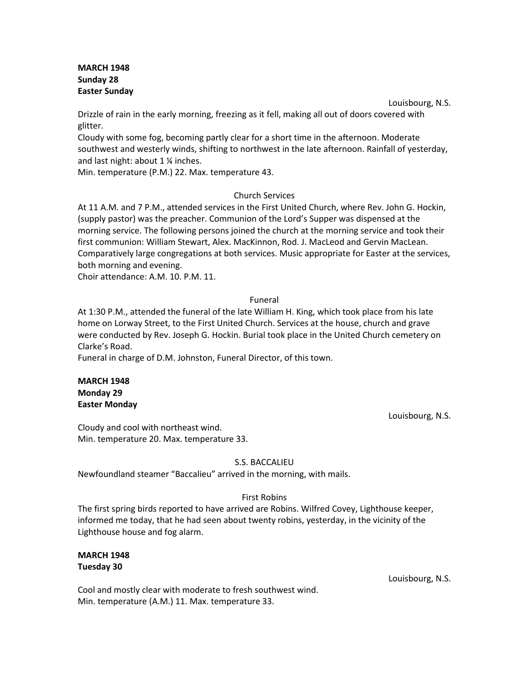## **MARCH 1948 Sunday 28 Easter Sunday**

Louisbourg, N.S. Drizzle of rain in the early morning, freezing as it fell, making all out of doors covered with glitter.

Cloudy with some fog, becoming partly clear for a short time in the afternoon. Moderate southwest and westerly winds, shifting to northwest in the late afternoon. Rainfall of yesterday, and last night: about 1 ¼ inches.

Min. temperature (P.M.) 22. Max. temperature 43.

## Church Services

At 11 A.M. and 7 P.M., attended services in the First United Church, where Rev. John G. Hockin, (supply pastor) was the preacher. Communion of the Lord's Supper was dispensed at the morning service. The following persons joined the church at the morning service and took their first communion: William Stewart, Alex. MacKinnon, Rod. J. MacLeod and Gervin MacLean. Comparatively large congregations at both services. Music appropriate for Easter at the services, both morning and evening.

Choir attendance: A.M. 10. P.M. 11.

#### Funeral

At 1:30 P.M., attended the funeral of the late William H. King, which took place from his late home on Lorway Street, to the First United Church. Services at the house, church and grave were conducted by Rev. Joseph G. Hockin. Burial took place in the United Church cemetery on Clarke's Road.

Funeral in charge of D.M. Johnston, Funeral Director, of this town.

## **MARCH 1948 Monday 29 Easter Monday**

Louisbourg, N.S.

Cloudy and cool with northeast wind. Min. temperature 20. Max. temperature 33.

## S.S. BACCALIEU

Newfoundland steamer "Baccalieu" arrived in the morning, with mails.

#### First Robins

The first spring birds reported to have arrived are Robins. Wilfred Covey, Lighthouse keeper, informed me today, that he had seen about twenty robins, yesterday, in the vicinity of the Lighthouse house and fog alarm.

## **MARCH 1948 Tuesday 30**

Cool and mostly clear with moderate to fresh southwest wind. Min. temperature (A.M.) 11. Max. temperature 33.

Louisbourg, N.S.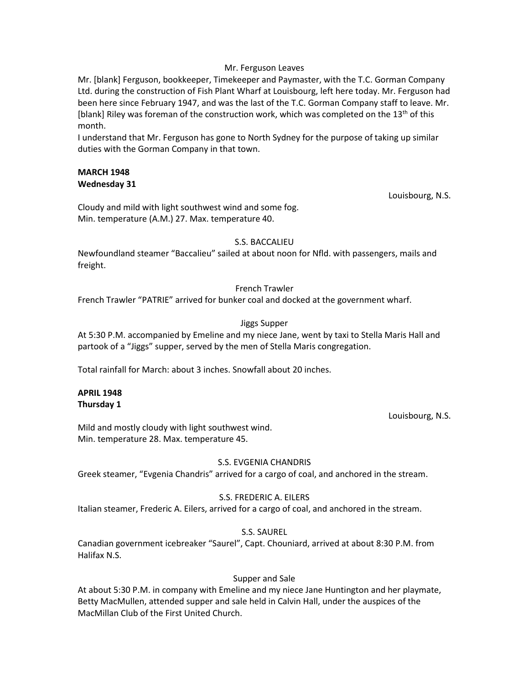#### Mr. Ferguson Leaves

Mr. [blank] Ferguson, bookkeeper, Timekeeper and Paymaster, with the T.C. Gorman Company Ltd. during the construction of Fish Plant Wharf at Louisbourg, left here today. Mr. Ferguson had been here since February 1947, and was the last of the T.C. Gorman Company staff to leave. Mr. [blank] Riley was foreman of the construction work, which was completed on the  $13<sup>th</sup>$  of this month.

I understand that Mr. Ferguson has gone to North Sydney for the purpose of taking up similar duties with the Gorman Company in that town.

### **MARCH 1948 Wednesday 31**

Louisbourg, N.S.

Cloudy and mild with light southwest wind and some fog. Min. temperature (A.M.) 27. Max. temperature 40.

## S.S. BACCALIEU

Newfoundland steamer "Baccalieu" sailed at about noon for Nfld. with passengers, mails and freight.

# French Trawler

French Trawler "PATRIE" arrived for bunker coal and docked at the government wharf.

# Jiggs Supper

At 5:30 P.M. accompanied by Emeline and my niece Jane, went by taxi to Stella Maris Hall and partook of a "Jiggs" supper, served by the men of Stella Maris congregation.

Total rainfall for March: about 3 inches. Snowfall about 20 inches.

#### **APRIL 1948 Thursday 1**

Louisbourg, N.S.

Mild and mostly cloudy with light southwest wind. Min. temperature 28. Max. temperature 45.

# S.S. EVGENIA CHANDRIS

Greek steamer, "Evgenia Chandris" arrived for a cargo of coal, and anchored in the stream.

## S.S. FREDERIC A. EILERS

Italian steamer, Frederic A. Eilers, arrived for a cargo of coal, and anchored in the stream.

## S.S. SAUREL

Canadian government icebreaker "Saurel", Capt. Chouniard, arrived at about 8:30 P.M. from Halifax N.S.

## Supper and Sale

At about 5:30 P.M. in company with Emeline and my niece Jane Huntington and her playmate, Betty MacMullen, attended supper and sale held in Calvin Hall, under the auspices of the MacMillan Club of the First United Church.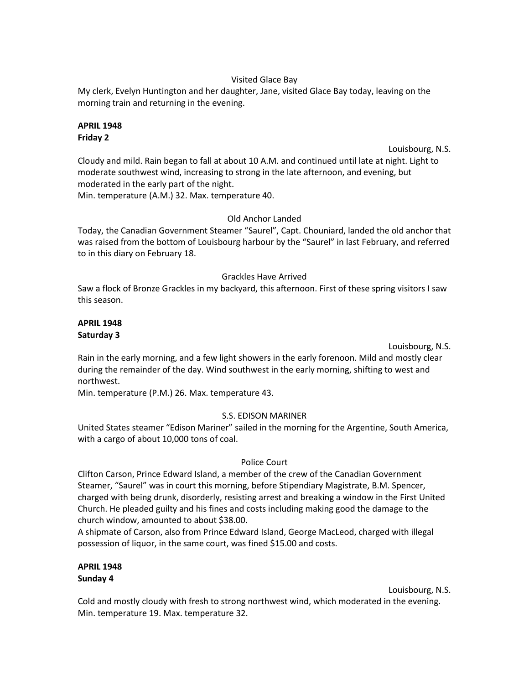### Visited Glace Bay

My clerk, Evelyn Huntington and her daughter, Jane, visited Glace Bay today, leaving on the morning train and returning in the evening.

## **APRIL 1948 Friday 2**

Louisbourg, N.S.

Cloudy and mild. Rain began to fall at about 10 A.M. and continued until late at night. Light to moderate southwest wind, increasing to strong in the late afternoon, and evening, but moderated in the early part of the night.

Min. temperature (A.M.) 32. Max. temperature 40.

## Old Anchor Landed

Today, the Canadian Government Steamer "Saurel", Capt. Chouniard, landed the old anchor that was raised from the bottom of Louisbourg harbour by the "Saurel" in last February, and referred to in this diary on February 18.

## Grackles Have Arrived

Saw a flock of Bronze Grackles in my backyard, this afternoon. First of these spring visitors I saw this season.

## **APRIL 1948 Saturday 3**

Louisbourg, N.S.

Rain in the early morning, and a few light showers in the early forenoon. Mild and mostly clear during the remainder of the day. Wind southwest in the early morning, shifting to west and northwest.

Min. temperature (P.M.) 26. Max. temperature 43.

## S.S. EDISON MARINER

United States steamer "Edison Mariner" sailed in the morning for the Argentine, South America, with a cargo of about 10,000 tons of coal.

## Police Court

Clifton Carson, Prince Edward Island, a member of the crew of the Canadian Government Steamer, "Saurel" was in court this morning, before Stipendiary Magistrate, B.M. Spencer, charged with being drunk, disorderly, resisting arrest and breaking a window in the First United Church. He pleaded guilty and his fines and costs including making good the damage to the church window, amounted to about \$38.00.

A shipmate of Carson, also from Prince Edward Island, George MacLeod, charged with illegal possession of liquor, in the same court, was fined \$15.00 and costs.

## **APRIL 1948 Sunday 4**

Louisbourg, N.S.

Cold and mostly cloudy with fresh to strong northwest wind, which moderated in the evening. Min. temperature 19. Max. temperature 32.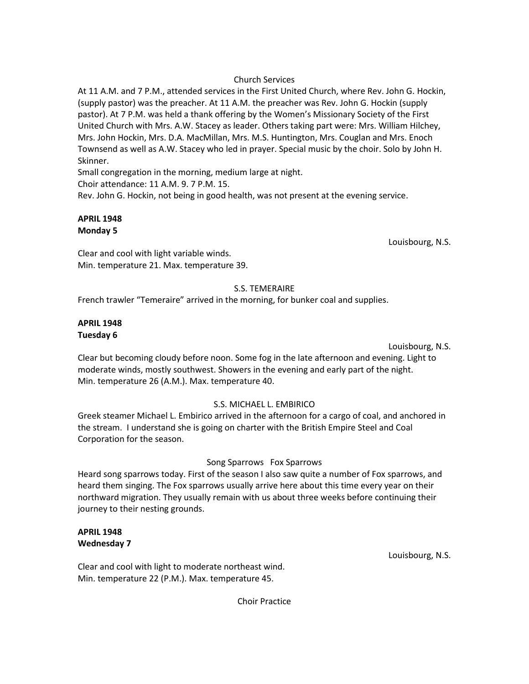## Church Services

At 11 A.M. and 7 P.M., attended services in the First United Church, where Rev. John G. Hockin, (supply pastor) was the preacher. At 11 A.M. the preacher was Rev. John G. Hockin (supply pastor). At 7 P.M. was held a thank offering by the Women's Missionary Society of the First United Church with Mrs. A.W. Stacey as leader. Others taking part were: Mrs. William Hilchey, Mrs. John Hockin, Mrs. D.A. MacMillan, Mrs. M.S. Huntington, Mrs. Couglan and Mrs. Enoch Townsend as well as A.W. Stacey who led in prayer. Special music by the choir. Solo by John H. Skinner.

Small congregation in the morning, medium large at night.

Choir attendance: 11 A.M. 9. 7 P.M. 15.

Rev. John G. Hockin, not being in good health, was not present at the evening service.

## **APRIL 1948 Monday 5**

Louisbourg, N.S.

Clear and cool with light variable winds. Min. temperature 21. Max. temperature 39.

## S.S. TEMERAIRE

French trawler "Temeraire" arrived in the morning, for bunker coal and supplies.

## **APRIL 1948 Tuesday 6**

Louisbourg, N.S.

Clear but becoming cloudy before noon. Some fog in the late afternoon and evening. Light to moderate winds, mostly southwest. Showers in the evening and early part of the night. Min. temperature 26 (A.M.). Max. temperature 40.

## S.S. MICHAEL L. EMBIRICO

Greek steamer Michael L. Embirico arrived in the afternoon for a cargo of coal, and anchored in the stream. I understand she is going on charter with the British Empire Steel and Coal Corporation for the season.

## Song Sparrows Fox Sparrows

Heard song sparrows today. First of the season I also saw quite a number of Fox sparrows, and heard them singing. The Fox sparrows usually arrive here about this time every year on their northward migration. They usually remain with us about three weeks before continuing their journey to their nesting grounds.

## **APRIL 1948 Wednesday 7**

Clear and cool with light to moderate northeast wind. Min. temperature 22 (P.M.). Max. temperature 45.

Louisbourg, N.S.

Choir Practice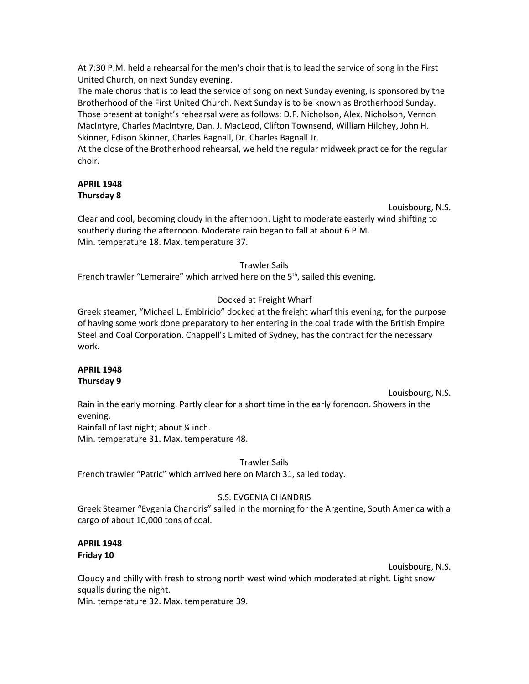At 7:30 P.M. held a rehearsal for the men's choir that is to lead the service of song in the First United Church, on next Sunday evening.

The male chorus that is to lead the service of song on next Sunday evening, is sponsored by the Brotherhood of the First United Church. Next Sunday is to be known as Brotherhood Sunday. Those present at tonight's rehearsal were as follows: D.F. Nicholson, Alex. Nicholson, Vernon MacIntyre, Charles MacIntyre, Dan. J. MacLeod, Clifton Townsend, William Hilchey, John H. Skinner, Edison Skinner, Charles Bagnall, Dr. Charles Bagnall Jr.

At the close of the Brotherhood rehearsal, we held the regular midweek practice for the regular choir.

## **APRIL 1948 Thursday 8**

Louisbourg, N.S.

Clear and cool, becoming cloudy in the afternoon. Light to moderate easterly wind shifting to southerly during the afternoon. Moderate rain began to fall at about 6 P.M. Min. temperature 18. Max. temperature 37.

# Trawler Sails

French trawler "Lemeraire" which arrived here on the  $5<sup>th</sup>$ , sailed this evening.

# Docked at Freight Wharf

Greek steamer, "Michael L. Embiricio" docked at the freight wharf this evening, for the purpose of having some work done preparatory to her entering in the coal trade with the British Empire Steel and Coal Corporation. Chappell's Limited of Sydney, has the contract for the necessary work.

#### **APRIL 1948 Thursday 9**

Louisbourg, N.S. Rain in the early morning. Partly clear for a short time in the early forenoon. Showers in the evening.

Rainfall of last night; about ¼ inch.

Min. temperature 31. Max. temperature 48.

# Trawler Sails

French trawler "Patric" which arrived here on March 31, sailed today.

# S.S. EVGENIA CHANDRIS

Greek Steamer "Evgenia Chandris" sailed in the morning for the Argentine, South America with a cargo of about 10,000 tons of coal.

## **APRIL 1948 Friday 10**

Louisbourg, N.S.

Cloudy and chilly with fresh to strong north west wind which moderated at night. Light snow squalls during the night.

Min. temperature 32. Max. temperature 39.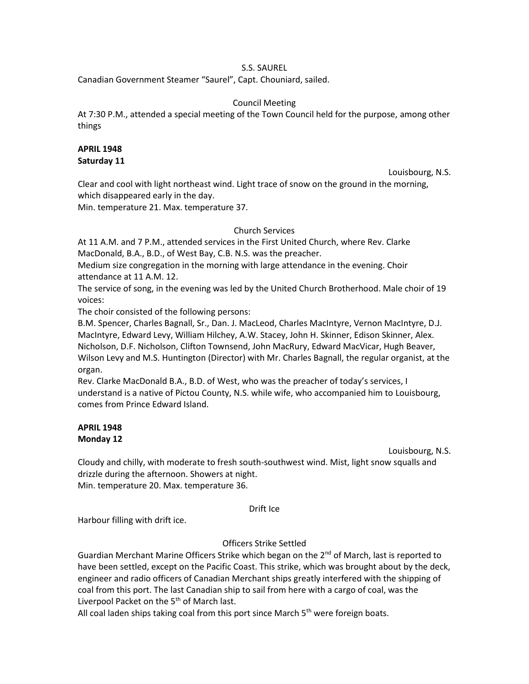### S.S. SAUREL

Canadian Government Steamer "Saurel", Capt. Chouniard, sailed.

#### Council Meeting

At 7:30 P.M., attended a special meeting of the Town Council held for the purpose, among other things

## **APRIL 1948**

**Saturday 11**

Louisbourg, N.S.

Clear and cool with light northeast wind. Light trace of snow on the ground in the morning, which disappeared early in the day.

Min. temperature 21. Max. temperature 37.

## Church Services

At 11 A.M. and 7 P.M., attended services in the First United Church, where Rev. Clarke MacDonald, B.A., B.D., of West Bay, C.B. N.S. was the preacher.

Medium size congregation in the morning with large attendance in the evening. Choir attendance at 11 A.M. 12.

The service of song, in the evening was led by the United Church Brotherhood. Male choir of 19 voices:

The choir consisted of the following persons:

B.M. Spencer, Charles Bagnall, Sr., Dan. J. MacLeod, Charles MacIntyre, Vernon MacIntyre, D.J. MacIntyre, Edward Levy, William Hilchey, A.W. Stacey, John H. Skinner, Edison Skinner, Alex. Nicholson, D.F. Nicholson, Clifton Townsend, John MacRury, Edward MacVicar, Hugh Beaver, Wilson Levy and M.S. Huntington (Director) with Mr. Charles Bagnall, the regular organist, at the organ.

Rev. Clarke MacDonald B.A., B.D. of West, who was the preacher of today's services, I understand is a native of Pictou County, N.S. while wife, who accompanied him to Louisbourg, comes from Prince Edward Island.

## **APRIL 1948 Monday 12**

Louisbourg, N.S.

Cloudy and chilly, with moderate to fresh south-southwest wind. Mist, light snow squalls and drizzle during the afternoon. Showers at night. Min. temperature 20. Max. temperature 36.

Drift Ice

Harbour filling with drift ice.

## Officers Strike Settled

Guardian Merchant Marine Officers Strike which began on the  $2^{nd}$  of March, last is reported to have been settled, except on the Pacific Coast. This strike, which was brought about by the deck, engineer and radio officers of Canadian Merchant ships greatly interfered with the shipping of coal from this port. The last Canadian ship to sail from here with a cargo of coal, was the Liverpool Packet on the  $5<sup>th</sup>$  of March last.

All coal laden ships taking coal from this port since March  $5<sup>th</sup>$  were foreign boats.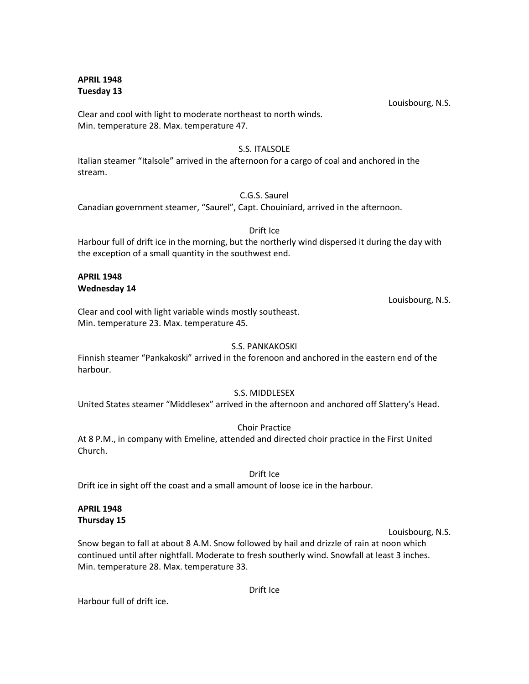**APRIL 1948 Tuesday 13**

Louisbourg, N.S.

Clear and cool with light to moderate northeast to north winds. Min. temperature 28. Max. temperature 47.

## S.S. ITALSOLE

Italian steamer "Italsole" arrived in the afternoon for a cargo of coal and anchored in the stream.

## C.G.S. Saurel

Canadian government steamer, "Saurel", Capt. Chouiniard, arrived in the afternoon.

## Drift Ice

Harbour full of drift ice in the morning, but the northerly wind dispersed it during the day with the exception of a small quantity in the southwest end.

#### **APRIL 1948 Wednesday 14**

Louisbourg, N.S.

Clear and cool with light variable winds mostly southeast. Min. temperature 23. Max. temperature 45.

## S.S. PANKAKOSKI

Finnish steamer "Pankakoski" arrived in the forenoon and anchored in the eastern end of the harbour.

## S.S. MIDDLESEX

United States steamer "Middlesex" arrived in the afternoon and anchored off Slattery's Head.

Choir Practice

At 8 P.M., in company with Emeline, attended and directed choir practice in the First United Church.

## Drift Ice

Drift ice in sight off the coast and a small amount of loose ice in the harbour.

#### **APRIL 1948 Thursday 15**

## Louisbourg, N.S.

Snow began to fall at about 8 A.M. Snow followed by hail and drizzle of rain at noon which continued until after nightfall. Moderate to fresh southerly wind. Snowfall at least 3 inches. Min. temperature 28. Max. temperature 33.

Drift Ice

Harbour full of drift ice.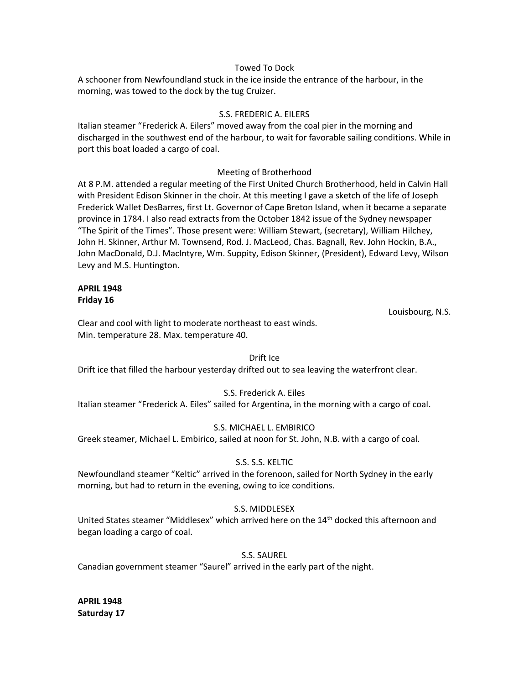### Towed To Dock

A schooner from Newfoundland stuck in the ice inside the entrance of the harbour, in the morning, was towed to the dock by the tug Cruizer.

### S.S. FREDERIC A. EILERS

Italian steamer "Frederick A. Eilers" moved away from the coal pier in the morning and discharged in the southwest end of the harbour, to wait for favorable sailing conditions. While in port this boat loaded a cargo of coal.

#### Meeting of Brotherhood

At 8 P.M. attended a regular meeting of the First United Church Brotherhood, held in Calvin Hall with President Edison Skinner in the choir. At this meeting I gave a sketch of the life of Joseph Frederick Wallet DesBarres, first Lt. Governor of Cape Breton Island, when it became a separate province in 1784. I also read extracts from the October 1842 issue of the Sydney newspaper "The Spirit of the Times". Those present were: William Stewart, (secretary), William Hilchey, John H. Skinner, Arthur M. Townsend, Rod. J. MacLeod, Chas. Bagnall, Rev. John Hockin, B.A., John MacDonald, D.J. MacIntyre, Wm. Suppity, Edison Skinner, (President), Edward Levy, Wilson Levy and M.S. Huntington.

#### **APRIL 1948 Friday 16**

Louisbourg, N.S.

Clear and cool with light to moderate northeast to east winds. Min. temperature 28. Max. temperature 40.

#### Drift Ice

Drift ice that filled the harbour yesterday drifted out to sea leaving the waterfront clear.

## S.S. Frederick A. Eiles

Italian steamer "Frederick A. Eiles" sailed for Argentina, in the morning with a cargo of coal.

## S.S. MICHAEL L. EMBIRICO

Greek steamer, Michael L. Embirico, sailed at noon for St. John, N.B. with a cargo of coal.

## S.S. S.S. KELTIC

Newfoundland steamer "Keltic" arrived in the forenoon, sailed for North Sydney in the early morning, but had to return in the evening, owing to ice conditions.

## S.S. MIDDLESEX

United States steamer "Middlesex" which arrived here on the  $14<sup>th</sup>$  docked this afternoon and began loading a cargo of coal.

## S.S. SAUREL

Canadian government steamer "Saurel" arrived in the early part of the night.

**APRIL 1948 Saturday 17**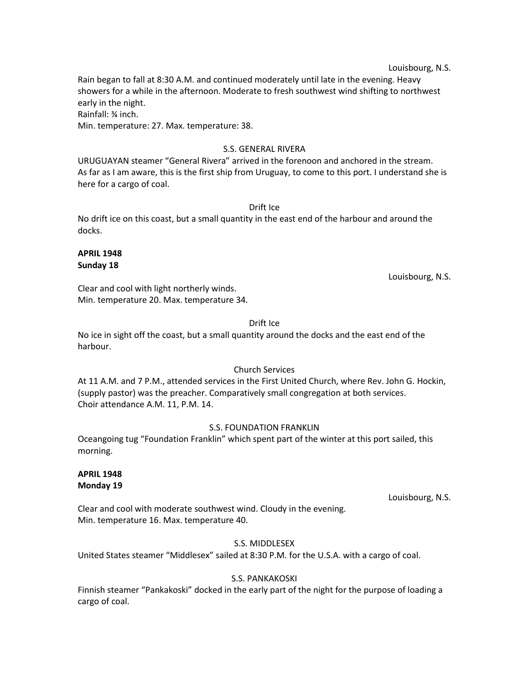Louisbourg, N.S.

Rain began to fall at 8:30 A.M. and continued moderately until late in the evening. Heavy showers for a while in the afternoon. Moderate to fresh southwest wind shifting to northwest early in the night.

Rainfall: ¾ inch.

Min. temperature: 27. Max. temperature: 38.

#### S.S. GENERAL RIVERA

URUGUAYAN steamer "General Rivera" arrived in the forenoon and anchored in the stream. As far as I am aware, this is the first ship from Uruguay, to come to this port. I understand she is here for a cargo of coal.

#### Drift Ice

No drift ice on this coast, but a small quantity in the east end of the harbour and around the docks.

#### **APRIL 1948 Sunday 18**

Louisbourg, N.S.

Clear and cool with light northerly winds. Min. temperature 20. Max. temperature 34.

## Drift Ice

No ice in sight off the coast, but a small quantity around the docks and the east end of the harbour.

## Church Services

At 11 A.M. and 7 P.M., attended services in the First United Church, where Rev. John G. Hockin, (supply pastor) was the preacher. Comparatively small congregation at both services. Choir attendance A.M. 11, P.M. 14.

## S.S. FOUNDATION FRANKLIN

Oceangoing tug "Foundation Franklin" which spent part of the winter at this port sailed, this morning.

#### **APRIL 1948 Monday 19**

Louisbourg, N.S.

Clear and cool with moderate southwest wind. Cloudy in the evening. Min. temperature 16. Max. temperature 40.

## S.S. MIDDLESEX

United States steamer "Middlesex" sailed at 8:30 P.M. for the U.S.A. with a cargo of coal.

## S.S. PANKAKOSKI

Finnish steamer "Pankakoski" docked in the early part of the night for the purpose of loading a cargo of coal.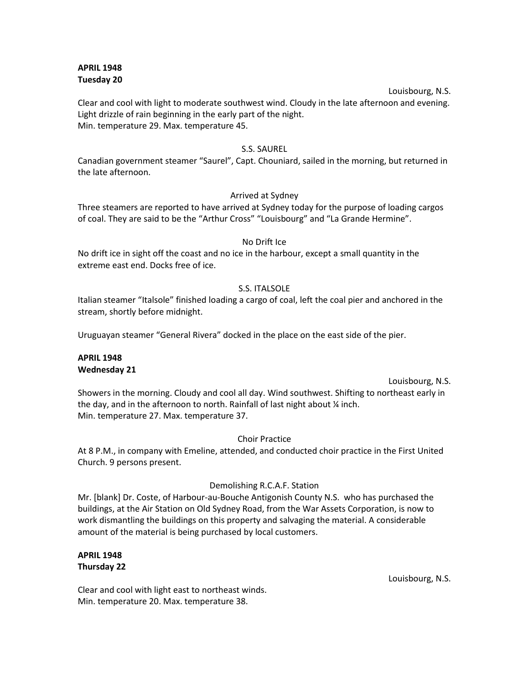### **APRIL 1948 Tuesday 20**

#### Louisbourg, N.S.

Clear and cool with light to moderate southwest wind. Cloudy in the late afternoon and evening. Light drizzle of rain beginning in the early part of the night. Min. temperature 29. Max. temperature 45.

### S.S. SAUREL

Canadian government steamer "Saurel", Capt. Chouniard, sailed in the morning, but returned in the late afternoon.

## Arrived at Sydney

Three steamers are reported to have arrived at Sydney today for the purpose of loading cargos of coal. They are said to be the "Arthur Cross" "Louisbourg" and "La Grande Hermine".

#### No Drift Ice

No drift ice in sight off the coast and no ice in the harbour, except a small quantity in the extreme east end. Docks free of ice.

#### S.S. ITALSOLE

Italian steamer "Italsole" finished loading a cargo of coal, left the coal pier and anchored in the stream, shortly before midnight.

Uruguayan steamer "General Rivera" docked in the place on the east side of the pier.

## **APRIL 1948 Wednesday 21**

#### Louisbourg, N.S.

Showers in the morning. Cloudy and cool all day. Wind southwest. Shifting to northeast early in the day, and in the afternoon to north. Rainfall of last night about ¼ inch. Min. temperature 27. Max. temperature 37.

#### Choir Practice

At 8 P.M., in company with Emeline, attended, and conducted choir practice in the First United Church. 9 persons present.

## Demolishing R.C.A.F. Station

Mr. [blank] Dr. Coste, of Harbour-au-Bouche Antigonish County N.S. who has purchased the buildings, at the Air Station on Old Sydney Road, from the War Assets Corporation, is now to work dismantling the buildings on this property and salvaging the material. A considerable amount of the material is being purchased by local customers.

#### **APRIL 1948 Thursday 22**

Louisbourg, N.S.

Clear and cool with light east to northeast winds. Min. temperature 20. Max. temperature 38.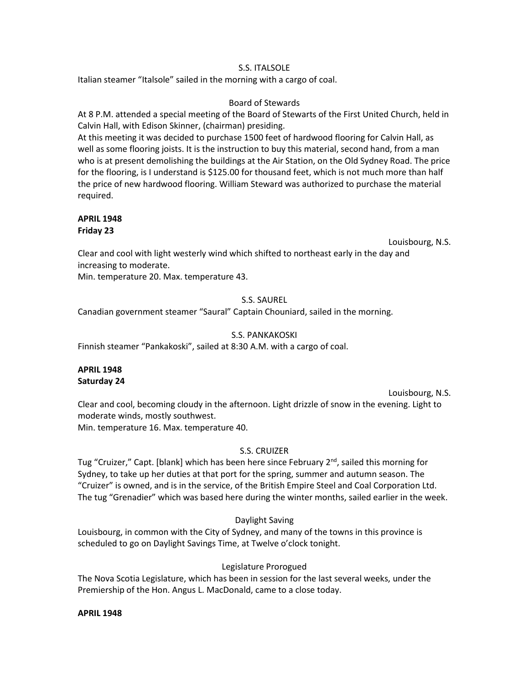## S.S. ITALSOLE

Italian steamer "Italsole" sailed in the morning with a cargo of coal.

### Board of Stewards

At 8 P.M. attended a special meeting of the Board of Stewarts of the First United Church, held in Calvin Hall, with Edison Skinner, (chairman) presiding.

At this meeting it was decided to purchase 1500 feet of hardwood flooring for Calvin Hall, as well as some flooring joists. It is the instruction to buy this material, second hand, from a man who is at present demolishing the buildings at the Air Station, on the Old Sydney Road. The price for the flooring, is I understand is \$125.00 for thousand feet, which is not much more than half the price of new hardwood flooring. William Steward was authorized to purchase the material required.

## **APRIL 1948 Friday 23**

Louisbourg, N.S.

Clear and cool with light westerly wind which shifted to northeast early in the day and increasing to moderate.

Min. temperature 20. Max. temperature 43.

## S.S. SAUREL

Canadian government steamer "Saural" Captain Chouniard, sailed in the morning.

## S.S. PANKAKOSKI

Finnish steamer "Pankakoski", sailed at 8:30 A.M. with a cargo of coal.

## **APRIL 1948 Saturday 24**

Louisbourg, N.S.

Clear and cool, becoming cloudy in the afternoon. Light drizzle of snow in the evening. Light to moderate winds, mostly southwest. Min. temperature 16. Max. temperature 40.

## S.S. CRUIZER

Tug "Cruizer," Capt. [blank] which has been here since February 2<sup>nd</sup>, sailed this morning for Sydney, to take up her duties at that port for the spring, summer and autumn season. The "Cruizer" is owned, and is in the service, of the British Empire Steel and Coal Corporation Ltd. The tug "Grenadier" which was based here during the winter months, sailed earlier in the week.

## Daylight Saving

Louisbourg, in common with the City of Sydney, and many of the towns in this province is scheduled to go on Daylight Savings Time, at Twelve o'clock tonight.

## Legislature Prorogued

The Nova Scotia Legislature, which has been in session for the last several weeks, under the Premiership of the Hon. Angus L. MacDonald, came to a close today.

## **APRIL 1948**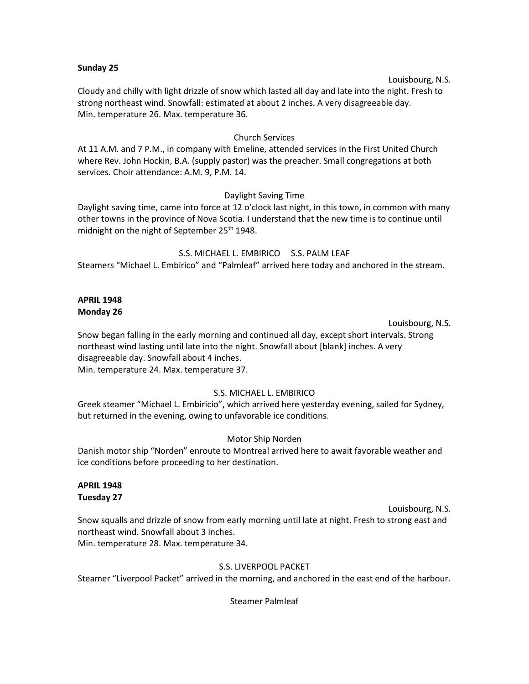#### **Sunday 25**

#### Louisbourg, N.S.

Cloudy and chilly with light drizzle of snow which lasted all day and late into the night. Fresh to strong northeast wind. Snowfall: estimated at about 2 inches. A very disagreeable day. Min. temperature 26. Max. temperature 36.

### Church Services

At 11 A.M. and 7 P.M., in company with Emeline, attended services in the First United Church where Rev. John Hockin, B.A. (supply pastor) was the preacher. Small congregations at both services. Choir attendance: A.M. 9, P.M. 14.

#### Daylight Saving Time

Daylight saving time, came into force at 12 o'clock last night, in this town, in common with many other towns in the province of Nova Scotia. I understand that the new time is to continue until midnight on the night of September 25<sup>th</sup> 1948.

S.S. MICHAEL L. EMBIRICO S.S. PALM LEAF Steamers "Michael L. Embirico" and "Palmleaf" arrived here today and anchored in the stream.

#### **APRIL 1948 Monday 26**

Louisbourg, N.S.

Snow began falling in the early morning and continued all day, except short intervals. Strong northeast wind lasting until late into the night. Snowfall about [blank] inches. A very disagreeable day. Snowfall about 4 inches. Min. temperature 24. Max. temperature 37.

## S.S. MICHAEL L. EMBIRICO

Greek steamer "Michael L. Embiricio", which arrived here yesterday evening, sailed for Sydney, but returned in the evening, owing to unfavorable ice conditions.

## Motor Ship Norden

Danish motor ship "Norden" enroute to Montreal arrived here to await favorable weather and ice conditions before proceeding to her destination.

#### **APRIL 1948 Tuesday 27**

Louisbourg, N.S. Snow squalls and drizzle of snow from early morning until late at night. Fresh to strong east and northeast wind. Snowfall about 3 inches. Min. temperature 28. Max. temperature 34.

## S.S. LIVERPOOL PACKET

Steamer "Liverpool Packet" arrived in the morning, and anchored in the east end of the harbour.

Steamer Palmleaf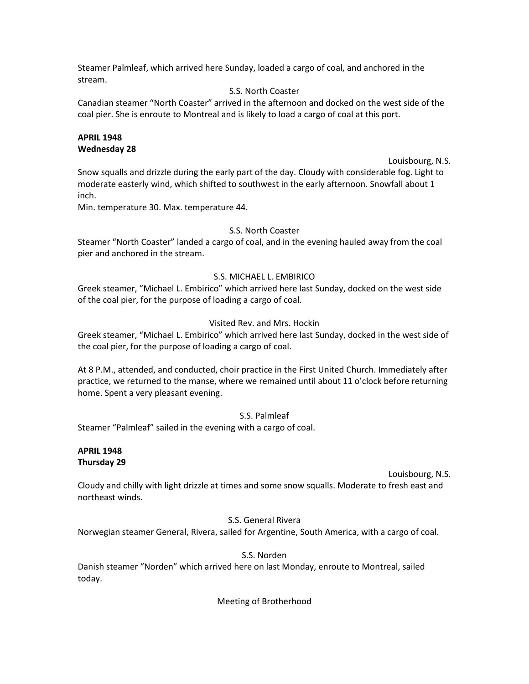Steamer Palmleaf, which arrived here Sunday, loaded a cargo of coal, and anchored in the stream.

## S.S. North Coaster

Canadian steamer "North Coaster" arrived in the afternoon and docked on the west side of the coal pier. She is enroute to Montreal and is likely to load a cargo of coal at this port.

## **APRIL 1948 Wednesday 28**

Louisbourg, N.S.

Snow squalls and drizzle during the early part of the day. Cloudy with considerable fog. Light to moderate easterly wind, which shifted to southwest in the early afternoon. Snowfall about 1 inch.

Min. temperature 30. Max. temperature 44.

## S.S. North Coaster

Steamer "North Coaster" landed a cargo of coal, and in the evening hauled away from the coal pier and anchored in the stream.

## S.S. MICHAEL L. EMBIRICO

Greek steamer, "Michael L. Embirico" which arrived here last Sunday, docked on the west side of the coal pier, for the purpose of loading a cargo of coal.

## Visited Rev. and Mrs. Hockin

Greek steamer, "Michael L. Embirico" which arrived here last Sunday, docked in the west side of the coal pier, for the purpose of loading a cargo of coal.

At 8 P.M., attended, and conducted, choir practice in the First United Church. Immediately after practice, we returned to the manse, where we remained until about 11 o'clock before returning home. Spent a very pleasant evening.

S.S. Palmleaf

Steamer "Palmleaf" sailed in the evening with a cargo of coal.

## **APRIL 1948 Thursday 29**

Louisbourg, N.S.

Cloudy and chilly with light drizzle at times and some snow squalls. Moderate to fresh east and northeast winds.

## S.S. General Rivera

Norwegian steamer General, Rivera, sailed for Argentine, South America, with a cargo of coal.

## S.S. Norden

Danish steamer "Norden" which arrived here on last Monday, enroute to Montreal, sailed today.

Meeting of Brotherhood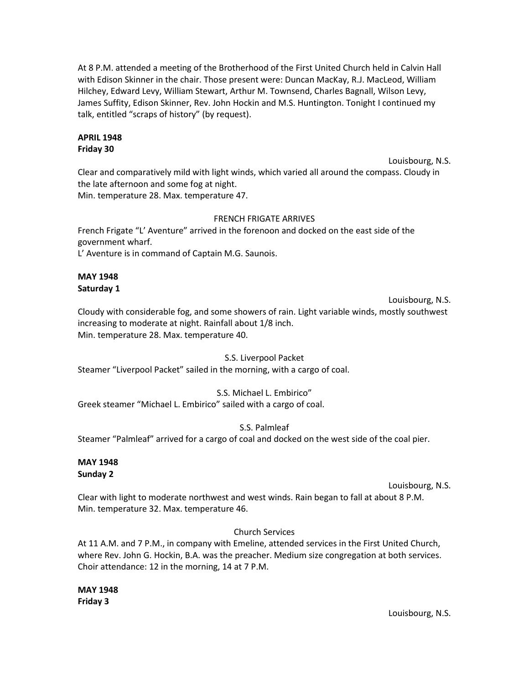At 8 P.M. attended a meeting of the Brotherhood of the First United Church held in Calvin Hall with Edison Skinner in the chair. Those present were: Duncan MacKay, R.J. MacLeod, William Hilchey, Edward Levy, William Stewart, Arthur M. Townsend, Charles Bagnall, Wilson Levy, James Suffity, Edison Skinner, Rev. John Hockin and M.S. Huntington. Tonight I continued my talk, entitled "scraps of history" (by request).

#### **APRIL 1948 Friday 30**

Louisbourg, N.S. Clear and comparatively mild with light winds, which varied all around the compass. Cloudy in the late afternoon and some fog at night. Min. temperature 28. Max. temperature 47.

## FRENCH FRIGATE ARRIVES

French Frigate "L' Aventure" arrived in the forenoon and docked on the east side of the government wharf. L' Aventure is in command of Captain M.G. Saunois.

## **MAY 1948 Saturday 1**

Louisbourg, N.S.

Cloudy with considerable fog, and some showers of rain. Light variable winds, mostly southwest increasing to moderate at night. Rainfall about 1/8 inch. Min. temperature 28. Max. temperature 40.

## S.S. Liverpool Packet

Steamer "Liverpool Packet" sailed in the morning, with a cargo of coal.

## S.S. Michael L. Embirico"

Greek steamer "Michael L. Embirico" sailed with a cargo of coal.

## S.S. Palmleaf

Steamer "Palmleaf" arrived for a cargo of coal and docked on the west side of the coal pier.

#### **MAY 1948 Sunday 2**

Louisbourg, N.S.

Clear with light to moderate northwest and west winds. Rain began to fall at about 8 P.M. Min. temperature 32. Max. temperature 46.

## Church Services

At 11 A.M. and 7 P.M., in company with Emeline, attended services in the First United Church, where Rev. John G. Hockin, B.A. was the preacher. Medium size congregation at both services. Choir attendance: 12 in the morning, 14 at 7 P.M.

**MAY 1948 Friday 3**

Louisbourg, N.S.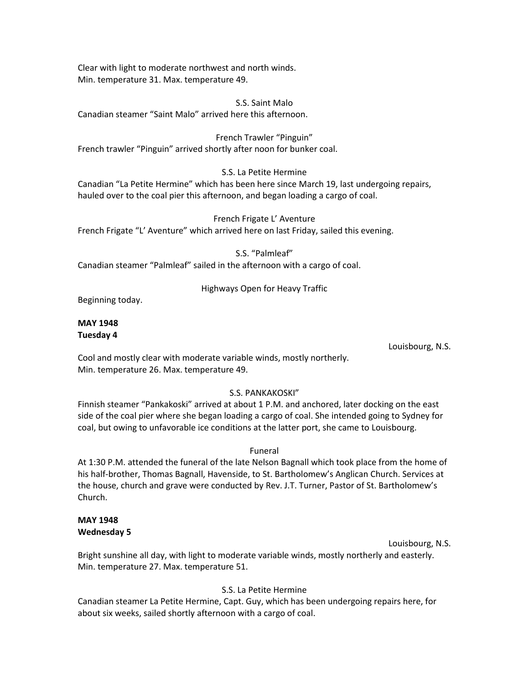Clear with light to moderate northwest and north winds. Min. temperature 31. Max. temperature 49.

S.S. Saint Malo Canadian steamer "Saint Malo" arrived here this afternoon.

French Trawler "Pinguin" French trawler "Pinguin" arrived shortly after noon for bunker coal.

## S.S. La Petite Hermine

Canadian "La Petite Hermine" which has been here since March 19, last undergoing repairs, hauled over to the coal pier this afternoon, and began loading a cargo of coal.

French Frigate L' Aventure French Frigate "L' Aventure" which arrived here on last Friday, sailed this evening.

S.S. "Palmleaf"

Canadian steamer "Palmleaf" sailed in the afternoon with a cargo of coal.

## Highways Open for Heavy Traffic

Beginning today.

#### **MAY 1948 Tuesday 4**

Louisbourg, N.S.

Cool and mostly clear with moderate variable winds, mostly northerly. Min. temperature 26. Max. temperature 49.

## S.S. PANKAKOSKI"

Finnish steamer "Pankakoski" arrived at about 1 P.M. and anchored, later docking on the east side of the coal pier where she began loading a cargo of coal. She intended going to Sydney for coal, but owing to unfavorable ice conditions at the latter port, she came to Louisbourg.

Funeral

At 1:30 P.M. attended the funeral of the late Nelson Bagnall which took place from the home of his half-brother, Thomas Bagnall, Havenside, to St. Bartholomew's Anglican Church. Services at the house, church and grave were conducted by Rev. J.T. Turner, Pastor of St. Bartholomew's Church.

## **MAY 1948 Wednesday 5**

Louisbourg, N.S.

Bright sunshine all day, with light to moderate variable winds, mostly northerly and easterly. Min. temperature 27. Max. temperature 51.

## S.S. La Petite Hermine

Canadian steamer La Petite Hermine, Capt. Guy, which has been undergoing repairs here, for about six weeks, sailed shortly afternoon with a cargo of coal.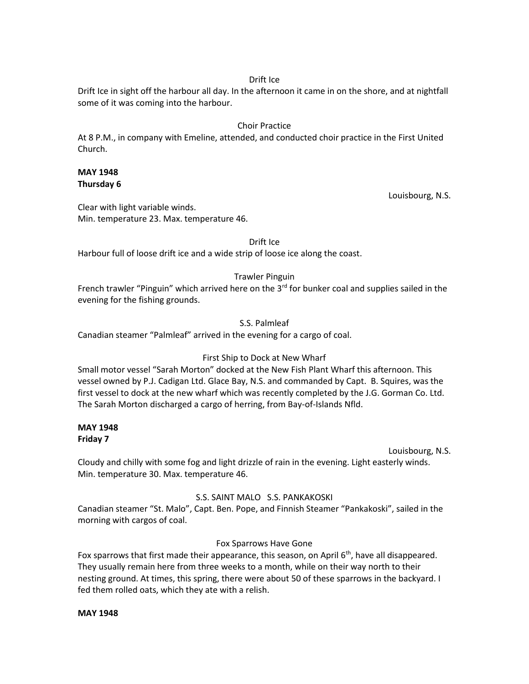### Drift Ice

Drift Ice in sight off the harbour all day. In the afternoon it came in on the shore, and at nightfall some of it was coming into the harbour.

## Choir Practice

At 8 P.M., in company with Emeline, attended, and conducted choir practice in the First United Church.

### **MAY 1948 Thursday 6**

Louisbourg, N.S.

Clear with light variable winds. Min. temperature 23. Max. temperature 46.

Drift Ice

Harbour full of loose drift ice and a wide strip of loose ice along the coast.

## Trawler Pinguin

French trawler "Pinguin" which arrived here on the  $3<sup>rd</sup>$  for bunker coal and supplies sailed in the evening for the fishing grounds.

## S.S. Palmleaf

Canadian steamer "Palmleaf" arrived in the evening for a cargo of coal.

## First Ship to Dock at New Wharf

Small motor vessel "Sarah Morton" docked at the New Fish Plant Wharf this afternoon. This vessel owned by P.J. Cadigan Ltd. Glace Bay, N.S. and commanded by Capt. B. Squires, was the first vessel to dock at the new wharf which was recently completed by the J.G. Gorman Co. Ltd. The Sarah Morton discharged a cargo of herring, from Bay-of-Islands Nfld.

#### **MAY 1948 Friday 7**

Louisbourg, N.S.

Cloudy and chilly with some fog and light drizzle of rain in the evening. Light easterly winds. Min. temperature 30. Max. temperature 46.

## S.S. SAINT MALO S.S. PANKAKOSKI

Canadian steamer "St. Malo", Capt. Ben. Pope, and Finnish Steamer "Pankakoski", sailed in the morning with cargos of coal.

## Fox Sparrows Have Gone

Fox sparrows that first made their appearance, this season, on April  $6<sup>th</sup>$ , have all disappeared. They usually remain here from three weeks to a month, while on their way north to their nesting ground. At times, this spring, there were about 50 of these sparrows in the backyard. I fed them rolled oats, which they ate with a relish.

#### **MAY 1948**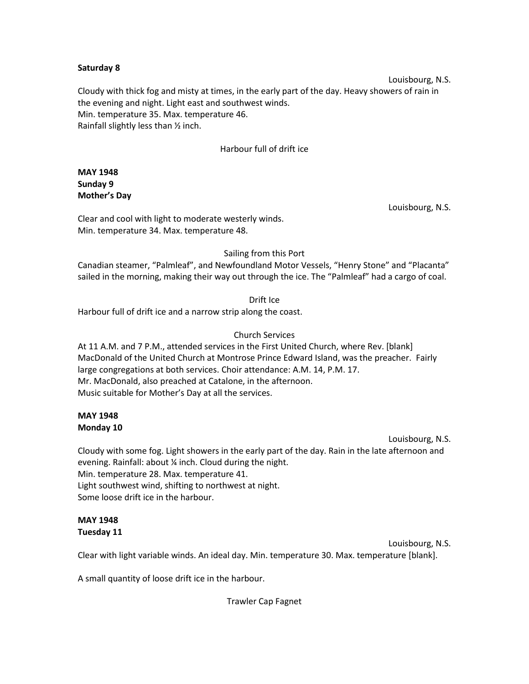#### **Saturday 8**

Louisbourg, N.S. Cloudy with thick fog and misty at times, in the early part of the day. Heavy showers of rain in the evening and night. Light east and southwest winds. Min. temperature 35. Max. temperature 46. Rainfall slightly less than ½ inch.

## Harbour full of drift ice

## **MAY 1948 Sunday 9 Mother's Day**

Louisbourg, N.S.

Clear and cool with light to moderate westerly winds. Min. temperature 34. Max. temperature 48.

## Sailing from this Port

Canadian steamer, "Palmleaf", and Newfoundland Motor Vessels, "Henry Stone" and "Placanta" sailed in the morning, making their way out through the ice. The "Palmleaf" had a cargo of coal.

Drift Ice

Harbour full of drift ice and a narrow strip along the coast.

## Church Services

At 11 A.M. and 7 P.M., attended services in the First United Church, where Rev. [blank] MacDonald of the United Church at Montrose Prince Edward Island, was the preacher. Fairly large congregations at both services. Choir attendance: A.M. 14, P.M. 17. Mr. MacDonald, also preached at Catalone, in the afternoon. Music suitable for Mother's Day at all the services.

## **MAY 1948 Monday 10**

Louisbourg, N.S.

Cloudy with some fog. Light showers in the early part of the day. Rain in the late afternoon and evening. Rainfall: about ¼ inch. Cloud during the night. Min. temperature 28. Max. temperature 41. Light southwest wind, shifting to northwest at night. Some loose drift ice in the harbour.

#### **MAY 1948 Tuesday 11**

Louisbourg, N.S. Clear with light variable winds. An ideal day. Min. temperature 30. Max. temperature [blank].

A small quantity of loose drift ice in the harbour.

Trawler Cap Fagnet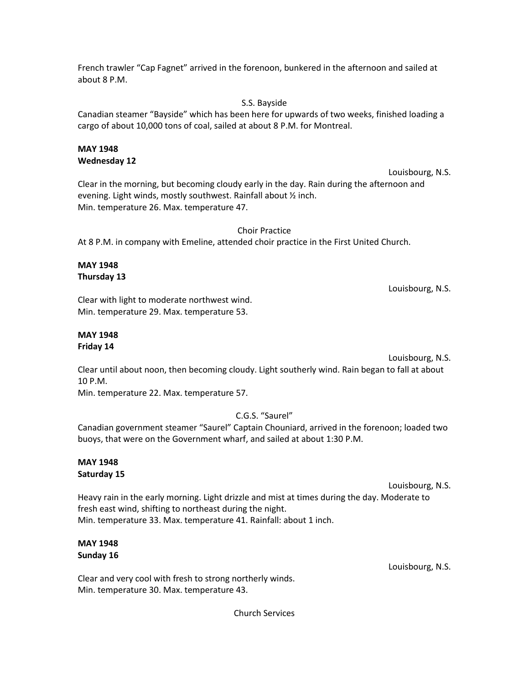French trawler "Cap Fagnet" arrived in the forenoon, bunkered in the afternoon and sailed at about 8 P.M.

S.S. Bayside

Canadian steamer "Bayside" which has been here for upwards of two weeks, finished loading a cargo of about 10,000 tons of coal, sailed at about 8 P.M. for Montreal.

## **MAY 1948 Wednesday 12**

Louisbourg, N.S. Clear in the morning, but becoming cloudy early in the day. Rain during the afternoon and evening. Light winds, mostly southwest. Rainfall about ½ inch. Min. temperature 26. Max. temperature 47.

Choir Practice At 8 P.M. in company with Emeline, attended choir practice in the First United Church.

## **MAY 1948 Thursday 13**

Louisbourg, N.S.

Clear with light to moderate northwest wind. Min. temperature 29. Max. temperature 53.

## **MAY 1948 Friday 14**

Louisbourg, N.S. Clear until about noon, then becoming cloudy. Light southerly wind. Rain began to fall at about 10 P.M.

Min. temperature 22. Max. temperature 57.

C.G.S. "Saurel"

Canadian government steamer "Saurel" Captain Chouniard, arrived in the forenoon; loaded two buoys, that were on the Government wharf, and sailed at about 1:30 P.M.

## **MAY 1948 Saturday 15**

Louisbourg, N.S.

Heavy rain in the early morning. Light drizzle and mist at times during the day. Moderate to fresh east wind, shifting to northeast during the night. Min. temperature 33. Max. temperature 41. Rainfall: about 1 inch.

# **MAY 1948 Sunday 16**

Louisbourg, N.S.

Clear and very cool with fresh to strong northerly winds. Min. temperature 30. Max. temperature 43.

Church Services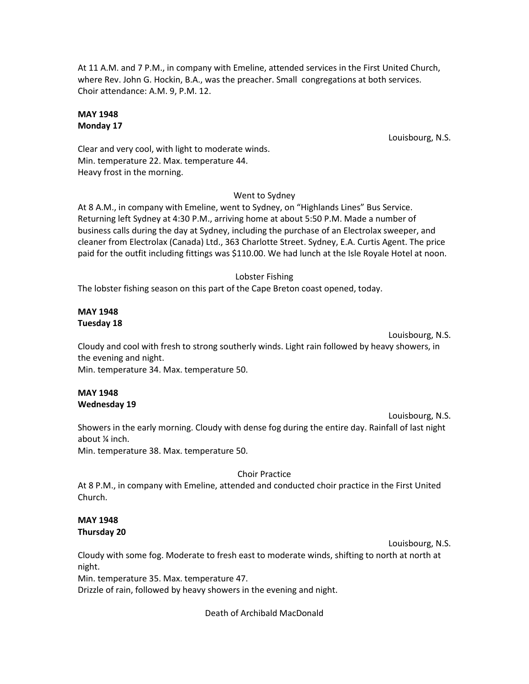At 11 A.M. and 7 P.M., in company with Emeline, attended services in the First United Church, where Rev. John G. Hockin, B.A., was the preacher. Small congregations at both services. Choir attendance: A.M. 9, P.M. 12.

## **MAY 1948 Monday 17**

Louisbourg, N.S.

Clear and very cool, with light to moderate winds. Min. temperature 22. Max. temperature 44. Heavy frost in the morning.

## Went to Sydney

At 8 A.M., in company with Emeline, went to Sydney, on "Highlands Lines" Bus Service. Returning left Sydney at 4:30 P.M., arriving home at about 5:50 P.M. Made a number of business calls during the day at Sydney, including the purchase of an Electrolax sweeper, and cleaner from Electrolax (Canada) Ltd., 363 Charlotte Street. Sydney, E.A. Curtis Agent. The price paid for the outfit including fittings was \$110.00. We had lunch at the Isle Royale Hotel at noon.

## Lobster Fishing

The lobster fishing season on this part of the Cape Breton coast opened, today.

## **MAY 1948 Tuesday 18**

Louisbourg, N.S.

Cloudy and cool with fresh to strong southerly winds. Light rain followed by heavy showers, in the evening and night.

Min. temperature 34. Max. temperature 50.

#### **MAY 1948 Wednesday 19**

Louisbourg, N.S.

Showers in the early morning. Cloudy with dense fog during the entire day. Rainfall of last night about ¼ inch.

Min. temperature 38. Max. temperature 50.

## Choir Practice

At 8 P.M., in company with Emeline, attended and conducted choir practice in the First United Church.

## **MAY 1948 Thursday 20**

Louisbourg, N.S.

Cloudy with some fog. Moderate to fresh east to moderate winds, shifting to north at north at night.

Min. temperature 35. Max. temperature 47.

Drizzle of rain, followed by heavy showers in the evening and night.

Death of Archibald MacDonald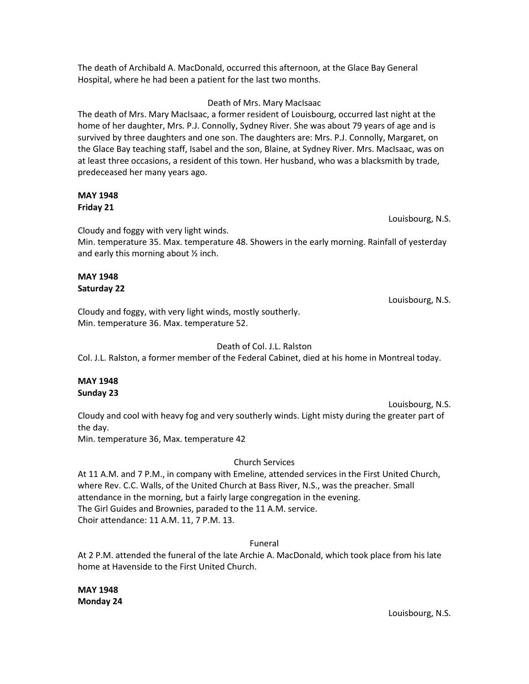The death of Archibald A. MacDonald, occurred this afternoon, at the Glace Bay General Hospital, where he had been a patient for the last two months.

#### Death of Mrs. Mary MacIsaac

The death of Mrs. Mary MacIsaac, a former resident of Louisbourg, occurred last night at the home of her daughter, Mrs. P.J. Connolly, Sydney River. She was about 79 years of age and is survived by three daughters and one son. The daughters are: Mrs. P.J. Connolly, Margaret, on the Glace Bay teaching staff, Isabel and the son, Blaine, at Sydney River. Mrs. MacIsaac, was on at least three occasions, a resident of this town. Her husband, who was a blacksmith by trade, predeceased her many years ago.

## **MAY 1948 Friday 21**

Louisbourg, N.S.

Cloudy and foggy with very light winds.

Min. temperature 35. Max. temperature 48. Showers in the early morning. Rainfall of yesterday and early this morning about ½ inch.

# **MAY 1948 Saturday 22**

Louisbourg, N.S.

Cloudy and foggy, with very light winds, mostly southerly. Min. temperature 36. Max. temperature 52.

## Death of Col. J.L. Ralston

Col. J.L. Ralston, a former member of the Federal Cabinet, died at his home in Montreal today.

## **MAY 1948 Sunday 23**

Louisbourg, N.S. Cloudy and cool with heavy fog and very southerly winds. Light misty during the greater part of the day.

Min. temperature 36, Max. temperature 42

## Church Services

At 11 A.M. and 7 P.M., in company with Emeline, attended services in the First United Church, where Rev. C.C. Walls, of the United Church at Bass River, N.S., was the preacher. Small attendance in the morning, but a fairly large congregation in the evening. The Girl Guides and Brownies, paraded to the 11 A.M. service. Choir attendance: 11 A.M. 11, 7 P.M. 13.

## Funeral

At 2 P.M. attended the funeral of the late Archie A. MacDonald, which took place from his late home at Havenside to the First United Church.

**MAY 1948 Monday 24**

Louisbourg, N.S.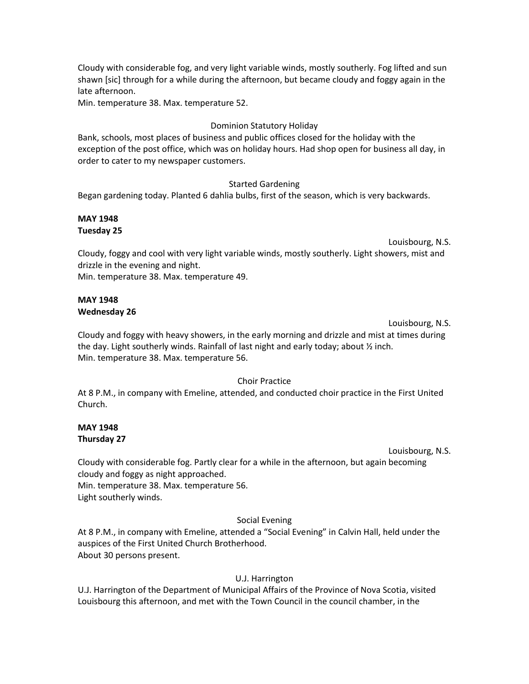Cloudy with considerable fog, and very light variable winds, mostly southerly. Fog lifted and sun shawn [sic] through for a while during the afternoon, but became cloudy and foggy again in the late afternoon.

Min. temperature 38. Max. temperature 52.

## Dominion Statutory Holiday

Bank, schools, most places of business and public offices closed for the holiday with the exception of the post office, which was on holiday hours. Had shop open for business all day, in order to cater to my newspaper customers.

### Started Gardening

Began gardening today. Planted 6 dahlia bulbs, first of the season, which is very backwards.

## **MAY 1948 Tuesday 25**

Louisbourg, N.S.

Cloudy, foggy and cool with very light variable winds, mostly southerly. Light showers, mist and drizzle in the evening and night.

Min. temperature 38. Max. temperature 49.

## **MAY 1948 Wednesday 26**

Louisbourg, N.S.

Cloudy and foggy with heavy showers, in the early morning and drizzle and mist at times during the day. Light southerly winds. Rainfall of last night and early today; about ½ inch. Min. temperature 38. Max. temperature 56.

## Choir Practice

At 8 P.M., in company with Emeline, attended, and conducted choir practice in the First United Church.

## **MAY 1948 Thursday 27**

Louisbourg, N.S.

Cloudy with considerable fog. Partly clear for a while in the afternoon, but again becoming cloudy and foggy as night approached.

Min. temperature 38. Max. temperature 56. Light southerly winds.

## Social Evening

At 8 P.M., in company with Emeline, attended a "Social Evening" in Calvin Hall, held under the auspices of the First United Church Brotherhood. About 30 persons present.

## U.J. Harrington

U.J. Harrington of the Department of Municipal Affairs of the Province of Nova Scotia, visited Louisbourg this afternoon, and met with the Town Council in the council chamber, in the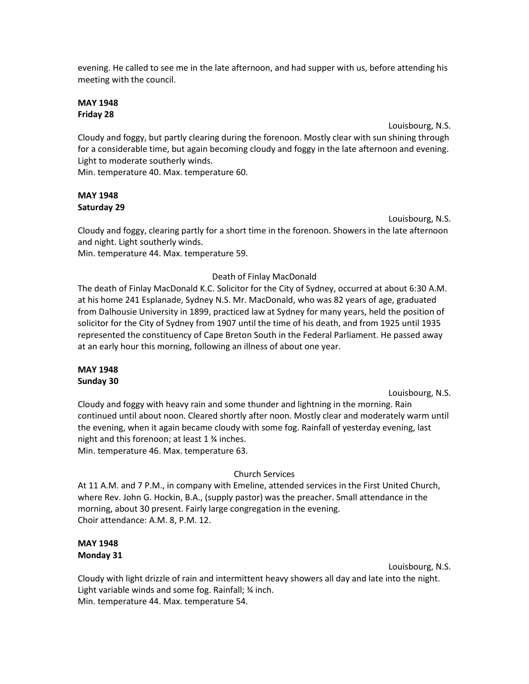evening. He called to see me in the late afternoon, and had supper with us, before attending his meeting with the council.

## **MAY 1948 Friday 28**

Louisbourg, N.S.

Cloudy and foggy, but partly clearing during the forenoon. Mostly clear with sun shining through for a considerable time, but again becoming cloudy and foggy in the late afternoon and evening. Light to moderate southerly winds.

Min. temperature 40. Max. temperature 60.

# **MAY 1948 Saturday 29**

Louisbourg, N.S.

Cloudy and foggy, clearing partly for a short time in the forenoon. Showers in the late afternoon and night. Light southerly winds.

Min. temperature 44. Max. temperature 59.

# Death of Finlay MacDonald

The death of Finlay MacDonald K.C. Solicitor for the City of Sydney, occurred at about 6:30 A.M. at his home 241 Esplanade, Sydney N.S. Mr. MacDonald, who was 82 years of age, graduated from Dalhousie University in 1899, practiced law at Sydney for many years, held the position of solicitor for the City of Sydney from 1907 until the time of his death, and from 1925 until 1935 represented the constituency of Cape Breton South in the Federal Parliament. He passed away at an early hour this morning, following an illness of about one year.

## **MAY 1948 Sunday 30**

Louisbourg, N.S.

Cloudy and foggy with heavy rain and some thunder and lightning in the morning. Rain continued until about noon. Cleared shortly after noon. Mostly clear and moderately warm until the evening, when it again became cloudy with some fog. Rainfall of yesterday evening, last night and this forenoon; at least 1 ¾ inches. Min. temperature 46. Max. temperature 63.

# Church Services

At 11 A.M. and 7 P.M., in company with Emeline, attended services in the First United Church, where Rev. John G. Hockin, B.A., (supply pastor) was the preacher. Small attendance in the morning, about 30 present. Fairly large congregation in the evening. Choir attendance: A.M. 8, P.M. 12.

# **MAY 1948 Monday 31**

Louisbourg, N.S.

Cloudy with light drizzle of rain and intermittent heavy showers all day and late into the night. Light variable winds and some fog. Rainfall; % inch. Min. temperature 44. Max. temperature 54.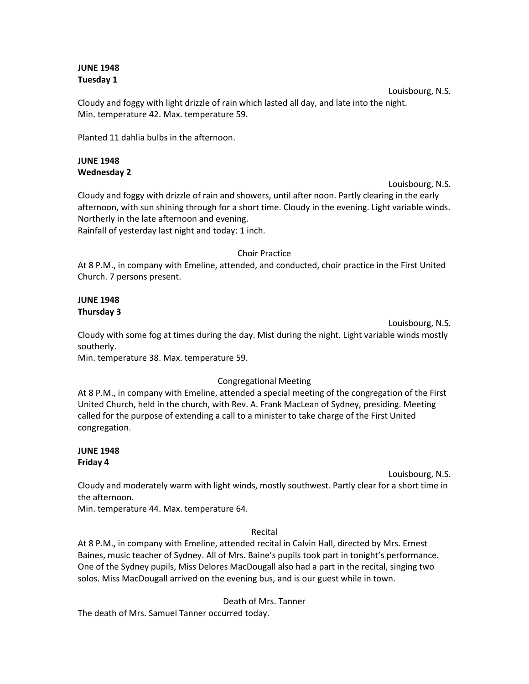## **JUNE 1948 Tuesday 1**

Louisbourg, N.S. Cloudy and foggy with light drizzle of rain which lasted all day, and late into the night. Min. temperature 42. Max. temperature 59.

Planted 11 dahlia bulbs in the afternoon.

## **JUNE 1948 Wednesday 2**

Louisbourg, N.S. Cloudy and foggy with drizzle of rain and showers, until after noon. Partly clearing in the early afternoon, with sun shining through for a short time. Cloudy in the evening. Light variable winds. Northerly in the late afternoon and evening. Rainfall of yesterday last night and today: 1 inch.

#### Choir Practice

At 8 P.M., in company with Emeline, attended, and conducted, choir practice in the First United Church. 7 persons present.

## **JUNE 1948 Thursday 3**

Louisbourg, N.S. Cloudy with some fog at times during the day. Mist during the night. Light variable winds mostly southerly.

Min. temperature 38. Max. temperature 59.

## Congregational Meeting

At 8 P.M., in company with Emeline, attended a special meeting of the congregation of the First United Church, held in the church, with Rev. A. Frank MacLean of Sydney, presiding. Meeting called for the purpose of extending a call to a minister to take charge of the First United congregation.

## **JUNE 1948 Friday 4**

Louisbourg, N.S.

Cloudy and moderately warm with light winds, mostly southwest. Partly clear for a short time in the afternoon.

Min. temperature 44. Max. temperature 64.

Recital

At 8 P.M., in company with Emeline, attended recital in Calvin Hall, directed by Mrs. Ernest Baines, music teacher of Sydney. All of Mrs. Baine's pupils took part in tonight's performance. One of the Sydney pupils, Miss Delores MacDougall also had a part in the recital, singing two solos. Miss MacDougall arrived on the evening bus, and is our guest while in town.

Death of Mrs. Tanner

The death of Mrs. Samuel Tanner occurred today.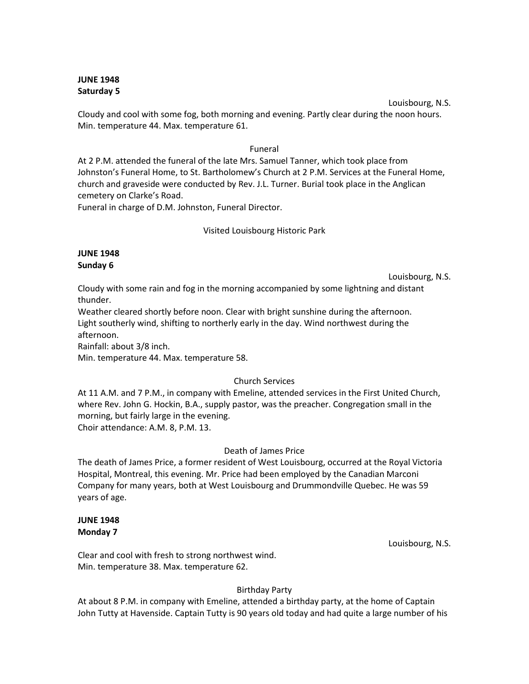### **JUNE 1948 Saturday 5**

Louisbourg, N.S. Cloudy and cool with some fog, both morning and evening. Partly clear during the noon hours. Min. temperature 44. Max. temperature 61.

## Funeral

At 2 P.M. attended the funeral of the late Mrs. Samuel Tanner, which took place from Johnston's Funeral Home, to St. Bartholomew's Church at 2 P.M. Services at the Funeral Home, church and graveside were conducted by Rev. J.L. Turner. Burial took place in the Anglican cemetery on Clarke's Road.

Funeral in charge of D.M. Johnston, Funeral Director.

## Visited Louisbourg Historic Park

## **JUNE 1948 Sunday 6**

Louisbourg, N.S.

Cloudy with some rain and fog in the morning accompanied by some lightning and distant thunder.

Weather cleared shortly before noon. Clear with bright sunshine during the afternoon. Light southerly wind, shifting to northerly early in the day. Wind northwest during the afternoon.

Rainfall: about 3/8 inch.

Min. temperature 44. Max. temperature 58.

## Church Services

At 11 A.M. and 7 P.M., in company with Emeline, attended services in the First United Church, where Rev. John G. Hockin, B.A., supply pastor, was the preacher. Congregation small in the morning, but fairly large in the evening. Choir attendance: A.M. 8, P.M. 13.

## Death of James Price

The death of James Price, a former resident of West Louisbourg, occurred at the Royal Victoria Hospital, Montreal, this evening. Mr. Price had been employed by the Canadian Marconi Company for many years, both at West Louisbourg and Drummondville Quebec. He was 59 years of age.

## **JUNE 1948 Monday 7**

Louisbourg, N.S.

Clear and cool with fresh to strong northwest wind. Min. temperature 38. Max. temperature 62.

## Birthday Party

At about 8 P.M. in company with Emeline, attended a birthday party, at the home of Captain John Tutty at Havenside. Captain Tutty is 90 years old today and had quite a large number of his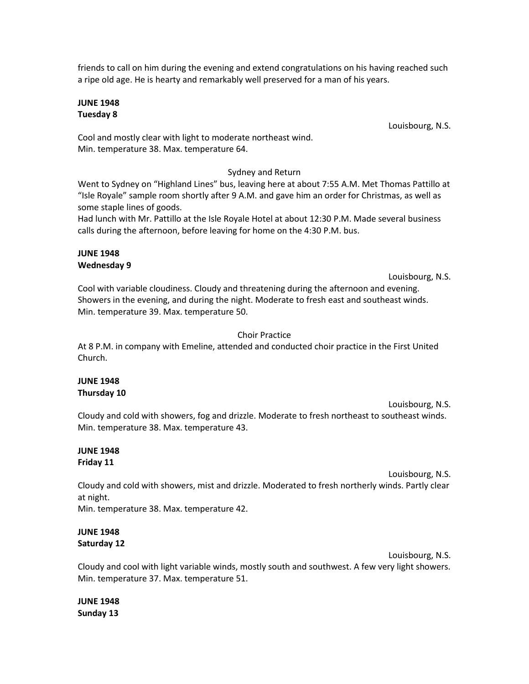friends to call on him during the evening and extend congratulations on his having reached such a ripe old age. He is hearty and remarkably well preserved for a man of his years.

### **JUNE 1948 Tuesday 8**

Louisbourg, N.S.

Cool and mostly clear with light to moderate northeast wind. Min. temperature 38. Max. temperature 64.

# Sydney and Return

Went to Sydney on "Highland Lines" bus, leaving here at about 7:55 A.M. Met Thomas Pattillo at "Isle Royale" sample room shortly after 9 A.M. and gave him an order for Christmas, as well as some staple lines of goods.

Had lunch with Mr. Pattillo at the Isle Royale Hotel at about 12:30 P.M. Made several business calls during the afternoon, before leaving for home on the 4:30 P.M. bus.

## **JUNE 1948 Wednesday 9**

Louisbourg, N.S.

Cool with variable cloudiness. Cloudy and threatening during the afternoon and evening. Showers in the evening, and during the night. Moderate to fresh east and southeast winds. Min. temperature 39. Max. temperature 50.

# Choir Practice

At 8 P.M. in company with Emeline, attended and conducted choir practice in the First United Church.

## **JUNE 1948 Thursday 10**

Louisbourg, N.S. Cloudy and cold with showers, fog and drizzle. Moderate to fresh northeast to southeast winds. Min. temperature 38. Max. temperature 43.

## **JUNE 1948 Friday 11**

Louisbourg, N.S.

Cloudy and cold with showers, mist and drizzle. Moderated to fresh northerly winds. Partly clear at night.

Min. temperature 38. Max. temperature 42.

# **JUNE 1948 Saturday 12**

Louisbourg, N.S.

Cloudy and cool with light variable winds, mostly south and southwest. A few very light showers. Min. temperature 37. Max. temperature 51.

**JUNE 1948 Sunday 13**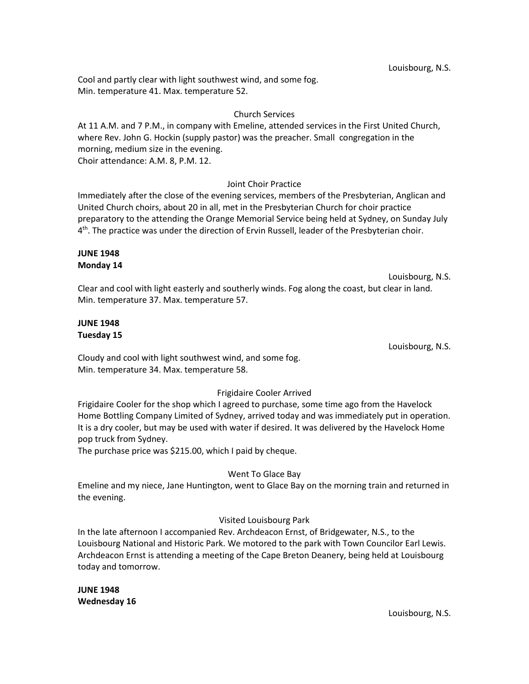Louisbourg, N.S.

Cool and partly clear with light southwest wind, and some fog. Min. temperature 41. Max. temperature 52.

## Church Services

At 11 A.M. and 7 P.M., in company with Emeline, attended services in the First United Church, where Rev. John G. Hockin (supply pastor) was the preacher. Small congregation in the morning, medium size in the evening. Choir attendance: A.M. 8, P.M. 12.

## Joint Choir Practice

Immediately after the close of the evening services, members of the Presbyterian, Anglican and United Church choirs, about 20 in all, met in the Presbyterian Church for choir practice preparatory to the attending the Orange Memorial Service being held at Sydney, on Sunday July 4<sup>th</sup>. The practice was under the direction of Ervin Russell, leader of the Presbyterian choir.

## **JUNE 1948 Monday 14**

Louisbourg, N.S. Clear and cool with light easterly and southerly winds. Fog along the coast, but clear in land. Min. temperature 37. Max. temperature 57.

### **JUNE 1948 Tuesday 15**

Louisbourg, N.S.

Cloudy and cool with light southwest wind, and some fog. Min. temperature 34. Max. temperature 58.

## Frigidaire Cooler Arrived

Frigidaire Cooler for the shop which I agreed to purchase, some time ago from the Havelock Home Bottling Company Limited of Sydney, arrived today and was immediately put in operation. It is a dry cooler, but may be used with water if desired. It was delivered by the Havelock Home pop truck from Sydney.

The purchase price was \$215.00, which I paid by cheque.

## Went To Glace Bay

Emeline and my niece, Jane Huntington, went to Glace Bay on the morning train and returned in the evening.

## Visited Louisbourg Park

In the late afternoon I accompanied Rev. Archdeacon Ernst, of Bridgewater, N.S., to the Louisbourg National and Historic Park. We motored to the park with Town Councilor Earl Lewis. Archdeacon Ernst is attending a meeting of the Cape Breton Deanery, being held at Louisbourg today and tomorrow.

**JUNE 1948 Wednesday 16**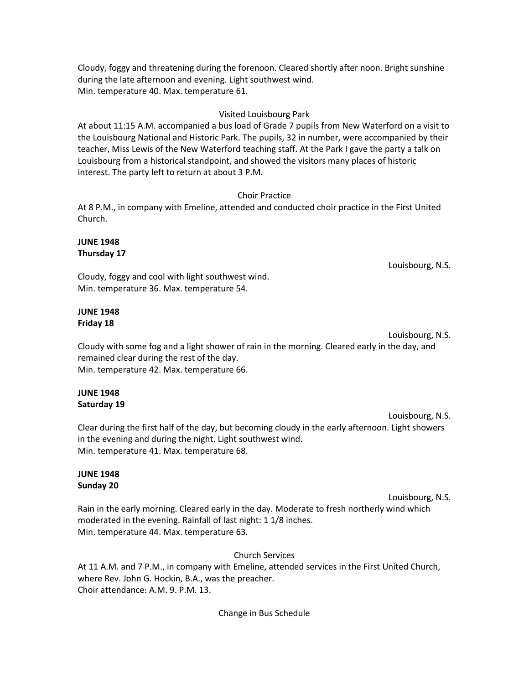Cloudy, foggy and threatening during the forenoon. Cleared shortly after noon. Bright sunshine during the late afternoon and evening. Light southwest wind. Min. temperature 40. Max. temperature 61.

### Visited Louisbourg Park

At about 11:15 A.M. accompanied a bus load of Grade 7 pupils from New Waterford on a visit to the Louisbourg National and Historic Park. The pupils, 32 in number, were accompanied by their teacher, Miss Lewis of the New Waterford teaching staff. At the Park I gave the party a talk on Louisbourg from a historical standpoint, and showed the visitors many places of historic interest. The party left to return at about 3 P.M.

#### Choir Practice

At 8 P.M., in company with Emeline, attended and conducted choir practice in the First United Church.

### **JUNE 1948 Thursday 17**

Louisbourg, N.S.

Cloudy, foggy and cool with light southwest wind. Min. temperature 36. Max. temperature 54.

#### **JUNE 1948 Friday 18**

Louisbourg, N.S.

Cloudy with some fog and a light shower of rain in the morning. Cleared early in the day, and remained clear during the rest of the day. Min. temperature 42. Max. temperature 66.

## **JUNE 1948 Saturday 19**

Louisbourg, N.S. Clear during the first half of the day, but becoming cloudy in the early afternoon. Light showers in the evening and during the night. Light southwest wind. Min. temperature 41. Max. temperature 68.

#### **JUNE 1948 Sunday 20**

Louisbourg, N.S.

Rain in the early morning. Cleared early in the day. Moderate to fresh northerly wind which moderated in the evening. Rainfall of last night: 1 1/8 inches. Min. temperature 44. Max. temperature 63.

Church Services

At 11 A.M. and 7 P.M., in company with Emeline, attended services in the First United Church, where Rev. John G. Hockin, B.A., was the preacher. Choir attendance: A.M. 9. P.M. 13.

Change in Bus Schedule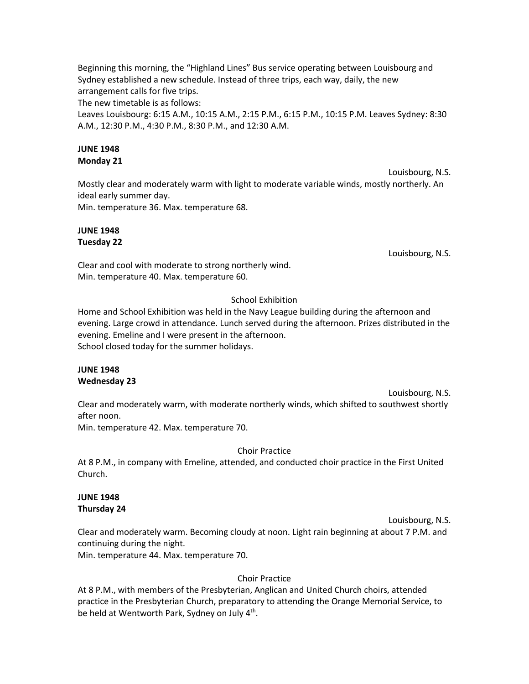Beginning this morning, the "Highland Lines" Bus service operating between Louisbourg and Sydney established a new schedule. Instead of three trips, each way, daily, the new arrangement calls for five trips.

The new timetable is as follows:

Leaves Louisbourg: 6:15 A.M., 10:15 A.M., 2:15 P.M., 6:15 P.M., 10:15 P.M. Leaves Sydney: 8:30 A.M., 12:30 P.M., 4:30 P.M., 8:30 P.M., and 12:30 A.M.

## **JUNE 1948 Monday 21**

Louisbourg, N.S. Mostly clear and moderately warm with light to moderate variable winds, mostly northerly. An ideal early summer day. Min. temperature 36. Max. temperature 68.

**JUNE 1948 Tuesday 22**

Louisbourg, N.S.

Clear and cool with moderate to strong northerly wind. Min. temperature 40. Max. temperature 60.

# School Exhibition

Home and School Exhibition was held in the Navy League building during the afternoon and evening. Large crowd in attendance. Lunch served during the afternoon. Prizes distributed in the evening. Emeline and I were present in the afternoon. School closed today for the summer holidays.

## **JUNE 1948 Wednesday 23**

Louisbourg, N.S. Clear and moderately warm, with moderate northerly winds, which shifted to southwest shortly after noon.

Min. temperature 42. Max. temperature 70.

## Choir Practice

At 8 P.M., in company with Emeline, attended, and conducted choir practice in the First United Church.

## **JUNE 1948 Thursday 24**

Louisbourg, N.S. Clear and moderately warm. Becoming cloudy at noon. Light rain beginning at about 7 P.M. and continuing during the night.

Min. temperature 44. Max. temperature 70.

## Choir Practice

At 8 P.M., with members of the Presbyterian, Anglican and United Church choirs, attended practice in the Presbyterian Church, preparatory to attending the Orange Memorial Service, to be held at Wentworth Park, Sydney on July 4<sup>th</sup>.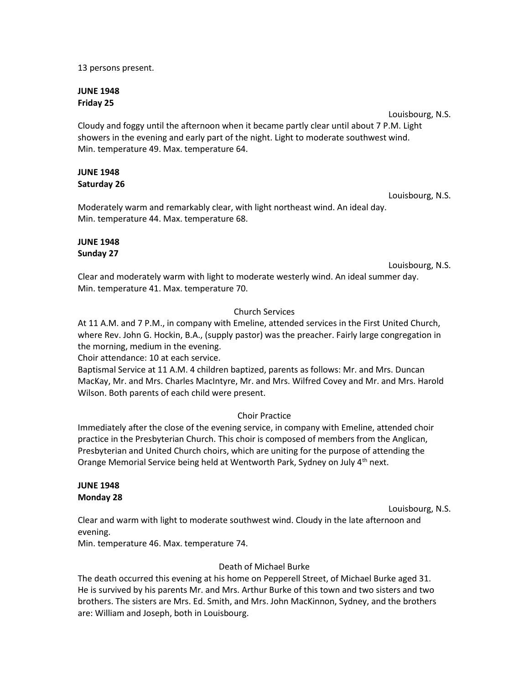13 persons present.

#### **JUNE 1948 Friday 25**

Louisbourg, N.S.

Cloudy and foggy until the afternoon when it became partly clear until about 7 P.M. Light showers in the evening and early part of the night. Light to moderate southwest wind. Min. temperature 49. Max. temperature 64.

## **JUNE 1948 Saturday 26**

Moderately warm and remarkably clear, with light northeast wind. An ideal day. Min. temperature 44. Max. temperature 68.

## **JUNE 1948 Sunday 27**

Louisbourg, N.S.

Louisbourg, N.S.

Clear and moderately warm with light to moderate westerly wind. An ideal summer day. Min. temperature 41. Max. temperature 70.

## Church Services

At 11 A.M. and 7 P.M., in company with Emeline, attended services in the First United Church, where Rev. John G. Hockin, B.A., (supply pastor) was the preacher. Fairly large congregation in the morning, medium in the evening.

Choir attendance: 10 at each service.

Baptismal Service at 11 A.M. 4 children baptized, parents as follows: Mr. and Mrs. Duncan MacKay, Mr. and Mrs. Charles MacIntyre, Mr. and Mrs. Wilfred Covey and Mr. and Mrs. Harold Wilson. Both parents of each child were present.

## Choir Practice

Immediately after the close of the evening service, in company with Emeline, attended choir practice in the Presbyterian Church. This choir is composed of members from the Anglican, Presbyterian and United Church choirs, which are uniting for the purpose of attending the Orange Memorial Service being held at Wentworth Park, Sydney on July 4<sup>th</sup> next.

## **JUNE 1948 Monday 28**

Louisbourg, N.S.

Clear and warm with light to moderate southwest wind. Cloudy in the late afternoon and evening.

Min. temperature 46. Max. temperature 74.

## Death of Michael Burke

The death occurred this evening at his home on Pepperell Street, of Michael Burke aged 31. He is survived by his parents Mr. and Mrs. Arthur Burke of this town and two sisters and two brothers. The sisters are Mrs. Ed. Smith, and Mrs. John MacKinnon, Sydney, and the brothers are: William and Joseph, both in Louisbourg.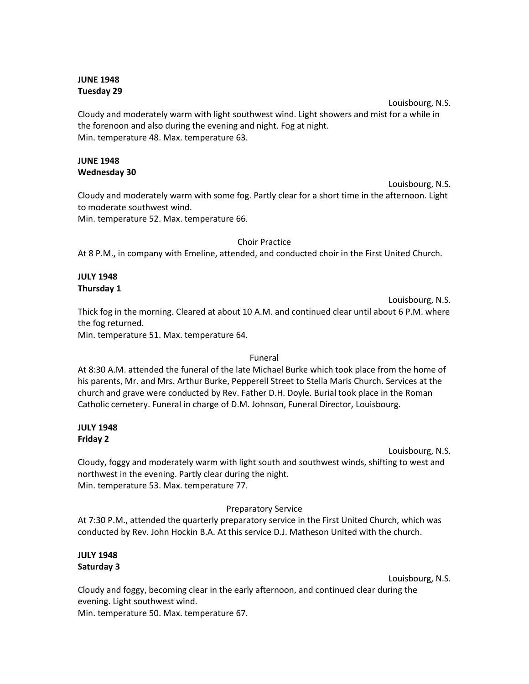## **JUNE 1948 Tuesday 29**

Louisbourg, N.S. Cloudy and moderately warm with light southwest wind. Light showers and mist for a while in the forenoon and also during the evening and night. Fog at night. Min. temperature 48. Max. temperature 63.

## **JUNE 1948 Wednesday 30**

Louisbourg, N.S. Cloudy and moderately warm with some fog. Partly clear for a short time in the afternoon. Light to moderate southwest wind.

Min. temperature 52. Max. temperature 66.

Choir Practice

At 8 P.M., in company with Emeline, attended, and conducted choir in the First United Church.

## **JULY 1948 Thursday 1**

Louisbourg, N.S. Thick fog in the morning. Cleared at about 10 A.M. and continued clear until about 6 P.M. where the fog returned.

Min. temperature 51. Max. temperature 64.

## Funeral

At 8:30 A.M. attended the funeral of the late Michael Burke which took place from the home of his parents, Mr. and Mrs. Arthur Burke, Pepperell Street to Stella Maris Church. Services at the church and grave were conducted by Rev. Father D.H. Doyle. Burial took place in the Roman Catholic cemetery. Funeral in charge of D.M. Johnson, Funeral Director, Louisbourg.

#### **JULY 1948 Friday 2**

Louisbourg, N.S.

Cloudy, foggy and moderately warm with light south and southwest winds, shifting to west and northwest in the evening. Partly clear during the night. Min. temperature 53. Max. temperature 77.

## Preparatory Service

At 7:30 P.M., attended the quarterly preparatory service in the First United Church, which was conducted by Rev. John Hockin B.A. At this service D.J. Matheson United with the church.

## **JULY 1948 Saturday 3**

Louisbourg, N.S.

Cloudy and foggy, becoming clear in the early afternoon, and continued clear during the evening. Light southwest wind.

Min. temperature 50. Max. temperature 67.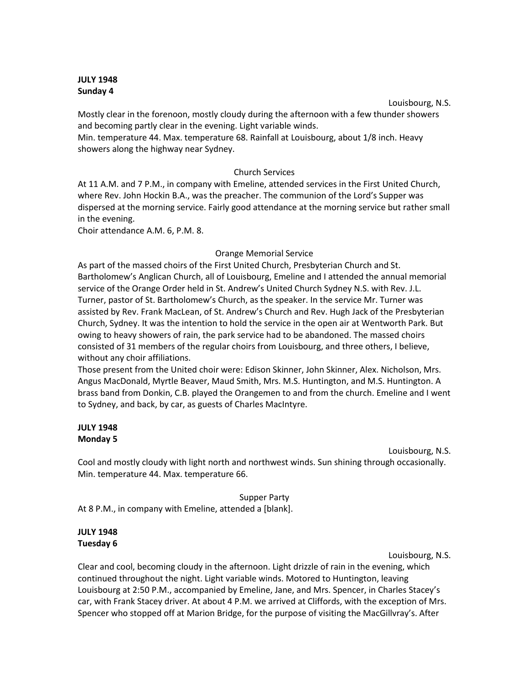### **JULY 1948 Sunday 4**

Louisbourg, N.S.

Mostly clear in the forenoon, mostly cloudy during the afternoon with a few thunder showers and becoming partly clear in the evening. Light variable winds.

Min. temperature 44. Max. temperature 68. Rainfall at Louisbourg, about 1/8 inch. Heavy showers along the highway near Sydney.

## Church Services

At 11 A.M. and 7 P.M., in company with Emeline, attended services in the First United Church, where Rev. John Hockin B.A., was the preacher. The communion of the Lord's Supper was dispersed at the morning service. Fairly good attendance at the morning service but rather small in the evening.

Choir attendance A.M. 6, P.M. 8.

## Orange Memorial Service

As part of the massed choirs of the First United Church, Presbyterian Church and St. Bartholomew's Anglican Church, all of Louisbourg, Emeline and I attended the annual memorial service of the Orange Order held in St. Andrew's United Church Sydney N.S. with Rev. J.L. Turner, pastor of St. Bartholomew's Church, as the speaker. In the service Mr. Turner was assisted by Rev. Frank MacLean, of St. Andrew's Church and Rev. Hugh Jack of the Presbyterian Church, Sydney. It was the intention to hold the service in the open air at Wentworth Park. But owing to heavy showers of rain, the park service had to be abandoned. The massed choirs consisted of 31 members of the regular choirs from Louisbourg, and three others, I believe, without any choir affiliations.

Those present from the United choir were: Edison Skinner, John Skinner, Alex. Nicholson, Mrs. Angus MacDonald, Myrtle Beaver, Maud Smith, Mrs. M.S. Huntington, and M.S. Huntington. A brass band from Donkin, C.B. played the Orangemen to and from the church. Emeline and I went to Sydney, and back, by car, as guests of Charles MacIntyre.

## **JULY 1948 Monday 5**

Louisbourg, N.S.

Cool and mostly cloudy with light north and northwest winds. Sun shining through occasionally. Min. temperature 44. Max. temperature 66.

Supper Party

At 8 P.M., in company with Emeline, attended a [blank].

# **JULY 1948 Tuesday 6**

Louisbourg, N.S.

Clear and cool, becoming cloudy in the afternoon. Light drizzle of rain in the evening, which continued throughout the night. Light variable winds. Motored to Huntington, leaving Louisbourg at 2:50 P.M., accompanied by Emeline, Jane, and Mrs. Spencer, in Charles Stacey's car, with Frank Stacey driver. At about 4 P.M. we arrived at Cliffords, with the exception of Mrs. Spencer who stopped off at Marion Bridge, for the purpose of visiting the MacGillvray's. After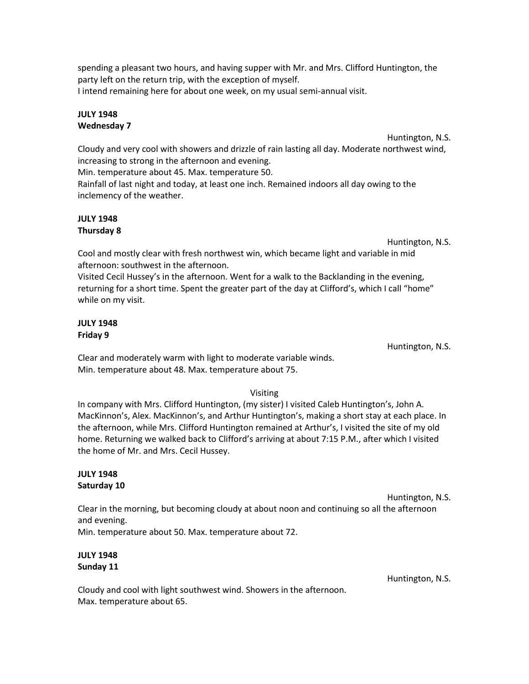spending a pleasant two hours, and having supper with Mr. and Mrs. Clifford Huntington, the party left on the return trip, with the exception of myself.

I intend remaining here for about one week, on my usual semi-annual visit.

## **JULY 1948 Wednesday 7**

Huntington, N.S.

Cloudy and very cool with showers and drizzle of rain lasting all day. Moderate northwest wind, increasing to strong in the afternoon and evening.

Min. temperature about 45. Max. temperature 50.

Rainfall of last night and today, at least one inch. Remained indoors all day owing to the inclemency of the weather.

# **JULY 1948 Thursday 8**

Huntington, N.S.

Cool and mostly clear with fresh northwest win, which became light and variable in mid afternoon: southwest in the afternoon.

Visited Cecil Hussey's in the afternoon. Went for a walk to the Backlanding in the evening, returning for a short time. Spent the greater part of the day at Clifford's, which I call "home" while on my visit.

## **JULY 1948 Friday 9**

Huntington, N.S.

Clear and moderately warm with light to moderate variable winds. Min. temperature about 48. Max. temperature about 75.

# Visiting

In company with Mrs. Clifford Huntington, (my sister) I visited Caleb Huntington's, John A. MacKinnon's, Alex. MacKinnon's, and Arthur Huntington's, making a short stay at each place. In the afternoon, while Mrs. Clifford Huntington remained at Arthur's, I visited the site of my old home. Returning we walked back to Clifford's arriving at about 7:15 P.M., after which I visited the home of Mr. and Mrs. Cecil Hussey.

## **JULY 1948 Saturday 10**

Huntington, N.S.

Clear in the morning, but becoming cloudy at about noon and continuing so all the afternoon and evening.

Min. temperature about 50. Max. temperature about 72.

# **JULY 1948 Sunday 11**

Huntington, N.S.

Cloudy and cool with light southwest wind. Showers in the afternoon. Max. temperature about 65.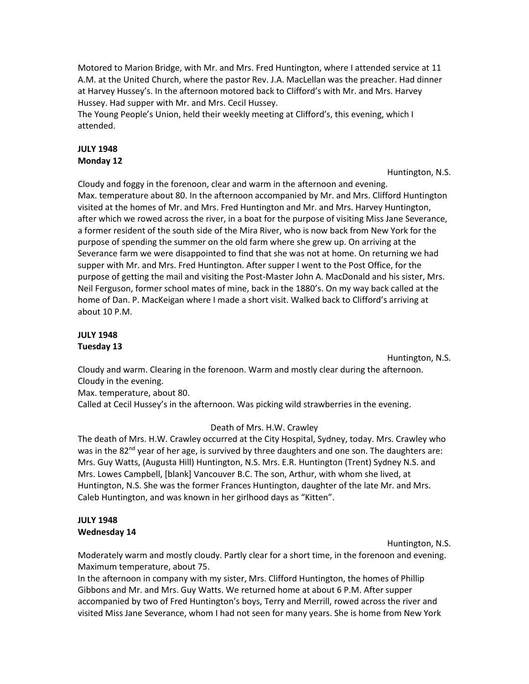Motored to Marion Bridge, with Mr. and Mrs. Fred Huntington, where I attended service at 11 A.M. at the United Church, where the pastor Rev. J.A. MacLellan was the preacher. Had dinner at Harvey Hussey's. In the afternoon motored back to Clifford's with Mr. and Mrs. Harvey Hussey. Had supper with Mr. and Mrs. Cecil Hussey.

The Young People's Union, held their weekly meeting at Clifford's, this evening, which I attended.

## **JULY 1948 Monday 12**

Huntington, N.S.

Cloudy and foggy in the forenoon, clear and warm in the afternoon and evening. Max. temperature about 80. In the afternoon accompanied by Mr. and Mrs. Clifford Huntington visited at the homes of Mr. and Mrs. Fred Huntington and Mr. and Mrs. Harvey Huntington, after which we rowed across the river, in a boat for the purpose of visiting Miss Jane Severance, a former resident of the south side of the Mira River, who is now back from New York for the purpose of spending the summer on the old farm where she grew up. On arriving at the Severance farm we were disappointed to find that she was not at home. On returning we had supper with Mr. and Mrs. Fred Huntington. After supper I went to the Post Office, for the purpose of getting the mail and visiting the Post-Master John A. MacDonald and his sister, Mrs. Neil Ferguson, former school mates of mine, back in the 1880's. On my way back called at the home of Dan. P. MacKeigan where I made a short visit. Walked back to Clifford's arriving at about 10 P.M.

# **JULY 1948 Tuesday 13**

Huntington, N.S.

Cloudy and warm. Clearing in the forenoon. Warm and mostly clear during the afternoon. Cloudy in the evening.

Max. temperature, about 80.

Called at Cecil Hussey's in the afternoon. Was picking wild strawberries in the evening.

## Death of Mrs. H.W. Crawley

The death of Mrs. H.W. Crawley occurred at the City Hospital, Sydney, today. Mrs. Crawley who was in the  $82<sup>nd</sup>$  year of her age, is survived by three daughters and one son. The daughters are: Mrs. Guy Watts, (Augusta Hill) Huntington, N.S. Mrs. E.R. Huntington (Trent) Sydney N.S. and Mrs. Lowes Campbell, [blank] Vancouver B.C. The son, Arthur, with whom she lived, at Huntington, N.S. She was the former Frances Huntington, daughter of the late Mr. and Mrs. Caleb Huntington, and was known in her girlhood days as "Kitten".

## **JULY 1948 Wednesday 14**

Huntington, N.S.

Moderately warm and mostly cloudy. Partly clear for a short time, in the forenoon and evening. Maximum temperature, about 75.

In the afternoon in company with my sister, Mrs. Clifford Huntington, the homes of Phillip Gibbons and Mr. and Mrs. Guy Watts. We returned home at about 6 P.M. After supper accompanied by two of Fred Huntington's boys, Terry and Merrill, rowed across the river and visited Miss Jane Severance, whom I had not seen for many years. She is home from New York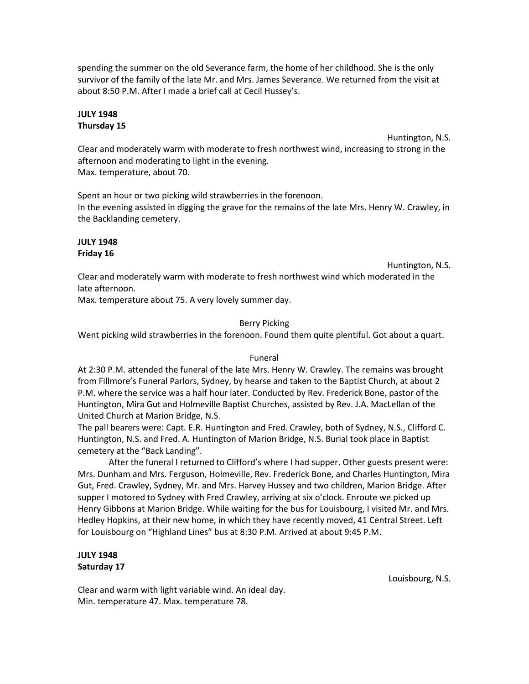spending the summer on the old Severance farm, the home of her childhood. She is the only survivor of the family of the late Mr. and Mrs. James Severance. We returned from the visit at about 8:50 P.M. After I made a brief call at Cecil Hussey's.

## **JULY 1948 Thursday 15**

Huntington, N.S.

Clear and moderately warm with moderate to fresh northwest wind, increasing to strong in the afternoon and moderating to light in the evening. Max. temperature, about 70.

Spent an hour or two picking wild strawberries in the forenoon. In the evening assisted in digging the grave for the remains of the late Mrs. Henry W. Crawley, in the Backlanding cemetery.

## **JULY 1948 Friday 16**

Huntington, N.S.

Clear and moderately warm with moderate to fresh northwest wind which moderated in the late afternoon.

Max. temperature about 75. A very lovely summer day.

## Berry Picking

Went picking wild strawberries in the forenoon. Found them quite plentiful. Got about a quart.

## Funeral

At 2:30 P.M. attended the funeral of the late Mrs. Henry W. Crawley. The remains was brought from Fillmore's Funeral Parlors, Sydney, by hearse and taken to the Baptist Church, at about 2 P.M. where the service was a half hour later. Conducted by Rev. Frederick Bone, pastor of the Huntington, Mira Gut and Holmeville Baptist Churches, assisted by Rev. J.A. MacLellan of the United Church at Marion Bridge, N.S.

The pall bearers were: Capt. E.R. Huntington and Fred. Crawley, both of Sydney, N.S., Clifford C. Huntington, N.S. and Fred. A. Huntington of Marion Bridge, N.S. Burial took place in Baptist cemetery at the "Back Landing".

After the funeral I returned to Clifford's where I had supper. Other guests present were: Mrs. Dunham and Mrs. Ferguson, Holmeville, Rev. Frederick Bone, and Charles Huntington, Mira Gut, Fred. Crawley, Sydney, Mr. and Mrs. Harvey Hussey and two children, Marion Bridge. After supper I motored to Sydney with Fred Crawley, arriving at six o'clock. Enroute we picked up Henry Gibbons at Marion Bridge. While waiting for the bus for Louisbourg, I visited Mr. and Mrs. Hedley Hopkins, at their new home, in which they have recently moved, 41 Central Street. Left for Louisbourg on "Highland Lines" bus at 8:30 P.M. Arrived at about 9:45 P.M.

## **JULY 1948 Saturday 17**

Clear and warm with light variable wind. An ideal day. Min. temperature 47. Max. temperature 78.

Louisbourg, N.S.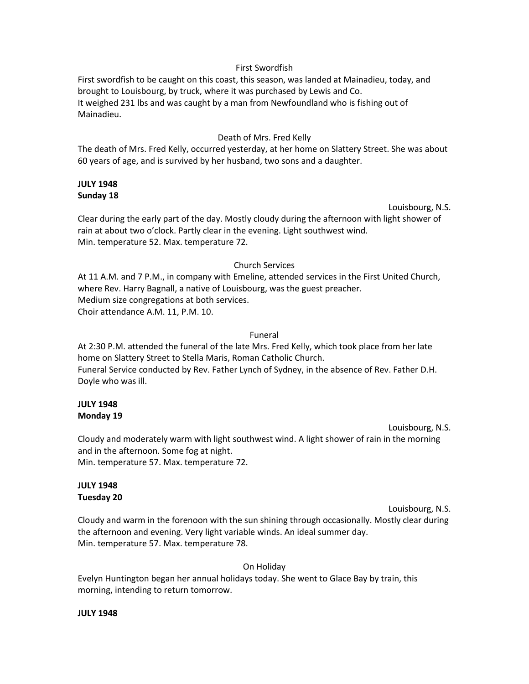#### First Swordfish

First swordfish to be caught on this coast, this season, was landed at Mainadieu, today, and brought to Louisbourg, by truck, where it was purchased by Lewis and Co. It weighed 231 lbs and was caught by a man from Newfoundland who is fishing out of Mainadieu.

### Death of Mrs. Fred Kelly

The death of Mrs. Fred Kelly, occurred yesterday, at her home on Slattery Street. She was about 60 years of age, and is survived by her husband, two sons and a daughter.

## **JULY 1948 Sunday 18**

Louisbourg, N.S.

Clear during the early part of the day. Mostly cloudy during the afternoon with light shower of rain at about two o'clock. Partly clear in the evening. Light southwest wind. Min. temperature 52. Max. temperature 72.

#### Church Services

At 11 A.M. and 7 P.M., in company with Emeline, attended services in the First United Church, where Rev. Harry Bagnall, a native of Louisbourg, was the guest preacher. Medium size congregations at both services. Choir attendance A.M. 11, P.M. 10.

#### Funeral

At 2:30 P.M. attended the funeral of the late Mrs. Fred Kelly, which took place from her late home on Slattery Street to Stella Maris, Roman Catholic Church. Funeral Service conducted by Rev. Father Lynch of Sydney, in the absence of Rev. Father D.H. Doyle who was ill.

### **JULY 1948 Monday 19**

Louisbourg, N.S.

Cloudy and moderately warm with light southwest wind. A light shower of rain in the morning and in the afternoon. Some fog at night. Min. temperature 57. Max. temperature 72.

## **JULY 1948 Tuesday 20**

Louisbourg, N.S. Cloudy and warm in the forenoon with the sun shining through occasionally. Mostly clear during the afternoon and evening. Very light variable winds. An ideal summer day. Min. temperature 57. Max. temperature 78.

On Holiday

Evelyn Huntington began her annual holidays today. She went to Glace Bay by train, this morning, intending to return tomorrow.

#### **JULY 1948**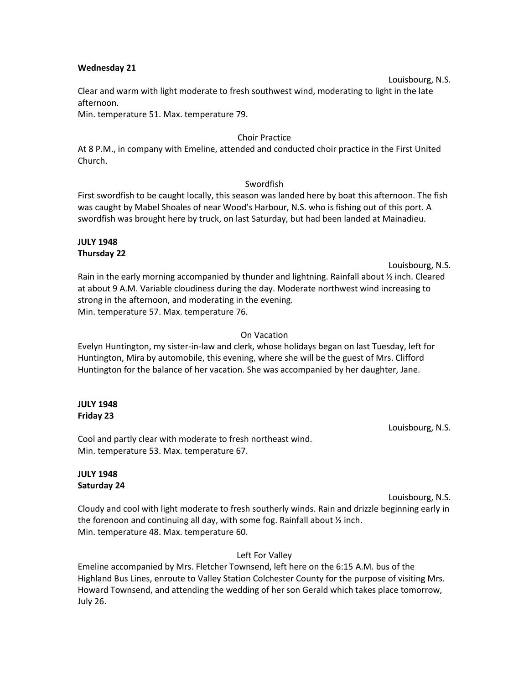#### **Wednesday 21**

#### Louisbourg, N.S.

Clear and warm with light moderate to fresh southwest wind, moderating to light in the late afternoon.

Min. temperature 51. Max. temperature 79.

### Choir Practice

At 8 P.M., in company with Emeline, attended and conducted choir practice in the First United Church.

#### Swordfish

First swordfish to be caught locally, this season was landed here by boat this afternoon. The fish was caught by Mabel Shoales of near Wood's Harbour, N.S. who is fishing out of this port. A swordfish was brought here by truck, on last Saturday, but had been landed at Mainadieu.

## **JULY 1948 Thursday 22**

Louisbourg, N.S.

Rain in the early morning accompanied by thunder and lightning. Rainfall about ½ inch. Cleared at about 9 A.M. Variable cloudiness during the day. Moderate northwest wind increasing to strong in the afternoon, and moderating in the evening. Min. temperature 57. Max. temperature 76.

## On Vacation

Evelyn Huntington, my sister-in-law and clerk, whose holidays began on last Tuesday, left for Huntington, Mira by automobile, this evening, where she will be the guest of Mrs. Clifford Huntington for the balance of her vacation. She was accompanied by her daughter, Jane.

### **JULY 1948 Friday 23**

Cool and partly clear with moderate to fresh northeast wind. Min. temperature 53. Max. temperature 67.

## **JULY 1948 Saturday 24**

Louisbourg, N.S.

Louisbourg, N.S.

Cloudy and cool with light moderate to fresh southerly winds. Rain and drizzle beginning early in the forenoon and continuing all day, with some fog. Rainfall about ½ inch. Min. temperature 48. Max. temperature 60.

Left For Valley

Emeline accompanied by Mrs. Fletcher Townsend, left here on the 6:15 A.M. bus of the Highland Bus Lines, enroute to Valley Station Colchester County for the purpose of visiting Mrs. Howard Townsend, and attending the wedding of her son Gerald which takes place tomorrow, July 26.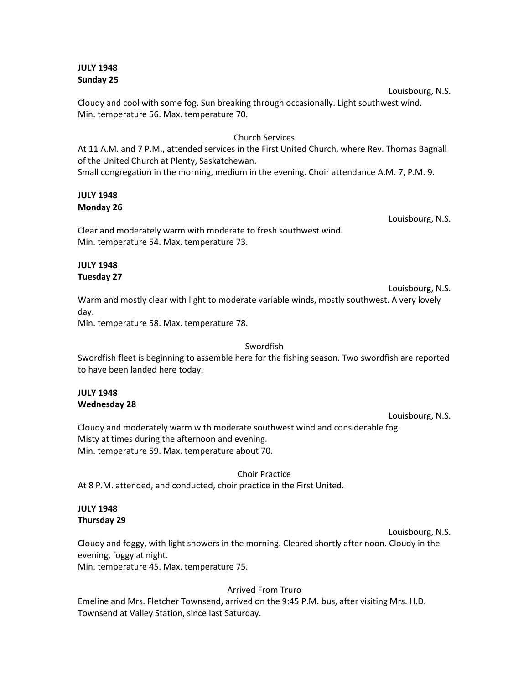### **JULY 1948 Sunday 25**

Cloudy and cool with some fog. Sun breaking through occasionally. Light southwest wind. Min. temperature 56. Max. temperature 70.

### Church Services

At 11 A.M. and 7 P.M., attended services in the First United Church, where Rev. Thomas Bagnall of the United Church at Plenty, Saskatchewan. Small congregation in the morning, medium in the evening. Choir attendance A.M. 7, P.M. 9.

### **JULY 1948 Monday 26**

Louisbourg, N.S.

Louisbourg, N.S.

Clear and moderately warm with moderate to fresh southwest wind. Min. temperature 54. Max. temperature 73.

#### **JULY 1948 Tuesday 27**

Louisbourg, N.S. Warm and mostly clear with light to moderate variable winds, mostly southwest. A very lovely day.

Min. temperature 58. Max. temperature 78.

## Swordfish

Swordfish fleet is beginning to assemble here for the fishing season. Two swordfish are reported to have been landed here today.

#### **JULY 1948 Wednesday 28**

Louisbourg, N.S.

Cloudy and moderately warm with moderate southwest wind and considerable fog. Misty at times during the afternoon and evening. Min. temperature 59. Max. temperature about 70.

Choir Practice

At 8 P.M. attended, and conducted, choir practice in the First United.

## **JULY 1948 Thursday 29**

Louisbourg, N.S.

Cloudy and foggy, with light showers in the morning. Cleared shortly after noon. Cloudy in the evening, foggy at night.

Min. temperature 45. Max. temperature 75.

## Arrived From Truro

Emeline and Mrs. Fletcher Townsend, arrived on the 9:45 P.M. bus, after visiting Mrs. H.D. Townsend at Valley Station, since last Saturday.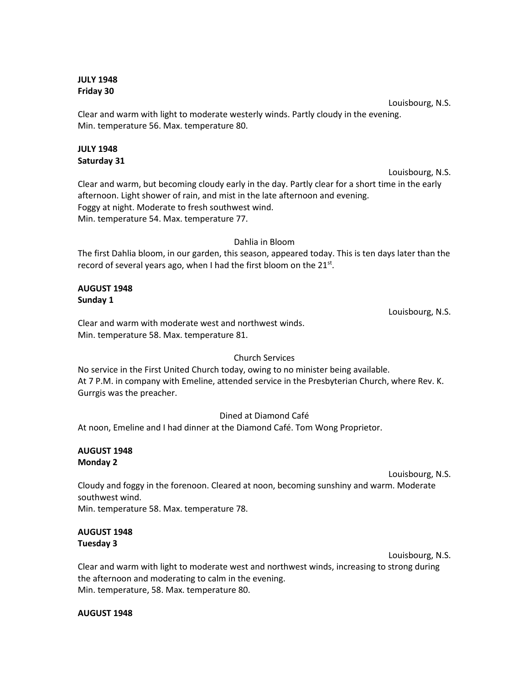## **JULY 1948 Friday 30**

Louisbourg, N.S. Clear and warm with light to moderate westerly winds. Partly cloudy in the evening. Min. temperature 56. Max. temperature 80.

## **JULY 1948 Saturday 31**

Louisbourg, N.S. Clear and warm, but becoming cloudy early in the day. Partly clear for a short time in the early afternoon. Light shower of rain, and mist in the late afternoon and evening. Foggy at night. Moderate to fresh southwest wind. Min. temperature 54. Max. temperature 77.

## Dahlia in Bloom

The first Dahlia bloom, in our garden, this season, appeared today. This is ten days later than the record of several years ago, when I had the first bloom on the 21<sup>st</sup>.

## **AUGUST 1948 Sunday 1**

Clear and warm with moderate west and northwest winds. Min. temperature 58. Max. temperature 81.

## Church Services

No service in the First United Church today, owing to no minister being available. At 7 P.M. in company with Emeline, attended service in the Presbyterian Church, where Rev. K. Gurrgis was the preacher.

## Dined at Diamond Café

At noon, Emeline and I had dinner at the Diamond Café. Tom Wong Proprietor.

## **AUGUST 1948 Monday 2**

#### Louisbourg, N.S.

Louisbourg, N.S.

Cloudy and foggy in the forenoon. Cleared at noon, becoming sunshiny and warm. Moderate southwest wind.

Min. temperature 58. Max. temperature 78.

## **AUGUST 1948 Tuesday 3**

Louisbourg, N.S.

Clear and warm with light to moderate west and northwest winds, increasing to strong during the afternoon and moderating to calm in the evening. Min. temperature, 58. Max. temperature 80.

## **AUGUST 1948**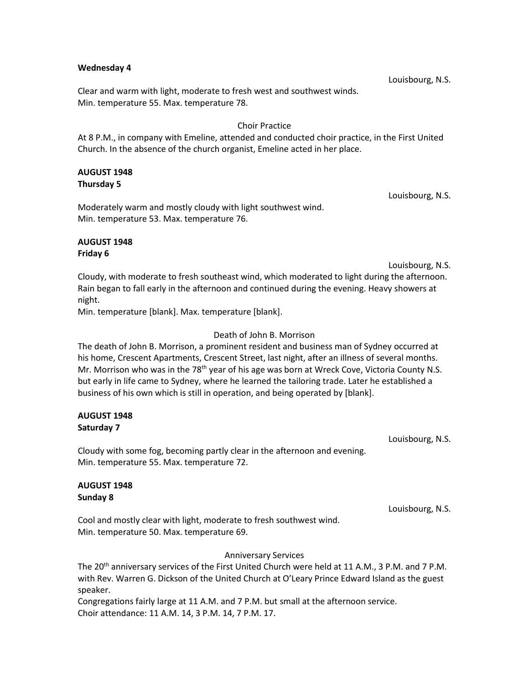#### **Wednesday 4**

Clear and warm with light, moderate to fresh west and southwest winds. Min. temperature 55. Max. temperature 78.

#### Choir Practice

At 8 P.M., in company with Emeline, attended and conducted choir practice, in the First United Church. In the absence of the church organist, Emeline acted in her place.

# **AUGUST 1948 Thursday 5**

Moderately warm and mostly cloudy with light southwest wind. Min. temperature 53. Max. temperature 76.

#### **AUGUST 1948 Friday 6**

Louisbourg, N.S.

Louisbourg, N.S.

Cloudy, with moderate to fresh southeast wind, which moderated to light during the afternoon. Rain began to fall early in the afternoon and continued during the evening. Heavy showers at night.

Min. temperature [blank]. Max. temperature [blank].

#### Death of John B. Morrison

The death of John B. Morrison, a prominent resident and business man of Sydney occurred at his home, Crescent Apartments, Crescent Street, last night, after an illness of several months. Mr. Morrison who was in the 78<sup>th</sup> year of his age was born at Wreck Cove, Victoria County N.S. but early in life came to Sydney, where he learned the tailoring trade. Later he established a business of his own which is still in operation, and being operated by [blank].

# **AUGUST 1948 Saturday 7**

Louisbourg, N.S.

Cloudy with some fog, becoming partly clear in the afternoon and evening. Min. temperature 55. Max. temperature 72.

#### **AUGUST 1948 Sunday 8**

Louisbourg, N.S.

Cool and mostly clear with light, moderate to fresh southwest wind. Min. temperature 50. Max. temperature 69.

#### Anniversary Services

The 20<sup>th</sup> anniversary services of the First United Church were held at 11 A.M., 3 P.M. and 7 P.M. with Rev. Warren G. Dickson of the United Church at O'Leary Prince Edward Island as the guest speaker.

Congregations fairly large at 11 A.M. and 7 P.M. but small at the afternoon service. Choir attendance: 11 A.M. 14, 3 P.M. 14, 7 P.M. 17.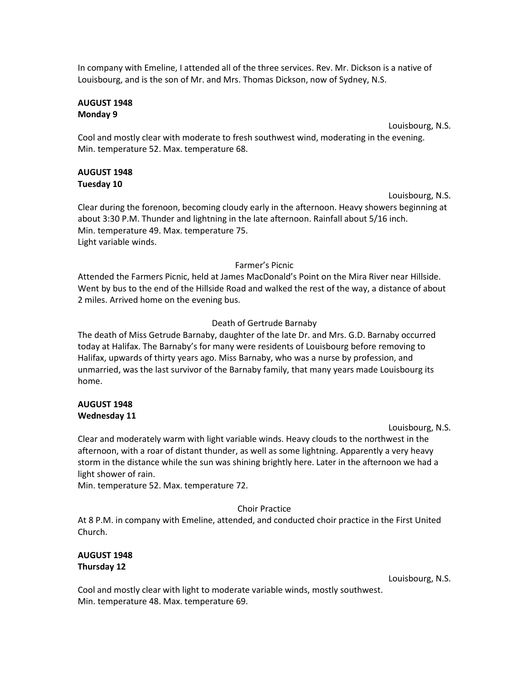In company with Emeline, I attended all of the three services. Rev. Mr. Dickson is a native of Louisbourg, and is the son of Mr. and Mrs. Thomas Dickson, now of Sydney, N.S.

#### **AUGUST 1948 Monday 9**

Louisbourg, N.S.

Cool and mostly clear with moderate to fresh southwest wind, moderating in the evening. Min. temperature 52. Max. temperature 68.

# **AUGUST 1948 Tuesday 10**

Louisbourg, N.S.

Clear during the forenoon, becoming cloudy early in the afternoon. Heavy showers beginning at about 3:30 P.M. Thunder and lightning in the late afternoon. Rainfall about 5/16 inch. Min. temperature 49. Max. temperature 75. Light variable winds.

# Farmer's Picnic

Attended the Farmers Picnic, held at James MacDonald's Point on the Mira River near Hillside. Went by bus to the end of the Hillside Road and walked the rest of the way, a distance of about 2 miles. Arrived home on the evening bus.

# Death of Gertrude Barnaby

The death of Miss Getrude Barnaby, daughter of the late Dr. and Mrs. G.D. Barnaby occurred today at Halifax. The Barnaby's for many were residents of Louisbourg before removing to Halifax, upwards of thirty years ago. Miss Barnaby, who was a nurse by profession, and unmarried, was the last survivor of the Barnaby family, that many years made Louisbourg its home.

# **AUGUST 1948 Wednesday 11**

Louisbourg, N.S.

Clear and moderately warm with light variable winds. Heavy clouds to the northwest in the afternoon, with a roar of distant thunder, as well as some lightning. Apparently a very heavy storm in the distance while the sun was shining brightly here. Later in the afternoon we had a light shower of rain.

Min. temperature 52. Max. temperature 72.

# Choir Practice

At 8 P.M. in company with Emeline, attended, and conducted choir practice in the First United Church.

# **AUGUST 1948 Thursday 12**

Louisbourg, N.S.

Cool and mostly clear with light to moderate variable winds, mostly southwest. Min. temperature 48. Max. temperature 69.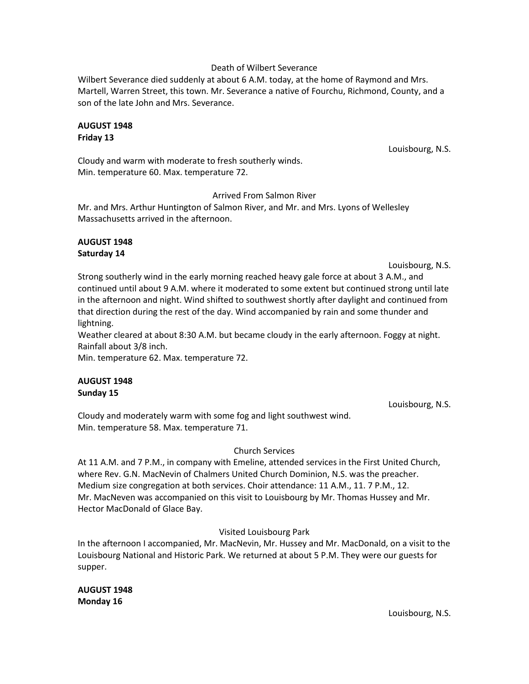#### Death of Wilbert Severance

Wilbert Severance died suddenly at about 6 A.M. today, at the home of Raymond and Mrs. Martell, Warren Street, this town. Mr. Severance a native of Fourchu, Richmond, County, and a son of the late John and Mrs. Severance.

#### **AUGUST 1948 Friday 13**

Louisbourg, N.S.

Cloudy and warm with moderate to fresh southerly winds. Min. temperature 60. Max. temperature 72.

#### Arrived From Salmon River

Mr. and Mrs. Arthur Huntington of Salmon River, and Mr. and Mrs. Lyons of Wellesley Massachusetts arrived in the afternoon.

#### **AUGUST 1948 Saturday 14**

Louisbourg, N.S.

Strong southerly wind in the early morning reached heavy gale force at about 3 A.M., and continued until about 9 A.M. where it moderated to some extent but continued strong until late in the afternoon and night. Wind shifted to southwest shortly after daylight and continued from that direction during the rest of the day. Wind accompanied by rain and some thunder and lightning.

Weather cleared at about 8:30 A.M. but became cloudy in the early afternoon. Foggy at night. Rainfall about 3/8 inch.

Min. temperature 62. Max. temperature 72.

#### **AUGUST 1948 Sunday 15**

Louisbourg, N.S.

Cloudy and moderately warm with some fog and light southwest wind. Min. temperature 58. Max. temperature 71.

# Church Services

At 11 A.M. and 7 P.M., in company with Emeline, attended services in the First United Church, where Rev. G.N. MacNevin of Chalmers United Church Dominion, N.S. was the preacher. Medium size congregation at both services. Choir attendance: 11 A.M., 11. 7 P.M., 12. Mr. MacNeven was accompanied on this visit to Louisbourg by Mr. Thomas Hussey and Mr. Hector MacDonald of Glace Bay.

Visited Louisbourg Park

In the afternoon I accompanied, Mr. MacNevin, Mr. Hussey and Mr. MacDonald, on a visit to the Louisbourg National and Historic Park. We returned at about 5 P.M. They were our guests for supper.

| <b>AUGUST 1948</b> |  |
|--------------------|--|
| Monday 16          |  |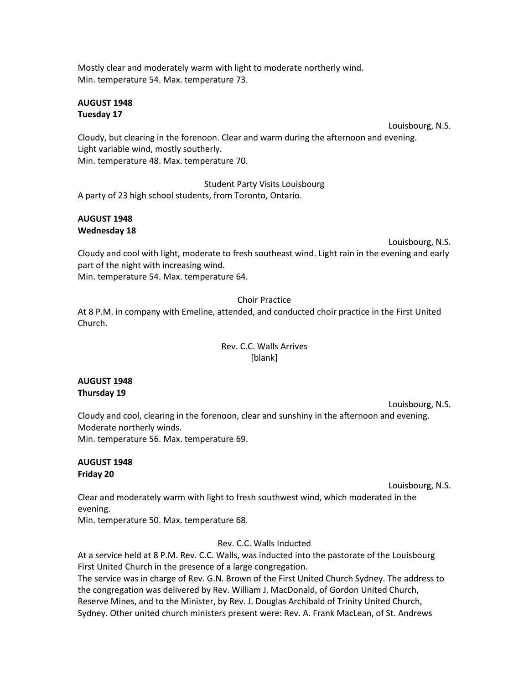Mostly clear and moderately warm with light to moderate northerly wind. Min. temperature 54. Max. temperature 73.

#### **AUGUST 1948 Tuesday 17**

Louisbourg, N.S.

Cloudy, but clearing in the forenoon. Clear and warm during the afternoon and evening. Light variable wind, mostly southerly. Min. temperature 48. Max. temperature 70.

Student Party Visits Louisbourg A party of 23 high school students, from Toronto, Ontario.

# **AUGUST 1948 Wednesday 18**

Louisbourg, N.S.

Cloudy and cool with light, moderate to fresh southeast wind. Light rain in the evening and early part of the night with increasing wind.

Min. temperature 54. Max. temperature 64.

# Choir Practice

At 8 P.M. in company with Emeline, attended, and conducted choir practice in the First United Church.

# Rev. C.C. Walls Arrives [blank]

# **AUGUST 1948 Thursday 19**

Louisbourg, N.S. Cloudy and cool, clearing in the forenoon, clear and sunshiny in the afternoon and evening. Moderate northerly winds. Min. temperature 56. Max. temperature 69.

#### **AUGUST 1948 Friday 20**

Louisbourg, N.S.

Clear and moderately warm with light to fresh southwest wind, which moderated in the evening.

Min. temperature 50. Max. temperature 68.

Rev. C.C. Walls Inducted

At a service held at 8 P.M. Rev. C.C. Walls, was inducted into the pastorate of the Louisbourg First United Church in the presence of a large congregation.

The service was in charge of Rev. G.N. Brown of the First United Church Sydney. The address to the congregation was delivered by Rev. William J. MacDonald, of Gordon United Church, Reserve Mines, and to the Minister, by Rev. J. Douglas Archibald of Trinity United Church, Sydney. Other united church ministers present were: Rev. A. Frank MacLean, of St. Andrews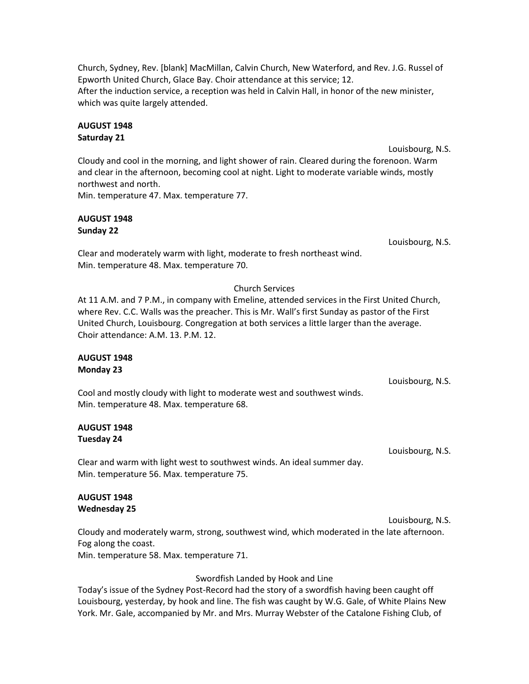Church, Sydney, Rev. [blank] MacMillan, Calvin Church, New Waterford, and Rev. J.G. Russel of Epworth United Church, Glace Bay. Choir attendance at this service; 12. After the induction service, a reception was held in Calvin Hall, in honor of the new minister, which was quite largely attended.

# **AUGUST 1948 Saturday 21**

Louisbourg, N.S. Cloudy and cool in the morning, and light shower of rain. Cleared during the forenoon. Warm and clear in the afternoon, becoming cool at night. Light to moderate variable winds, mostly northwest and north.

Min. temperature 47. Max. temperature 77.

# **AUGUST 1948 Sunday 22**

Clear and moderately warm with light, moderate to fresh northeast wind. Min. temperature 48. Max. temperature 70.

# Church Services

At 11 A.M. and 7 P.M., in company with Emeline, attended services in the First United Church, where Rev. C.C. Walls was the preacher. This is Mr. Wall's first Sunday as pastor of the First United Church, Louisbourg. Congregation at both services a little larger than the average. Choir attendance: A.M. 13. P.M. 12.

#### **AUGUST 1948 Monday 23**

Cool and mostly cloudy with light to moderate west and southwest winds. Min. temperature 48. Max. temperature 68.

#### **AUGUST 1948 Tuesday 24**

Clear and warm with light west to southwest winds. An ideal summer day. Min. temperature 56. Max. temperature 75.

# **AUGUST 1948 Wednesday 25**

Louisbourg, N.S. Cloudy and moderately warm, strong, southwest wind, which moderated in the late afternoon. Fog along the coast. Min. temperature 58. Max. temperature 71.

#### Swordfish Landed by Hook and Line

Today's issue of the Sydney Post-Record had the story of a swordfish having been caught off Louisbourg, yesterday, by hook and line. The fish was caught by W.G. Gale, of White Plains New York. Mr. Gale, accompanied by Mr. and Mrs. Murray Webster of the Catalone Fishing Club, of

Louisbourg, N.S.

Louisbourg, N.S.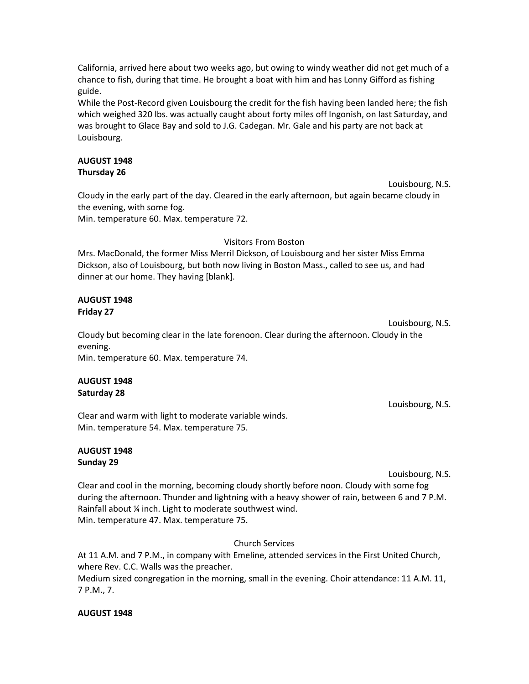California, arrived here about two weeks ago, but owing to windy weather did not get much of a chance to fish, during that time. He brought a boat with him and has Lonny Gifford as fishing guide.

While the Post-Record given Louisbourg the credit for the fish having been landed here; the fish which weighed 320 lbs. was actually caught about forty miles off Ingonish, on last Saturday, and was brought to Glace Bay and sold to J.G. Cadegan. Mr. Gale and his party are not back at Louisbourg.

#### **AUGUST 1948 Thursday 26**

Cloudy in the early part of the day. Cleared in the early afternoon, but again became cloudy in the evening, with some fog.

Min. temperature 60. Max. temperature 72.

#### Visitors From Boston

Mrs. MacDonald, the former Miss Merril Dickson, of Louisbourg and her sister Miss Emma Dickson, also of Louisbourg, but both now living in Boston Mass., called to see us, and had dinner at our home. They having [blank].

#### **AUGUST 1948 Friday 27**

Louisbourg, N.S. Cloudy but becoming clear in the late forenoon. Clear during the afternoon. Cloudy in the evening. Min. temperature 60. Max. temperature 74.

#### **AUGUST 1948 Saturday 28**

Clear and warm with light to moderate variable winds. Min. temperature 54. Max. temperature 75.

# **AUGUST 1948 Sunday 29**

Louisbourg, N.S.

Louisbourg, N.S.

Louisbourg, N.S.

Clear and cool in the morning, becoming cloudy shortly before noon. Cloudy with some fog during the afternoon. Thunder and lightning with a heavy shower of rain, between 6 and 7 P.M. Rainfall about ¼ inch. Light to moderate southwest wind. Min. temperature 47. Max. temperature 75.

Church Services

At 11 A.M. and 7 P.M., in company with Emeline, attended services in the First United Church, where Rev. C.C. Walls was the preacher. Medium sized congregation in the morning, small in the evening. Choir attendance: 11 A.M. 11, 7 P.M., 7.

#### **AUGUST 1948**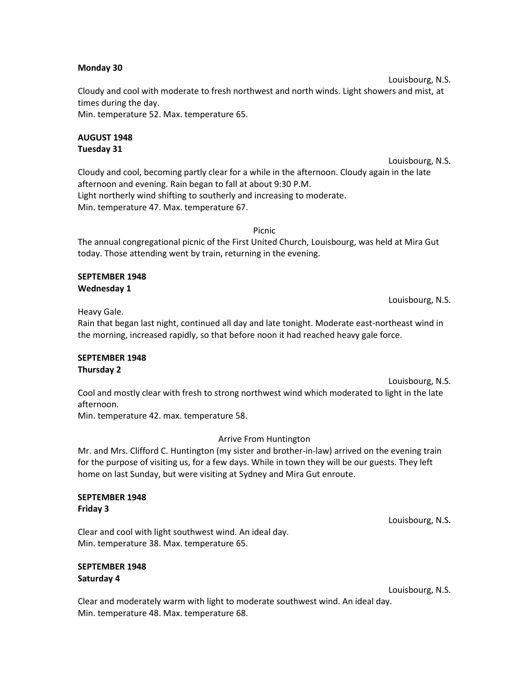#### **Monday 30**

Louisbourg, N.S. Cloudy and cool with moderate to fresh northwest and north winds. Light showers and mist, at times during the day. Min. temperature 52. Max. temperature 65.

#### **AUGUST 1948 Tuesday 31**

Louisbourg, N.S. Cloudy and cool, becoming partly clear for a while in the afternoon. Cloudy again in the late afternoon and evening. Rain began to fall at about 9:30 P.M. Light northerly wind shifting to southerly and increasing to moderate. Min. temperature 47. Max. temperature 67.

Picnic

The annual congregational picnic of the First United Church, Louisbourg, was held at Mira Gut today. Those attending went by train, returning in the evening.

#### **SEPTEMBER 1948 Wednesday 1**

Louisbourg, N.S.

Heavy Gale.

Rain that began last night, continued all day and late tonight. Moderate east-northeast wind in the morning, increased rapidly, so that before noon it had reached heavy gale force.

# **SEPTEMBER 1948 Thursday 2**

Louisbourg, N.S. Cool and mostly clear with fresh to strong northwest wind which moderated to light in the late afternoon.

Min. temperature 42. max. temperature 58.

# Arrive From Huntington

Mr. and Mrs. Clifford C. Huntington (my sister and brother-in-law) arrived on the evening train for the purpose of visiting us, for a few days. While in town they will be our guests. They left home on last Sunday, but were visiting at Sydney and Mira Gut enroute.

#### **SEPTEMBER 1948 Friday 3**

Louisbourg, N.S.

Clear and cool with light southwest wind. An ideal day. Min. temperature 38. Max. temperature 65.

#### **SEPTEMBER 1948 Saturday 4**

Louisbourg, N.S.

Clear and moderately warm with light to moderate southwest wind. An ideal day. Min. temperature 48. Max. temperature 68.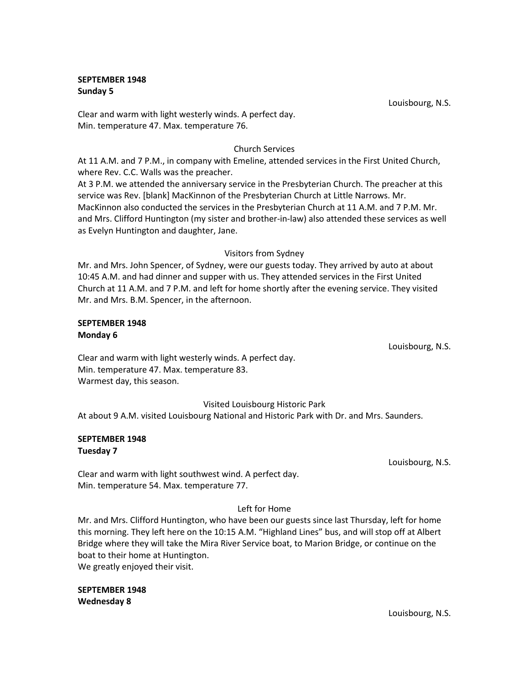#### **SEPTEMBER 1948 Sunday 5**

Louisbourg, N.S.

Clear and warm with light westerly winds. A perfect day. Min. temperature 47. Max. temperature 76.

# Church Services

At 11 A.M. and 7 P.M., in company with Emeline, attended services in the First United Church, where Rev. C.C. Walls was the preacher.

At 3 P.M. we attended the anniversary service in the Presbyterian Church. The preacher at this service was Rev. [blank] MacKinnon of the Presbyterian Church at Little Narrows. Mr. MacKinnon also conducted the services in the Presbyterian Church at 11 A.M. and 7 P.M. Mr. and Mrs. Clifford Huntington (my sister and brother-in-law) also attended these services as well as Evelyn Huntington and daughter, Jane.

#### Visitors from Sydney

Mr. and Mrs. John Spencer, of Sydney, were our guests today. They arrived by auto at about 10:45 A.M. and had dinner and supper with us. They attended services in the First United Church at 11 A.M. and 7 P.M. and left for home shortly after the evening service. They visited Mr. and Mrs. B.M. Spencer, in the afternoon.

#### **SEPTEMBER 1948 Monday 6**

Louisbourg, N.S.

Clear and warm with light westerly winds. A perfect day. Min. temperature 47. Max. temperature 83. Warmest day, this season.

Visited Louisbourg Historic Park

At about 9 A.M. visited Louisbourg National and Historic Park with Dr. and Mrs. Saunders.

#### **SEPTEMBER 1948 Tuesday 7**

Louisbourg, N.S.

Clear and warm with light southwest wind. A perfect day. Min. temperature 54. Max. temperature 77.

# Left for Home

Mr. and Mrs. Clifford Huntington, who have been our guests since last Thursday, left for home this morning. They left here on the 10:15 A.M. "Highland Lines" bus, and will stop off at Albert Bridge where they will take the Mira River Service boat, to Marion Bridge, or continue on the boat to their home at Huntington. We greatly enjoyed their visit.

**SEPTEMBER 1948 Wednesday 8**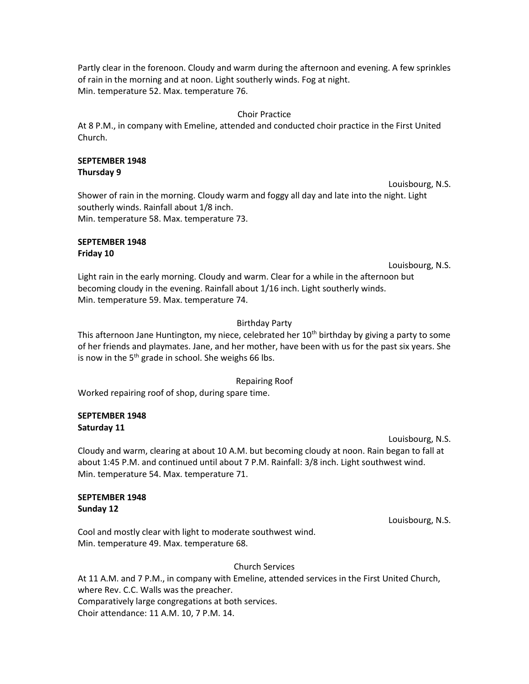Partly clear in the forenoon. Cloudy and warm during the afternoon and evening. A few sprinkles of rain in the morning and at noon. Light southerly winds. Fog at night. Min. temperature 52. Max. temperature 76.

#### Choir Practice

At 8 P.M., in company with Emeline, attended and conducted choir practice in the First United Church.

#### **SEPTEMBER 1948 Thursday 9**

Louisbourg, N.S. Shower of rain in the morning. Cloudy warm and foggy all day and late into the night. Light southerly winds. Rainfall about 1/8 inch. Min. temperature 58. Max. temperature 73.

#### **SEPTEMBER 1948 Friday 10**

Louisbourg, N.S.

Light rain in the early morning. Cloudy and warm. Clear for a while in the afternoon but becoming cloudy in the evening. Rainfall about 1/16 inch. Light southerly winds. Min. temperature 59. Max. temperature 74.

# Birthday Party

This afternoon Jane Huntington, my niece, celebrated her 10<sup>th</sup> birthday by giving a party to some of her friends and playmates. Jane, and her mother, have been with us for the past six years. She is now in the  $5<sup>th</sup>$  grade in school. She weighs 66 lbs.

#### Repairing Roof

Worked repairing roof of shop, during spare time.

# **SEPTEMBER 1948 Saturday 11**

Louisbourg, N.S.

Cloudy and warm, clearing at about 10 A.M. but becoming cloudy at noon. Rain began to fall at about 1:45 P.M. and continued until about 7 P.M. Rainfall: 3/8 inch. Light southwest wind. Min. temperature 54. Max. temperature 71.

#### **SEPTEMBER 1948 Sunday 12**

Louisbourg, N.S.

Cool and mostly clear with light to moderate southwest wind. Min. temperature 49. Max. temperature 68.

#### Church Services

At 11 A.M. and 7 P.M., in company with Emeline, attended services in the First United Church, where Rev. C.C. Walls was the preacher. Comparatively large congregations at both services. Choir attendance: 11 A.M. 10, 7 P.M. 14.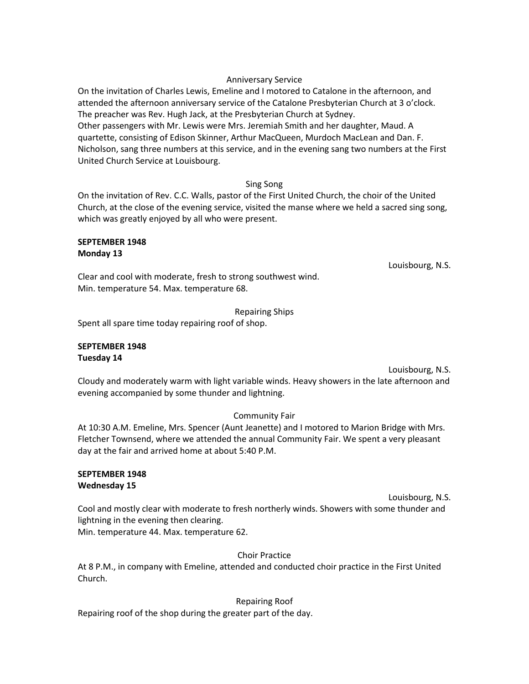#### Anniversary Service

On the invitation of Charles Lewis, Emeline and I motored to Catalone in the afternoon, and attended the afternoon anniversary service of the Catalone Presbyterian Church at 3 o'clock. The preacher was Rev. Hugh Jack, at the Presbyterian Church at Sydney. Other passengers with Mr. Lewis were Mrs. Jeremiah Smith and her daughter, Maud. A quartette, consisting of Edison Skinner, Arthur MacQueen, Murdoch MacLean and Dan. F. Nicholson, sang three numbers at this service, and in the evening sang two numbers at the First United Church Service at Louisbourg.

#### Sing Song

On the invitation of Rev. C.C. Walls, pastor of the First United Church, the choir of the United Church, at the close of the evening service, visited the manse where we held a sacred sing song, which was greatly enjoyed by all who were present.

#### **SEPTEMBER 1948 Monday 13**

Louisbourg, N.S.

Clear and cool with moderate, fresh to strong southwest wind. Min. temperature 54. Max. temperature 68.

Repairing Ships

Spent all spare time today repairing roof of shop.

#### **SEPTEMBER 1948 Tuesday 14**

Louisbourg, N.S.

Cloudy and moderately warm with light variable winds. Heavy showers in the late afternoon and evening accompanied by some thunder and lightning.

#### Community Fair

At 10:30 A.M. Emeline, Mrs. Spencer (Aunt Jeanette) and I motored to Marion Bridge with Mrs. Fletcher Townsend, where we attended the annual Community Fair. We spent a very pleasant day at the fair and arrived home at about 5:40 P.M.

#### **SEPTEMBER 1948 Wednesday 15**

Louisbourg, N.S.

Cool and mostly clear with moderate to fresh northerly winds. Showers with some thunder and lightning in the evening then clearing.

Min. temperature 44. Max. temperature 62.

#### Choir Practice

At 8 P.M., in company with Emeline, attended and conducted choir practice in the First United Church.

#### Repairing Roof

Repairing roof of the shop during the greater part of the day.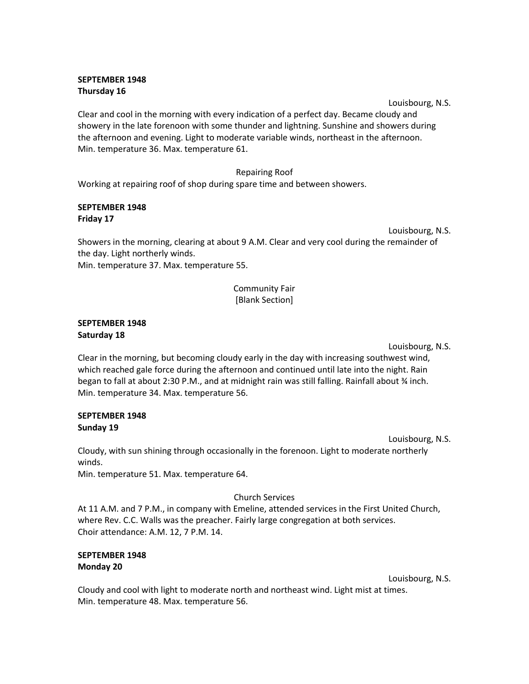# **SEPTEMBER 1948 Thursday 16**

Louisbourg, N.S.

Clear and cool in the morning with every indication of a perfect day. Became cloudy and showery in the late forenoon with some thunder and lightning. Sunshine and showers during the afternoon and evening. Light to moderate variable winds, northeast in the afternoon. Min. temperature 36. Max. temperature 61.

#### Repairing Roof

Working at repairing roof of shop during spare time and between showers.

#### **SEPTEMBER 1948 Friday 17**

Louisbourg, N.S.

Showers in the morning, clearing at about 9 A.M. Clear and very cool during the remainder of the day. Light northerly winds. Min. temperature 37. Max. temperature 55.

# Community Fair [Blank Section]

#### **SEPTEMBER 1948 Saturday 18**

Louisbourg, N.S.

Clear in the morning, but becoming cloudy early in the day with increasing southwest wind, which reached gale force during the afternoon and continued until late into the night. Rain began to fall at about 2:30 P.M., and at midnight rain was still falling. Rainfall about % inch. Min. temperature 34. Max. temperature 56.

# **SEPTEMBER 1948 Sunday 19**

Louisbourg, N.S.

Cloudy, with sun shining through occasionally in the forenoon. Light to moderate northerly winds.

Min. temperature 51. Max. temperature 64.

# Church Services

At 11 A.M. and 7 P.M., in company with Emeline, attended services in the First United Church, where Rev. C.C. Walls was the preacher. Fairly large congregation at both services. Choir attendance: A.M. 12, 7 P.M. 14.

# **SEPTEMBER 1948 Monday 20**

Louisbourg, N.S.

Cloudy and cool with light to moderate north and northeast wind. Light mist at times. Min. temperature 48. Max. temperature 56.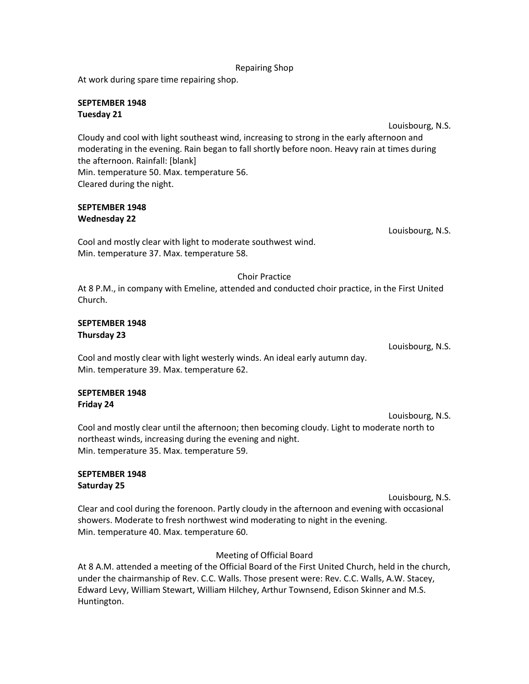At work during spare time repairing shop.

# **SEPTEMBER 1948 Tuesday 21**

Louisbourg, N.S. Cloudy and cool with light southeast wind, increasing to strong in the early afternoon and moderating in the evening. Rain began to fall shortly before noon. Heavy rain at times during the afternoon. Rainfall: [blank] Min. temperature 50. Max. temperature 56. Cleared during the night.

#### **SEPTEMBER 1948 Wednesday 22**

Cool and mostly clear with light to moderate southwest wind. Min. temperature 37. Max. temperature 58.

Choir Practice

At 8 P.M., in company with Emeline, attended and conducted choir practice, in the First United Church.

#### **SEPTEMBER 1948 Thursday 23**

Cool and mostly clear with light westerly winds. An ideal early autumn day. Min. temperature 39. Max. temperature 62.

#### **SEPTEMBER 1948 Friday 24**

Louisbourg, N.S. Cool and mostly clear until the afternoon; then becoming cloudy. Light to moderate north to northeast winds, increasing during the evening and night. Min. temperature 35. Max. temperature 59.

# **SEPTEMBER 1948 Saturday 25**

Louisbourg, N.S. Clear and cool during the forenoon. Partly cloudy in the afternoon and evening with occasional showers. Moderate to fresh northwest wind moderating to night in the evening. Min. temperature 40. Max. temperature 60.

# Meeting of Official Board

At 8 A.M. attended a meeting of the Official Board of the First United Church, held in the church, under the chairmanship of Rev. C.C. Walls. Those present were: Rev. C.C. Walls, A.W. Stacey, Edward Levy, William Stewart, William Hilchey, Arthur Townsend, Edison Skinner and M.S. Huntington.

Louisbourg, N.S.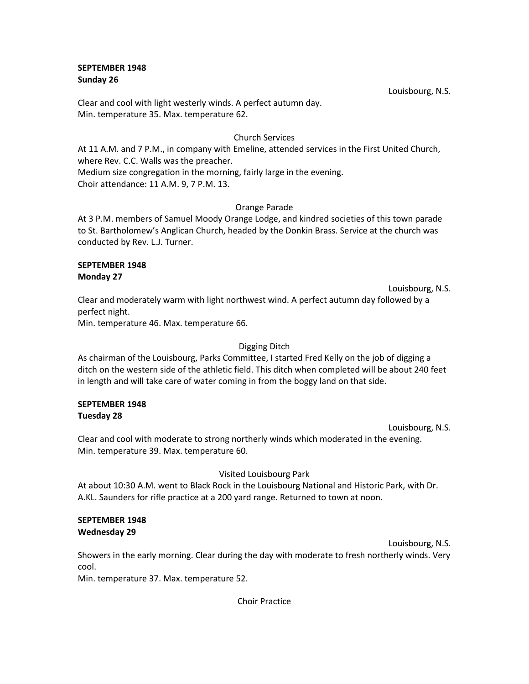#### **SEPTEMBER 1948 Sunday 26**

Clear and cool with light westerly winds. A perfect autumn day. Min. temperature 35. Max. temperature 62.

#### Church Services

At 11 A.M. and 7 P.M., in company with Emeline, attended services in the First United Church, where Rev. C.C. Walls was the preacher. Medium size congregation in the morning, fairly large in the evening. Choir attendance: 11 A.M. 9, 7 P.M. 13.

#### Orange Parade

At 3 P.M. members of Samuel Moody Orange Lodge, and kindred societies of this town parade to St. Bartholomew's Anglican Church, headed by the Donkin Brass. Service at the church was conducted by Rev. L.J. Turner.

#### **SEPTEMBER 1948 Monday 27**

Louisbourg, N.S. Clear and moderately warm with light northwest wind. A perfect autumn day followed by a perfect night.

Min. temperature 46. Max. temperature 66.

#### Digging Ditch

As chairman of the Louisbourg, Parks Committee, I started Fred Kelly on the job of digging a ditch on the western side of the athletic field. This ditch when completed will be about 240 feet in length and will take care of water coming in from the boggy land on that side.

#### **SEPTEMBER 1948 Tuesday 28**

Louisbourg, N.S.

Clear and cool with moderate to strong northerly winds which moderated in the evening. Min. temperature 39. Max. temperature 60.

#### Visited Louisbourg Park

At about 10:30 A.M. went to Black Rock in the Louisbourg National and Historic Park, with Dr. A.KL. Saunders for rifle practice at a 200 yard range. Returned to town at noon.

# **SEPTEMBER 1948 Wednesday 29**

Louisbourg, N.S.

Showers in the early morning. Clear during the day with moderate to fresh northerly winds. Very cool.

Min. temperature 37. Max. temperature 52.

Choir Practice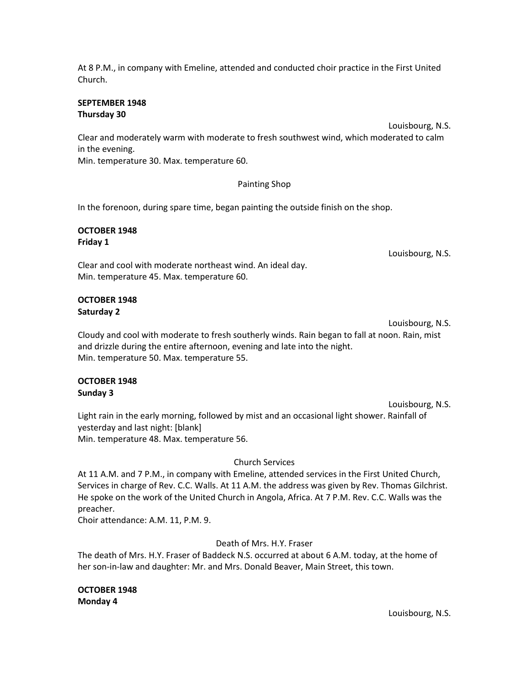Louisbourg, N.S.

At 8 P.M., in company with Emeline, attended and conducted choir practice in the First United Church.

#### **SEPTEMBER 1948 Thursday 30**

Louisbourg, N.S. Clear and moderately warm with moderate to fresh southwest wind, which moderated to calm in the evening.

Min. temperature 30. Max. temperature 60.

#### Painting Shop

In the forenoon, during spare time, began painting the outside finish on the shop.

#### **OCTOBER 1948 Friday 1**

Louisbourg, N.S.

Clear and cool with moderate northeast wind. An ideal day. Min. temperature 45. Max. temperature 60.

# **OCTOBER 1948 Saturday 2**

Louisbourg, N.S. Cloudy and cool with moderate to fresh southerly winds. Rain began to fall at noon. Rain, mist and drizzle during the entire afternoon, evening and late into the night. Min. temperature 50. Max. temperature 55.

#### **OCTOBER 1948 Sunday 3**

Louisbourg, N.S. Light rain in the early morning, followed by mist and an occasional light shower. Rainfall of yesterday and last night: [blank] Min. temperature 48. Max. temperature 56.

#### Church Services

At 11 A.M. and 7 P.M., in company with Emeline, attended services in the First United Church, Services in charge of Rev. C.C. Walls. At 11 A.M. the address was given by Rev. Thomas Gilchrist. He spoke on the work of the United Church in Angola, Africa. At 7 P.M. Rev. C.C. Walls was the preacher.

Choir attendance: A.M. 11, P.M. 9.

Death of Mrs. H.Y. Fraser

The death of Mrs. H.Y. Fraser of Baddeck N.S. occurred at about 6 A.M. today, at the home of her son-in-law and daughter: Mr. and Mrs. Donald Beaver, Main Street, this town.

**OCTOBER 1948 Monday 4**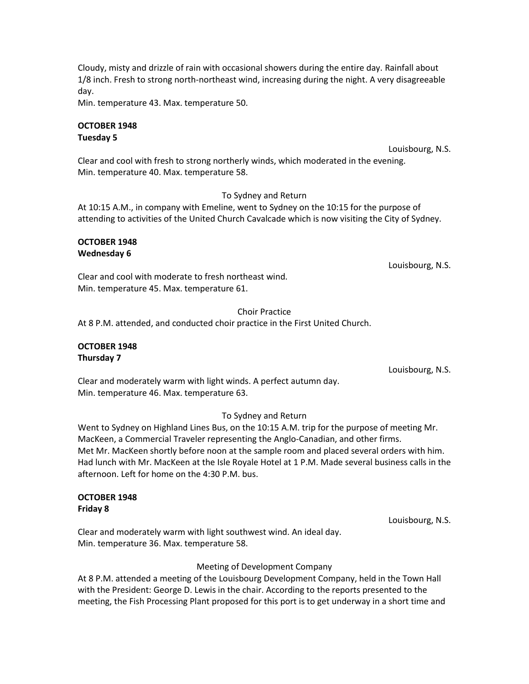Cloudy, misty and drizzle of rain with occasional showers during the entire day. Rainfall about 1/8 inch. Fresh to strong north-northeast wind, increasing during the night. A very disagreeable day.

Min. temperature 43. Max. temperature 50.

# **OCTOBER 1948 Tuesday 5**

Louisbourg, N.S.

Clear and cool with fresh to strong northerly winds, which moderated in the evening. Min. temperature 40. Max. temperature 58.

#### To Sydney and Return

At 10:15 A.M., in company with Emeline, went to Sydney on the 10:15 for the purpose of attending to activities of the United Church Cavalcade which is now visiting the City of Sydney.

#### **OCTOBER 1948 Wednesday 6**

Louisbourg, N.S.

Clear and cool with moderate to fresh northeast wind. Min. temperature 45. Max. temperature 61.

#### Choir Practice

At 8 P.M. attended, and conducted choir practice in the First United Church.

#### **OCTOBER 1948 Thursday 7**

Louisbourg, N.S.

Clear and moderately warm with light winds. A perfect autumn day. Min. temperature 46. Max. temperature 63.

# To Sydney and Return

Went to Sydney on Highland Lines Bus, on the 10:15 A.M. trip for the purpose of meeting Mr. MacKeen, a Commercial Traveler representing the Anglo-Canadian, and other firms. Met Mr. MacKeen shortly before noon at the sample room and placed several orders with him. Had lunch with Mr. MacKeen at the Isle Royale Hotel at 1 P.M. Made several business calls in the afternoon. Left for home on the 4:30 P.M. bus.

#### **OCTOBER 1948 Friday 8**

Louisbourg, N.S.

Clear and moderately warm with light southwest wind. An ideal day. Min. temperature 36. Max. temperature 58.

#### Meeting of Development Company

At 8 P.M. attended a meeting of the Louisbourg Development Company, held in the Town Hall with the President: George D. Lewis in the chair. According to the reports presented to the meeting, the Fish Processing Plant proposed for this port is to get underway in a short time and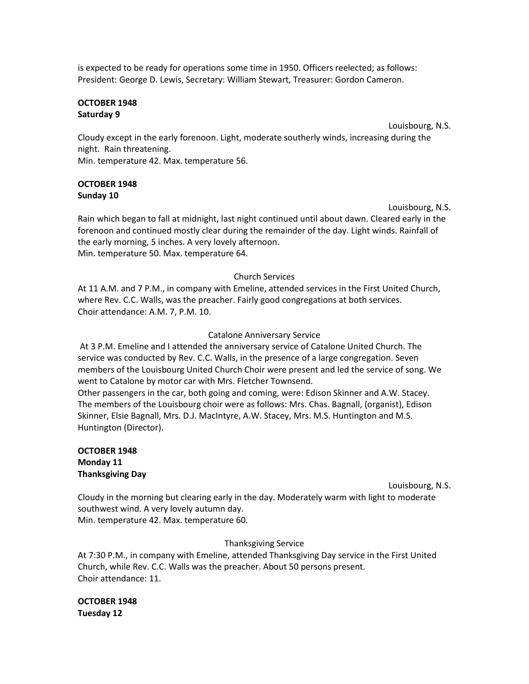is expected to be ready for operations some time in 1950. Officers reelected; as follows: President: George D. Lewis, Secretary: William Stewart, Treasurer: Gordon Cameron.

#### **OCTOBER 1948 Saturday 9**

Louisbourg, N.S.

Cloudy except in the early forenoon. Light, moderate southerly winds, increasing during the night. Rain threatening. Min. temperature 42. Max. temperature 56.

# **OCTOBER 1948 Sunday 10**

Louisbourg, N.S.

Rain which began to fall at midnight, last night continued until about dawn. Cleared early in the forenoon and continued mostly clear during the remainder of the day. Light winds. Rainfall of the early morning, 5 inches. A very lovely afternoon. Min. temperature 50. Max. temperature 64.

# Church Services

At 11 A.M. and 7 P.M., in company with Emeline, attended services in the First United Church, where Rev. C.C. Walls, was the preacher. Fairly good congregations at both services. Choir attendance: A.M. 7, P.M. 10.

# Catalone Anniversary Service

At 3 P.M. Emeline and I attended the anniversary service of Catalone United Church. The service was conducted by Rev. C.C. Walls, in the presence of a large congregation. Seven members of the Louisbourg United Church Choir were present and led the service of song. We went to Catalone by motor car with Mrs. Fletcher Townsend.

Other passengers in the car, both going and coming, were: Edison Skinner and A.W. Stacey. The members of the Louisbourg choir were as follows: Mrs. Chas. Bagnall, (organist), Edison Skinner, Elsie Bagnall, Mrs. D.J. MacIntyre, A.W. Stacey, Mrs. M.S. Huntington and M.S. Huntington (Director).

#### **OCTOBER 1948 Monday 11 Thanksgiving Day**

Louisbourg, N.S.

Cloudy in the morning but clearing early in the day. Moderately warm with light to moderate southwest wind. A very lovely autumn day. Min. temperature 42. Max. temperature 60.

# Thanksgiving Service

At 7:30 P.M., in company with Emeline, attended Thanksgiving Day service in the First United Church, while Rev. C.C. Walls was the preacher. About 50 persons present. Choir attendance: 11.

# **OCTOBER 1948 Tuesday 12**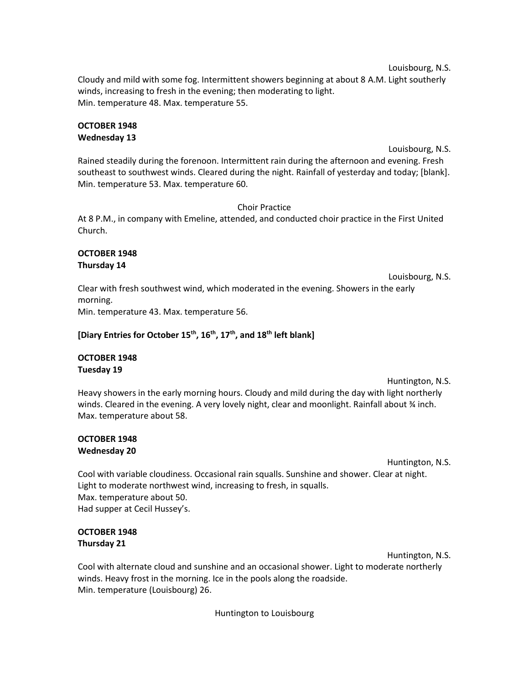Louisbourg, N.S.

Cloudy and mild with some fog. Intermittent showers beginning at about 8 A.M. Light southerly winds, increasing to fresh in the evening; then moderating to light. Min. temperature 48. Max. temperature 55.

#### **OCTOBER 1948 Wednesday 13**

#### Louisbourg, N.S.

Rained steadily during the forenoon. Intermittent rain during the afternoon and evening. Fresh southeast to southwest winds. Cleared during the night. Rainfall of yesterday and today; [blank]. Min. temperature 53. Max. temperature 60.

# Choir Practice

At 8 P.M., in company with Emeline, attended, and conducted choir practice in the First United Church.

#### **OCTOBER 1948 Thursday 14**

Louisbourg, N.S. Clear with fresh southwest wind, which moderated in the evening. Showers in the early morning.

Min. temperature 43. Max. temperature 56.

# **[Diary Entries for October 15th, 16th, 17th, and 18th left blank]**

# **OCTOBER 1948 Tuesday 19**

Huntington, N.S.

Heavy showers in the early morning hours. Cloudy and mild during the day with light northerly winds. Cleared in the evening. A very lovely night, clear and moonlight. Rainfall about % inch. Max. temperature about 58.

# **OCTOBER 1948 Wednesday 20**

Huntington, N.S.

Cool with variable cloudiness. Occasional rain squalls. Sunshine and shower. Clear at night. Light to moderate northwest wind, increasing to fresh, in squalls. Max. temperature about 50. Had supper at Cecil Hussey's.

# **OCTOBER 1948 Thursday 21**

Huntington, N.S.

Cool with alternate cloud and sunshine and an occasional shower. Light to moderate northerly winds. Heavy frost in the morning. Ice in the pools along the roadside. Min. temperature (Louisbourg) 26.

Huntington to Louisbourg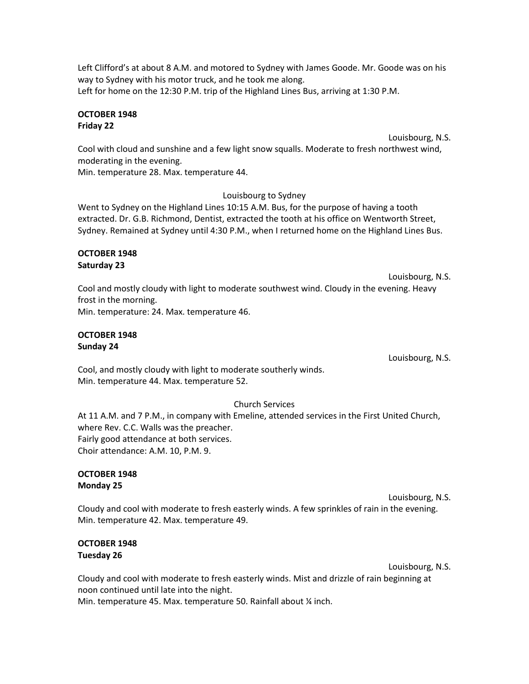Left Clifford's at about 8 A.M. and motored to Sydney with James Goode. Mr. Goode was on his way to Sydney with his motor truck, and he took me along. Left for home on the 12:30 P.M. trip of the Highland Lines Bus, arriving at 1:30 P.M.

#### **OCTOBER 1948 Friday 22**

Louisbourg, N.S.

Cool with cloud and sunshine and a few light snow squalls. Moderate to fresh northwest wind, moderating in the evening.

Min. temperature 28. Max. temperature 44.

# Louisbourg to Sydney

Went to Sydney on the Highland Lines 10:15 A.M. Bus, for the purpose of having a tooth extracted. Dr. G.B. Richmond, Dentist, extracted the tooth at his office on Wentworth Street, Sydney. Remained at Sydney until 4:30 P.M., when I returned home on the Highland Lines Bus.

#### **OCTOBER 1948 Saturday 23**

Louisbourg, N.S. Cool and mostly cloudy with light to moderate southwest wind. Cloudy in the evening. Heavy frost in the morning. Min. temperature: 24. Max. temperature 46.

# **OCTOBER 1948 Sunday 24**

Louisbourg, N.S.

Cool, and mostly cloudy with light to moderate southerly winds. Min. temperature 44. Max. temperature 52.

# Church Services

At 11 A.M. and 7 P.M., in company with Emeline, attended services in the First United Church, where Rev. C.C. Walls was the preacher. Fairly good attendance at both services. Choir attendance: A.M. 10, P.M. 9.

#### **OCTOBER 1948 Monday 25**

Louisbourg, N.S.

Cloudy and cool with moderate to fresh easterly winds. A few sprinkles of rain in the evening. Min. temperature 42. Max. temperature 49.

# **OCTOBER 1948 Tuesday 26**

Louisbourg, N.S.

Cloudy and cool with moderate to fresh easterly winds. Mist and drizzle of rain beginning at noon continued until late into the night. Min. temperature 45. Max. temperature 50. Rainfall about ¼ inch.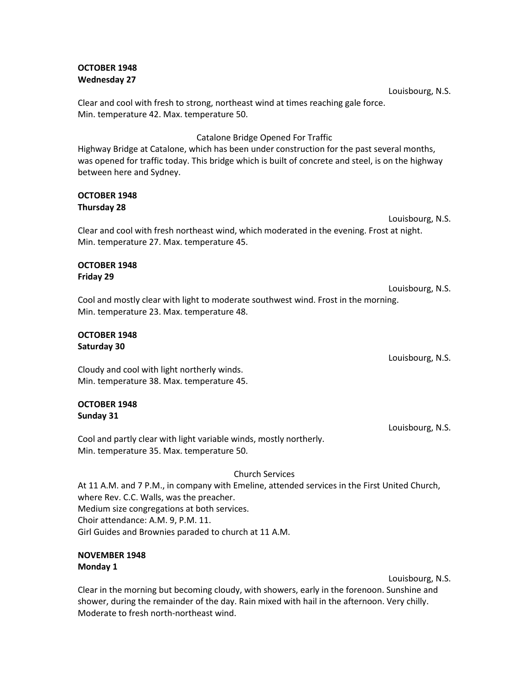#### **OCTOBER 1948 Wednesday 27**

Clear and cool with fresh to strong, northeast wind at times reaching gale force. Min. temperature 42. Max. temperature 50.

Catalone Bridge Opened For Traffic

Highway Bridge at Catalone, which has been under construction for the past several months, was opened for traffic today. This bridge which is built of concrete and steel, is on the highway between here and Sydney.

#### **OCTOBER 1948 Thursday 28**

Louisbourg, N.S. Clear and cool with fresh northeast wind, which moderated in the evening. Frost at night. Min. temperature 27. Max. temperature 45.

#### **OCTOBER 1948 Friday 29**

Louisbourg, N.S. Cool and mostly clear with light to moderate southwest wind. Frost in the morning. Min. temperature 23. Max. temperature 48.

# **OCTOBER 1948 Saturday 30**

Cloudy and cool with light northerly winds. Min. temperature 38. Max. temperature 45.

# **OCTOBER 1948 Sunday 31**

Cool and partly clear with light variable winds, mostly northerly. Min. temperature 35. Max. temperature 50.

# Church Services

At 11 A.M. and 7 P.M., in company with Emeline, attended services in the First United Church, where Rev. C.C. Walls, was the preacher. Medium size congregations at both services. Choir attendance: A.M. 9, P.M. 11. Girl Guides and Brownies paraded to church at 11 A.M.

# **NOVEMBER 1948 Monday 1**

Louisbourg, N.S.

Clear in the morning but becoming cloudy, with showers, early in the forenoon. Sunshine and shower, during the remainder of the day. Rain mixed with hail in the afternoon. Very chilly. Moderate to fresh north-northeast wind.

Louisbourg, N.S.

Louisbourg, N.S.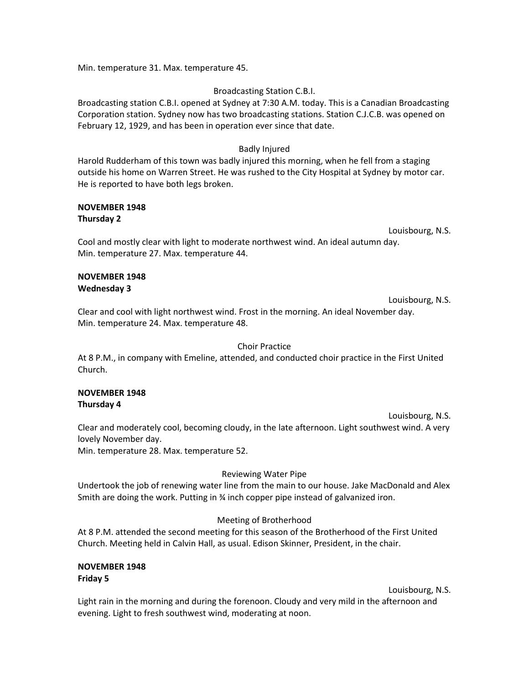Min. temperature 31. Max. temperature 45.

#### Broadcasting Station C.B.I.

Broadcasting station C.B.I. opened at Sydney at 7:30 A.M. today. This is a Canadian Broadcasting Corporation station. Sydney now has two broadcasting stations. Station C.J.C.B. was opened on February 12, 1929, and has been in operation ever since that date.

#### Badly Injured

Harold Rudderham of this town was badly injured this morning, when he fell from a staging outside his home on Warren Street. He was rushed to the City Hospital at Sydney by motor car. He is reported to have both legs broken.

#### **NOVEMBER 1948 Thursday 2**

Louisbourg, N.S.

Cool and mostly clear with light to moderate northwest wind. An ideal autumn day. Min. temperature 27. Max. temperature 44.

#### **NOVEMBER 1948 Wednesday 3**

Louisbourg, N.S. Clear and cool with light northwest wind. Frost in the morning. An ideal November day. Min. temperature 24. Max. temperature 48.

#### Choir Practice

At 8 P.M., in company with Emeline, attended, and conducted choir practice in the First United Church.

#### **NOVEMBER 1948 Thursday 4**

Louisbourg, N.S. Clear and moderately cool, becoming cloudy, in the late afternoon. Light southwest wind. A very lovely November day.

Min. temperature 28. Max. temperature 52.

#### Reviewing Water Pipe

Undertook the job of renewing water line from the main to our house. Jake MacDonald and Alex Smith are doing the work. Putting in ¾ inch copper pipe instead of galvanized iron.

#### Meeting of Brotherhood

At 8 P.M. attended the second meeting for this season of the Brotherhood of the First United Church. Meeting held in Calvin Hall, as usual. Edison Skinner, President, in the chair.

#### **NOVEMBER 1948 Friday 5**

Louisbourg, N.S.

Light rain in the morning and during the forenoon. Cloudy and very mild in the afternoon and evening. Light to fresh southwest wind, moderating at noon.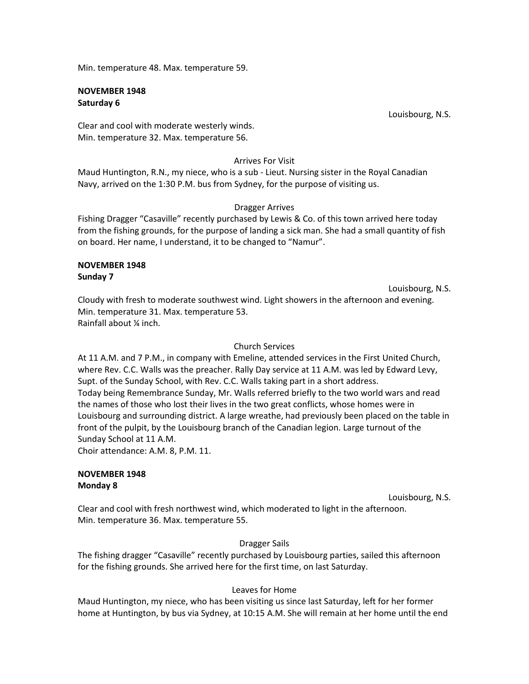Min. temperature 48. Max. temperature 59.

#### **NOVEMBER 1948 Saturday 6**

Louisbourg, N.S.

Clear and cool with moderate westerly winds. Min. temperature 32. Max. temperature 56.

#### Arrives For Visit

Maud Huntington, R.N., my niece, who is a sub - Lieut. Nursing sister in the Royal Canadian Navy, arrived on the 1:30 P.M. bus from Sydney, for the purpose of visiting us.

#### Dragger Arrives

Fishing Dragger "Casaville" recently purchased by Lewis & Co. of this town arrived here today from the fishing grounds, for the purpose of landing a sick man. She had a small quantity of fish on board. Her name, I understand, it to be changed to "Namur".

#### **NOVEMBER 1948 Sunday 7**

Louisbourg, N.S. Cloudy with fresh to moderate southwest wind. Light showers in the afternoon and evening. Min. temperature 31. Max. temperature 53. Rainfall about ¼ inch.

#### Church Services

At 11 A.M. and 7 P.M., in company with Emeline, attended services in the First United Church, where Rev. C.C. Walls was the preacher. Rally Day service at 11 A.M. was led by Edward Levy, Supt. of the Sunday School, with Rev. C.C. Walls taking part in a short address. Today being Remembrance Sunday, Mr. Walls referred briefly to the two world wars and read the names of those who lost their lives in the two great conflicts, whose homes were in Louisbourg and surrounding district. A large wreathe, had previously been placed on the table in front of the pulpit, by the Louisbourg branch of the Canadian legion. Large turnout of the Sunday School at 11 A.M. Choir attendance: A.M. 8, P.M. 11.

#### **NOVEMBER 1948 Monday 8**

Louisbourg, N.S.

Clear and cool with fresh northwest wind, which moderated to light in the afternoon. Min. temperature 36. Max. temperature 55.

#### Dragger Sails

The fishing dragger "Casaville" recently purchased by Louisbourg parties, sailed this afternoon for the fishing grounds. She arrived here for the first time, on last Saturday.

#### Leaves for Home

Maud Huntington, my niece, who has been visiting us since last Saturday, left for her former home at Huntington, by bus via Sydney, at 10:15 A.M. She will remain at her home until the end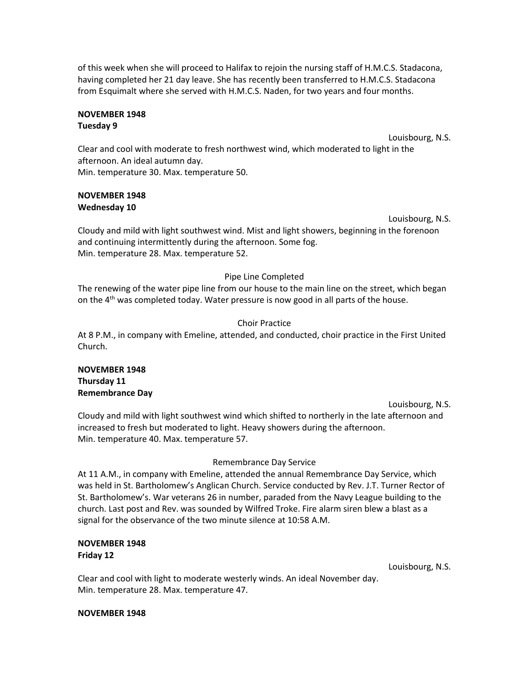of this week when she will proceed to Halifax to rejoin the nursing staff of H.M.C.S. Stadacona, having completed her 21 day leave. She has recently been transferred to H.M.C.S. Stadacona from Esquimalt where she served with H.M.C.S. Naden, for two years and four months.

#### **NOVEMBER 1948 Tuesday 9**

Louisbourg, N.S.

Clear and cool with moderate to fresh northwest wind, which moderated to light in the afternoon. An ideal autumn day. Min. temperature 30. Max. temperature 50.

# **NOVEMBER 1948 Wednesday 10**

#### Louisbourg, N.S.

Cloudy and mild with light southwest wind. Mist and light showers, beginning in the forenoon and continuing intermittently during the afternoon. Some fog. Min. temperature 28. Max. temperature 52.

# Pipe Line Completed

The renewing of the water pipe line from our house to the main line on the street, which began on the  $4<sup>th</sup>$  was completed today. Water pressure is now good in all parts of the house.

# Choir Practice

At 8 P.M., in company with Emeline, attended, and conducted, choir practice in the First United Church.

#### **NOVEMBER 1948 Thursday 11 Remembrance Day**

Louisbourg, N.S. Cloudy and mild with light southwest wind which shifted to northerly in the late afternoon and increased to fresh but moderated to light. Heavy showers during the afternoon. Min. temperature 40. Max. temperature 57.

# Remembrance Day Service

At 11 A.M., in company with Emeline, attended the annual Remembrance Day Service, which was held in St. Bartholomew's Anglican Church. Service conducted by Rev. J.T. Turner Rector of St. Bartholomew's. War veterans 26 in number, paraded from the Navy League building to the church. Last post and Rev. was sounded by Wilfred Troke. Fire alarm siren blew a blast as a signal for the observance of the two minute silence at 10:58 A.M.

# **NOVEMBER 1948 Friday 12**

Louisbourg, N.S.

Clear and cool with light to moderate westerly winds. An ideal November day. Min. temperature 28. Max. temperature 47.

#### **NOVEMBER 1948**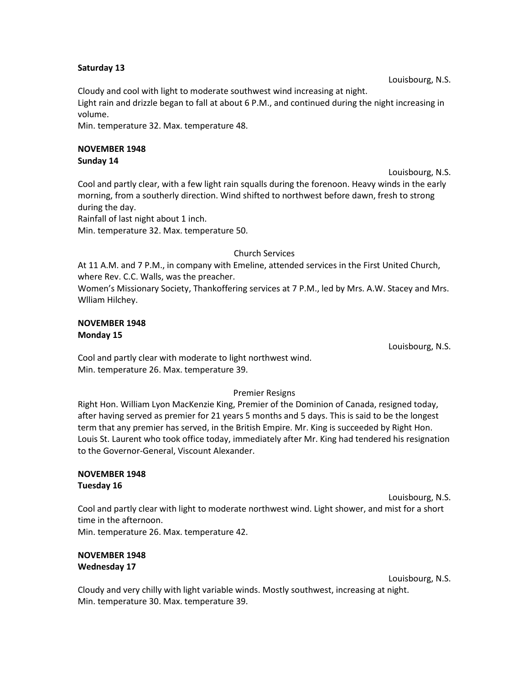#### **Saturday 13**

Louisbourg, N.S.

Cloudy and cool with light to moderate southwest wind increasing at night.

Light rain and drizzle began to fall at about 6 P.M., and continued during the night increasing in volume.

Min. temperature 32. Max. temperature 48.

# **NOVEMBER 1948**

**Sunday 14**

Louisbourg, N.S.

Cool and partly clear, with a few light rain squalls during the forenoon. Heavy winds in the early morning, from a southerly direction. Wind shifted to northwest before dawn, fresh to strong during the day.

Rainfall of last night about 1 inch.

Min. temperature 32. Max. temperature 50.

Church Services

At 11 A.M. and 7 P.M., in company with Emeline, attended services in the First United Church, where Rev. C.C. Walls, was the preacher. Women's Missionary Society, Thankoffering services at 7 P.M., led by Mrs. A.W. Stacey and Mrs. Wlliam Hilchey.

# **NOVEMBER 1948 Monday 15**

Louisbourg, N.S.

Cool and partly clear with moderate to light northwest wind. Min. temperature 26. Max. temperature 39.

# Premier Resigns

Right Hon. William Lyon MacKenzie King, Premier of the Dominion of Canada, resigned today, after having served as premier for 21 years 5 months and 5 days. This is said to be the longest term that any premier has served, in the British Empire. Mr. King is succeeded by Right Hon. Louis St. Laurent who took office today, immediately after Mr. King had tendered his resignation to the Governor-General, Viscount Alexander.

#### **NOVEMBER 1948 Tuesday 16**

Louisbourg, N.S. Cool and partly clear with light to moderate northwest wind. Light shower, and mist for a short time in the afternoon. Min. temperature 26. Max. temperature 42.

# **NOVEMBER 1948 Wednesday 17**

Louisbourg, N.S.

Cloudy and very chilly with light variable winds. Mostly southwest, increasing at night. Min. temperature 30. Max. temperature 39.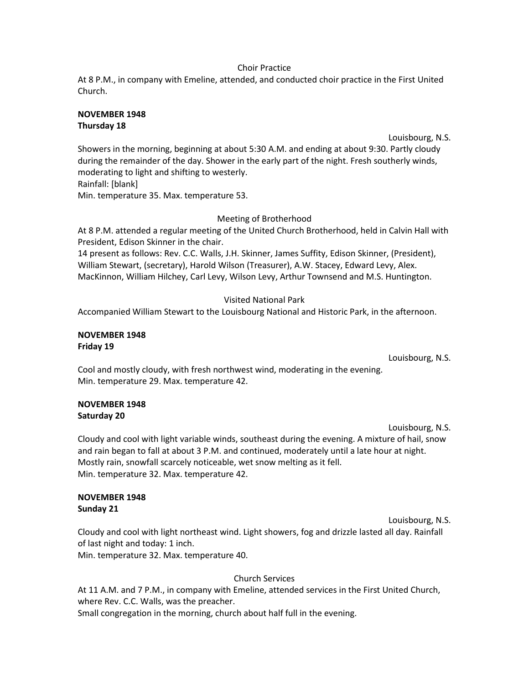#### Choir Practice

At 8 P.M., in company with Emeline, attended, and conducted choir practice in the First United Church.

#### **NOVEMBER 1948 Thursday 18**

Louisbourg, N.S.

Showers in the morning, beginning at about 5:30 A.M. and ending at about 9:30. Partly cloudy during the remainder of the day. Shower in the early part of the night. Fresh southerly winds, moderating to light and shifting to westerly. Rainfall: [blank]

Min. temperature 35. Max. temperature 53.

# Meeting of Brotherhood

At 8 P.M. attended a regular meeting of the United Church Brotherhood, held in Calvin Hall with President, Edison Skinner in the chair.

14 present as follows: Rev. C.C. Walls, J.H. Skinner, James Suffity, Edison Skinner, (President), William Stewart, (secretary), Harold Wilson (Treasurer), A.W. Stacey, Edward Levy, Alex. MacKinnon, William Hilchey, Carl Levy, Wilson Levy, Arthur Townsend and M.S. Huntington.

# Visited National Park

Accompanied William Stewart to the Louisbourg National and Historic Park, in the afternoon.

#### **NOVEMBER 1948 Friday 19**

Louisbourg, N.S.

Cool and mostly cloudy, with fresh northwest wind, moderating in the evening. Min. temperature 29. Max. temperature 42.

# **NOVEMBER 1948 Saturday 20**

Louisbourg, N.S.

Cloudy and cool with light variable winds, southeast during the evening. A mixture of hail, snow and rain began to fall at about 3 P.M. and continued, moderately until a late hour at night. Mostly rain, snowfall scarcely noticeable, wet snow melting as it fell. Min. temperature 32. Max. temperature 42.

#### **NOVEMBER 1948 Sunday 21**

Louisbourg, N.S. Cloudy and cool with light northeast wind. Light showers, fog and drizzle lasted all day. Rainfall of last night and today: 1 inch.

Min. temperature 32. Max. temperature 40.

# Church Services

At 11 A.M. and 7 P.M., in company with Emeline, attended services in the First United Church, where Rev. C.C. Walls, was the preacher. Small congregation in the morning, church about half full in the evening.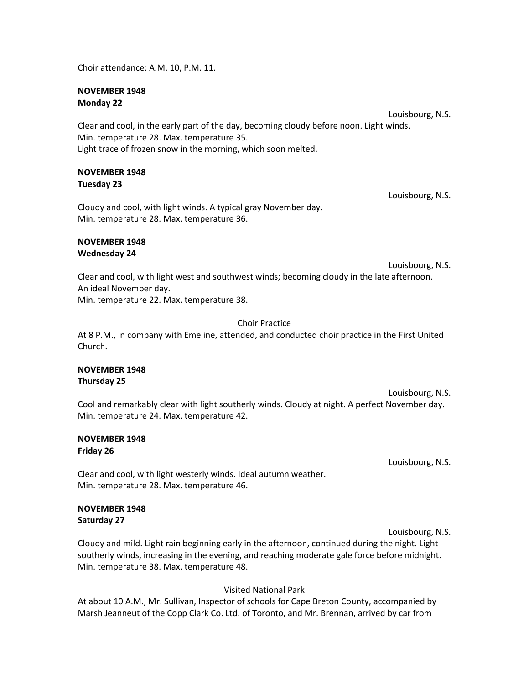Choir attendance: A.M. 10, P.M. 11.

#### **NOVEMBER 1948 Monday 22**

Louisbourg, N.S. Clear and cool, in the early part of the day, becoming cloudy before noon. Light winds. Min. temperature 28. Max. temperature 35. Light trace of frozen snow in the morning, which soon melted.

#### **NOVEMBER 1948 Tuesday 23**

Cloudy and cool, with light winds. A typical gray November day. Min. temperature 28. Max. temperature 36.

#### **NOVEMBER 1948 Wednesday 24**

Louisbourg, N.S.

Louisbourg, N.S.

Clear and cool, with light west and southwest winds; becoming cloudy in the late afternoon. An ideal November day. Min. temperature 22. Max. temperature 38.

#### Choir Practice

At 8 P.M., in company with Emeline, attended, and conducted choir practice in the First United Church.

#### **NOVEMBER 1948 Thursday 25**

Louisbourg, N.S. Cool and remarkably clear with light southerly winds. Cloudy at night. A perfect November day. Min. temperature 24. Max. temperature 42.

#### **NOVEMBER 1948 Friday 26**

Louisbourg, N.S.

Clear and cool, with light westerly winds. Ideal autumn weather. Min. temperature 28. Max. temperature 46.

#### **NOVEMBER 1948 Saturday 27**

Louisbourg, N.S.

Cloudy and mild. Light rain beginning early in the afternoon, continued during the night. Light southerly winds, increasing in the evening, and reaching moderate gale force before midnight. Min. temperature 38. Max. temperature 48.

# Visited National Park

At about 10 A.M., Mr. Sullivan, Inspector of schools for Cape Breton County, accompanied by Marsh Jeanneut of the Copp Clark Co. Ltd. of Toronto, and Mr. Brennan, arrived by car from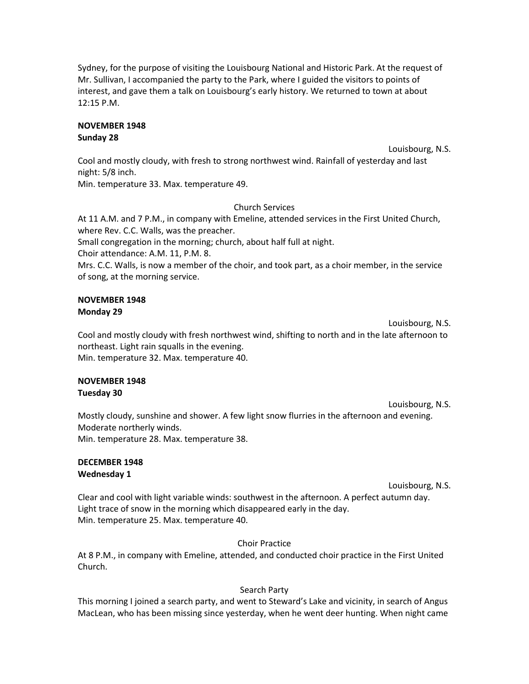Sydney, for the purpose of visiting the Louisbourg National and Historic Park. At the request of Mr. Sullivan, I accompanied the party to the Park, where I guided the visitors to points of interest, and gave them a talk on Louisbourg's early history. We returned to town at about 12:15 P.M.

#### **NOVEMBER 1948 Sunday 28**

Louisbourg, N.S.

Cool and mostly cloudy, with fresh to strong northwest wind. Rainfall of yesterday and last night: 5/8 inch.

Min. temperature 33. Max. temperature 49.

# Church Services

At 11 A.M. and 7 P.M., in company with Emeline, attended services in the First United Church, where Rev. C.C. Walls, was the preacher. Small congregation in the morning; church, about half full at night. Choir attendance: A.M. 11, P.M. 8. Mrs. C.C. Walls, is now a member of the choir, and took part, as a choir member, in the service of song, at the morning service.

#### **NOVEMBER 1948 Monday 29**

Louisbourg, N.S. Cool and mostly cloudy with fresh northwest wind, shifting to north and in the late afternoon to northeast. Light rain squalls in the evening. Min. temperature 32. Max. temperature 40.

#### **NOVEMBER 1948 Tuesday 30**

Louisbourg, N.S. Mostly cloudy, sunshine and shower. A few light snow flurries in the afternoon and evening. Moderate northerly winds. Min. temperature 28. Max. temperature 38.

#### **DECEMBER 1948 Wednesday 1**

Louisbourg, N.S.

Clear and cool with light variable winds: southwest in the afternoon. A perfect autumn day. Light trace of snow in the morning which disappeared early in the day. Min. temperature 25. Max. temperature 40.

Choir Practice

At 8 P.M., in company with Emeline, attended, and conducted choir practice in the First United Church.

# Search Party

This morning I joined a search party, and went to Steward's Lake and vicinity, in search of Angus MacLean, who has been missing since yesterday, when he went deer hunting. When night came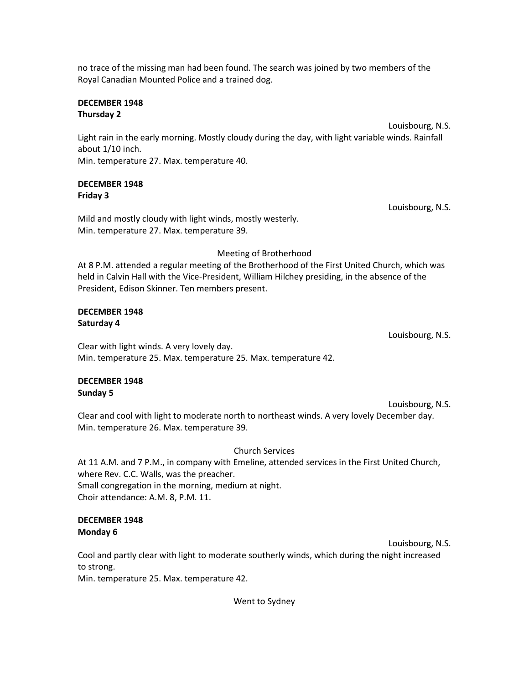no trace of the missing man had been found. The search was joined by two members of the Royal Canadian Mounted Police and a trained dog.

#### **DECEMBER 1948 Thursday 2**

Louisbourg, N.S.

Light rain in the early morning. Mostly cloudy during the day, with light variable winds. Rainfall about 1/10 inch. Min. temperature 27. Max. temperature 40.

# **DECEMBER 1948 Friday 3**

Louisbourg, N.S.

Louisbourg, N.S.

Mild and mostly cloudy with light winds, mostly westerly. Min. temperature 27. Max. temperature 39.

# Meeting of Brotherhood

At 8 P.M. attended a regular meeting of the Brotherhood of the First United Church, which was held in Calvin Hall with the Vice-President, William Hilchey presiding, in the absence of the President, Edison Skinner. Ten members present.

# **DECEMBER 1948 Saturday 4**

Clear with light winds. A very lovely day. Min. temperature 25. Max. temperature 25. Max. temperature 42.

# **DECEMBER 1948 Sunday 5**

Louisbourg, N.S. Clear and cool with light to moderate north to northeast winds. A very lovely December day. Min. temperature 26. Max. temperature 39.

# Church Services

At 11 A.M. and 7 P.M., in company with Emeline, attended services in the First United Church, where Rev. C.C. Walls, was the preacher. Small congregation in the morning, medium at night. Choir attendance: A.M. 8, P.M. 11.

# **DECEMBER 1948 Monday 6**

Louisbourg, N.S. Cool and partly clear with light to moderate southerly winds, which during the night increased to strong. Min. temperature 25. Max. temperature 42.

Went to Sydney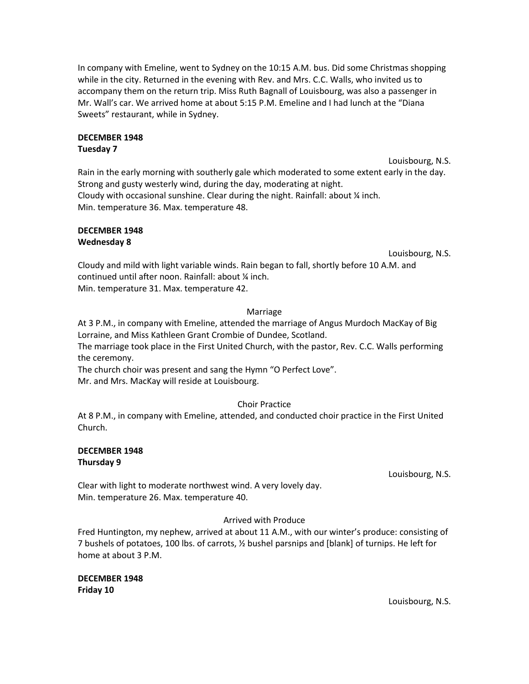In company with Emeline, went to Sydney on the 10:15 A.M. bus. Did some Christmas shopping while in the city. Returned in the evening with Rev. and Mrs. C.C. Walls, who invited us to accompany them on the return trip. Miss Ruth Bagnall of Louisbourg, was also a passenger in Mr. Wall's car. We arrived home at about 5:15 P.M. Emeline and I had lunch at the "Diana Sweets" restaurant, while in Sydney.

# **DECEMBER 1948**

# **Tuesday 7**

Louisbourg, N.S. Rain in the early morning with southerly gale which moderated to some extent early in the day. Strong and gusty westerly wind, during the day, moderating at night. Cloudy with occasional sunshine. Clear during the night. Rainfall: about  $\frac{1}{4}$  inch. Min. temperature 36. Max. temperature 48.

#### **DECEMBER 1948 Wednesday 8**

Louisbourg, N.S.

Cloudy and mild with light variable winds. Rain began to fall, shortly before 10 A.M. and continued until after noon. Rainfall: about ¼ inch. Min. temperature 31. Max. temperature 42.

# Marriage

At 3 P.M., in company with Emeline, attended the marriage of Angus Murdoch MacKay of Big Lorraine, and Miss Kathleen Grant Crombie of Dundee, Scotland.

The marriage took place in the First United Church, with the pastor, Rev. C.C. Walls performing the ceremony.

The church choir was present and sang the Hymn "O Perfect Love". Mr. and Mrs. MacKay will reside at Louisbourg.

# Choir Practice

At 8 P.M., in company with Emeline, attended, and conducted choir practice in the First United Church.

#### **DECEMBER 1948 Thursday 9**

Louisbourg, N.S.

Clear with light to moderate northwest wind. A very lovely day. Min. temperature 26. Max. temperature 40.

# Arrived with Produce

Fred Huntington, my nephew, arrived at about 11 A.M., with our winter's produce: consisting of 7 bushels of potatoes, 100 lbs. of carrots, ½ bushel parsnips and [blank] of turnips. He left for home at about 3 P.M.

**DECEMBER 1948 Friday 10**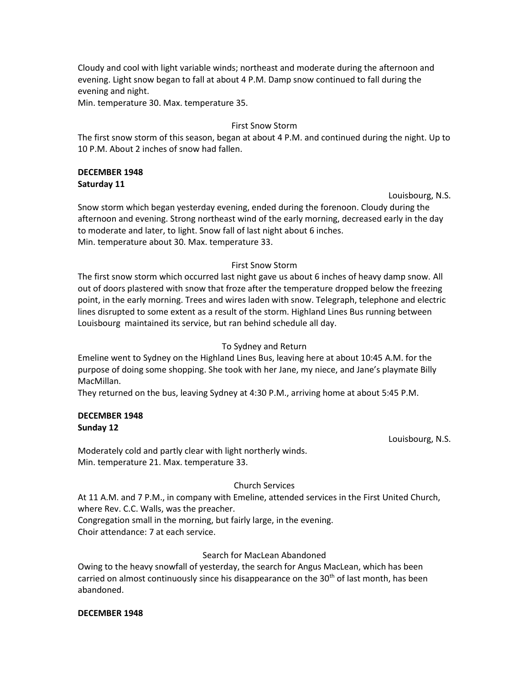Cloudy and cool with light variable winds; northeast and moderate during the afternoon and evening. Light snow began to fall at about 4 P.M. Damp snow continued to fall during the evening and night.

Min. temperature 30. Max. temperature 35.

#### First Snow Storm

The first snow storm of this season, began at about 4 P.M. and continued during the night. Up to 10 P.M. About 2 inches of snow had fallen.

#### **DECEMBER 1948 Saturday 11**

Louisbourg, N.S.

Snow storm which began yesterday evening, ended during the forenoon. Cloudy during the afternoon and evening. Strong northeast wind of the early morning, decreased early in the day to moderate and later, to light. Snow fall of last night about 6 inches. Min. temperature about 30. Max. temperature 33.

#### First Snow Storm

The first snow storm which occurred last night gave us about 6 inches of heavy damp snow. All out of doors plastered with snow that froze after the temperature dropped below the freezing point, in the early morning. Trees and wires laden with snow. Telegraph, telephone and electric lines disrupted to some extent as a result of the storm. Highland Lines Bus running between Louisbourg maintained its service, but ran behind schedule all day.

#### To Sydney and Return

Emeline went to Sydney on the Highland Lines Bus, leaving here at about 10:45 A.M. for the purpose of doing some shopping. She took with her Jane, my niece, and Jane's playmate Billy MacMillan.

They returned on the bus, leaving Sydney at 4:30 P.M., arriving home at about 5:45 P.M.

#### **DECEMBER 1948 Sunday 12**

Louisbourg, N.S.

Moderately cold and partly clear with light northerly winds. Min. temperature 21. Max. temperature 33.

#### Church Services

At 11 A.M. and 7 P.M., in company with Emeline, attended services in the First United Church, where Rev. C.C. Walls, was the preacher. Congregation small in the morning, but fairly large, in the evening. Choir attendance: 7 at each service.

#### Search for MacLean Abandoned

Owing to the heavy snowfall of yesterday, the search for Angus MacLean, which has been carried on almost continuously since his disappearance on the 30<sup>th</sup> of last month, has been abandoned.

#### **DECEMBER 1948**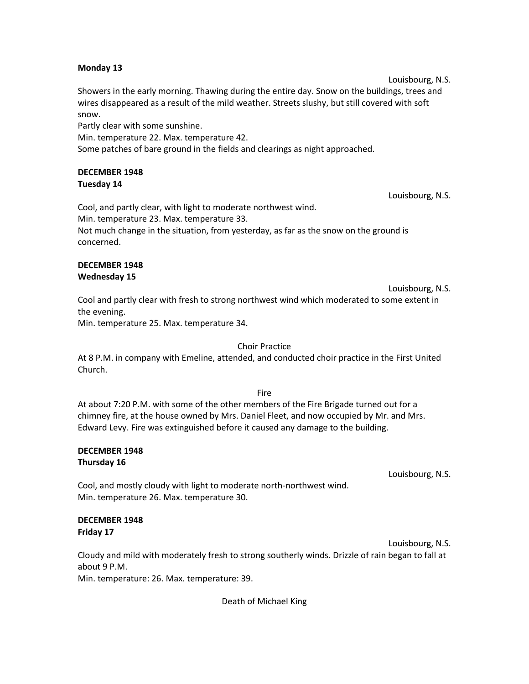#### **Monday 13**

Louisbourg, N.S. Showers in the early morning. Thawing during the entire day. Snow on the buildings, trees and wires disappeared as a result of the mild weather. Streets slushy, but still covered with soft snow.

Partly clear with some sunshine.

Min. temperature 22. Max. temperature 42.

Some patches of bare ground in the fields and clearings as night approached.

#### **DECEMBER 1948 Tuesday 14**

Cool, and partly clear, with light to moderate northwest wind. Min. temperature 23. Max. temperature 33. Not much change in the situation, from yesterday, as far as the snow on the ground is concerned.

#### **DECEMBER 1948 Wednesday 15**

Cool and partly clear with fresh to strong northwest wind which moderated to some extent in the evening.

Min. temperature 25. Max. temperature 34.

# Choir Practice

At 8 P.M. in company with Emeline, attended, and conducted choir practice in the First United Church.

#### Fire

At about 7:20 P.M. with some of the other members of the Fire Brigade turned out for a chimney fire, at the house owned by Mrs. Daniel Fleet, and now occupied by Mr. and Mrs. Edward Levy. Fire was extinguished before it caused any damage to the building.

#### **DECEMBER 1948 Thursday 16**

Louisbourg, N.S.

Cool, and mostly cloudy with light to moderate north-northwest wind. Min. temperature 26. Max. temperature 30.

# **DECEMBER 1948 Friday 17**

Louisbourg, N.S. Cloudy and mild with moderately fresh to strong southerly winds. Drizzle of rain began to fall at about 9 P.M. Min. temperature: 26. Max. temperature: 39.

Death of Michael King

Louisbourg, N.S.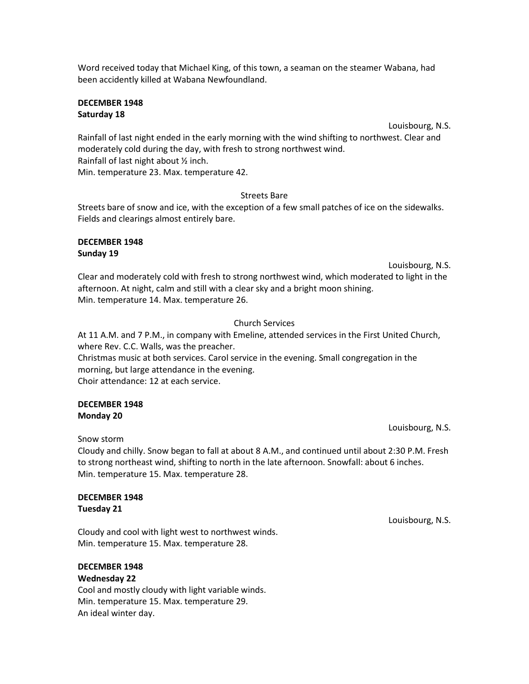Word received today that Michael King, of this town, a seaman on the steamer Wabana, had been accidently killed at Wabana Newfoundland.

#### **DECEMBER 1948 Saturday 18**

Louisbourg, N.S.

Rainfall of last night ended in the early morning with the wind shifting to northwest. Clear and moderately cold during the day, with fresh to strong northwest wind. Rainfall of last night about ½ inch. Min. temperature 23. Max. temperature 42.

#### Streets Bare

Streets bare of snow and ice, with the exception of a few small patches of ice on the sidewalks. Fields and clearings almost entirely bare.

#### **DECEMBER 1948 Sunday 19**

Louisbourg, N.S.

Clear and moderately cold with fresh to strong northwest wind, which moderated to light in the afternoon. At night, calm and still with a clear sky and a bright moon shining. Min. temperature 14. Max. temperature 26.

#### Church Services

At 11 A.M. and 7 P.M., in company with Emeline, attended services in the First United Church, where Rev. C.C. Walls, was the preacher. Christmas music at both services. Carol service in the evening. Small congregation in the morning, but large attendance in the evening. Choir attendance: 12 at each service.

#### **DECEMBER 1948 Monday 20**

Louisbourg, N.S.

Snow storm

Cloudy and chilly. Snow began to fall at about 8 A.M., and continued until about 2:30 P.M. Fresh to strong northeast wind, shifting to north in the late afternoon. Snowfall: about 6 inches. Min. temperature 15. Max. temperature 28.

#### **DECEMBER 1948 Tuesday 21**

Cloudy and cool with light west to northwest winds. Min. temperature 15. Max. temperature 28.

#### **DECEMBER 1948**

**Wednesday 22** Cool and mostly cloudy with light variable winds. Min. temperature 15. Max. temperature 29. An ideal winter day.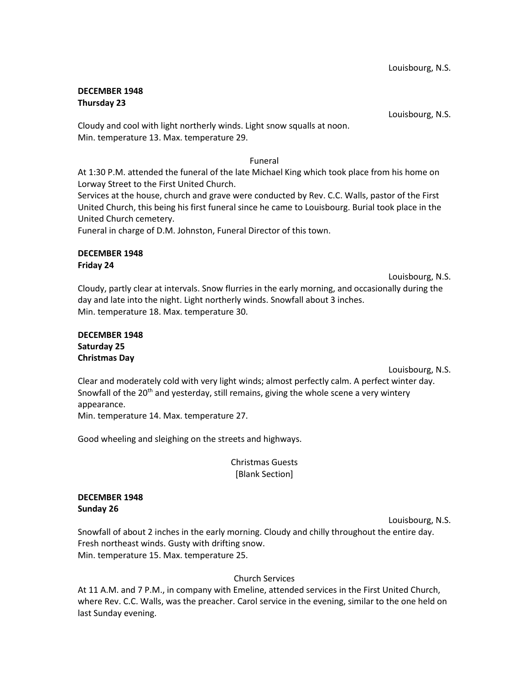#### **DECEMBER 1948 Thursday 23**

Louisbourg, N.S.

Cloudy and cool with light northerly winds. Light snow squalls at noon. Min. temperature 13. Max. temperature 29.

#### Funeral

At 1:30 P.M. attended the funeral of the late Michael King which took place from his home on Lorway Street to the First United Church.

Services at the house, church and grave were conducted by Rev. C.C. Walls, pastor of the First United Church, this being his first funeral since he came to Louisbourg. Burial took place in the United Church cemetery.

Funeral in charge of D.M. Johnston, Funeral Director of this town.

#### **DECEMBER 1948 Friday 24**

Louisbourg, N.S.

Cloudy, partly clear at intervals. Snow flurries in the early morning, and occasionally during the day and late into the night. Light northerly winds. Snowfall about 3 inches. Min. temperature 18. Max. temperature 30.

#### **DECEMBER 1948 Saturday 25 Christmas Day**

Louisbourg, N.S.

Clear and moderately cold with very light winds; almost perfectly calm. A perfect winter day. Snowfall of the  $20<sup>th</sup>$  and yesterday, still remains, giving the whole scene a very wintery appearance.

Min. temperature 14. Max. temperature 27.

Good wheeling and sleighing on the streets and highways.

Christmas Guests [Blank Section]

#### **DECEMBER 1948 Sunday 26**

Louisbourg, N.S. Snowfall of about 2 inches in the early morning. Cloudy and chilly throughout the entire day. Fresh northeast winds. Gusty with drifting snow. Min. temperature 15. Max. temperature 25.

# Church Services

At 11 A.M. and 7 P.M., in company with Emeline, attended services in the First United Church, where Rev. C.C. Walls, was the preacher. Carol service in the evening, similar to the one held on last Sunday evening.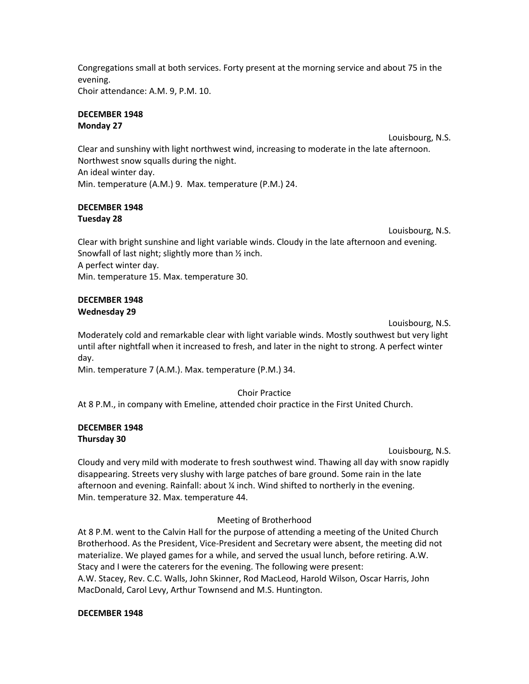Congregations small at both services. Forty present at the morning service and about 75 in the evening.

Choir attendance: A.M. 9, P.M. 10.

#### **DECEMBER 1948 Monday 27**

Louisbourg, N.S. Clear and sunshiny with light northwest wind, increasing to moderate in the late afternoon. Northwest snow squalls during the night. An ideal winter day. Min. temperature (A.M.) 9. Max. temperature (P.M.) 24.

#### **DECEMBER 1948 Tuesday 28**

Louisbourg, N.S.

Clear with bright sunshine and light variable winds. Cloudy in the late afternoon and evening. Snowfall of last night; slightly more than ½ inch. A perfect winter day. Min. temperature 15. Max. temperature 30.

# **DECEMBER 1948 Wednesday 29**

Louisbourg, N.S.

Moderately cold and remarkable clear with light variable winds. Mostly southwest but very light until after nightfall when it increased to fresh, and later in the night to strong. A perfect winter day.

Min. temperature 7 (A.M.). Max. temperature (P.M.) 34.

Choir Practice

At 8 P.M., in company with Emeline, attended choir practice in the First United Church.

# **DECEMBER 1948 Thursday 30**

Louisbourg, N.S.

Cloudy and very mild with moderate to fresh southwest wind. Thawing all day with snow rapidly disappearing. Streets very slushy with large patches of bare ground. Some rain in the late afternoon and evening. Rainfall: about ¼ inch. Wind shifted to northerly in the evening. Min. temperature 32. Max. temperature 44.

# Meeting of Brotherhood

At 8 P.M. went to the Calvin Hall for the purpose of attending a meeting of the United Church Brotherhood. As the President, Vice-President and Secretary were absent, the meeting did not materialize. We played games for a while, and served the usual lunch, before retiring. A.W. Stacy and I were the caterers for the evening. The following were present: A.W. Stacey, Rev. C.C. Walls, John Skinner, Rod MacLeod, Harold Wilson, Oscar Harris, John MacDonald, Carol Levy, Arthur Townsend and M.S. Huntington.

#### **DECEMBER 1948**